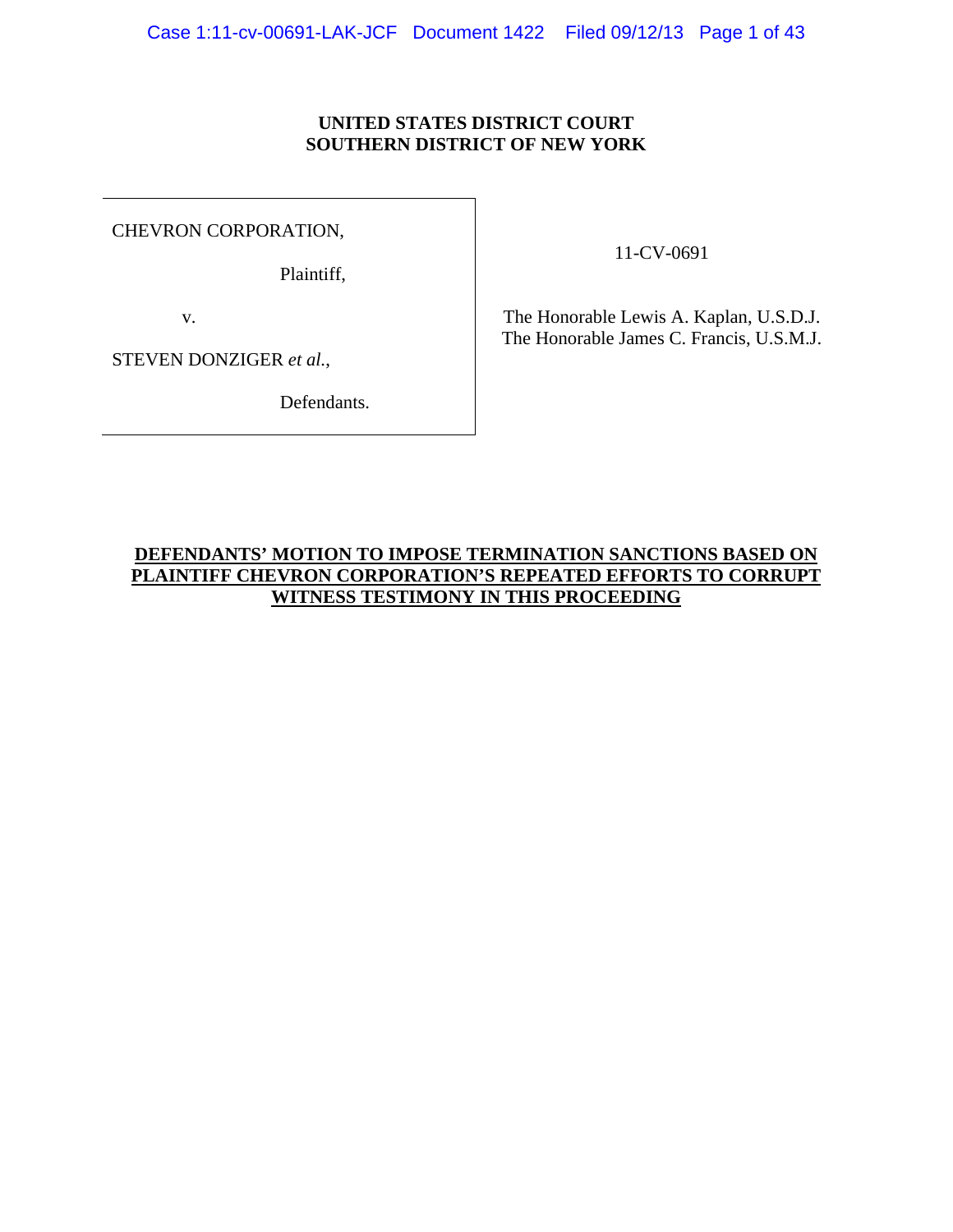### **UNITED STATES DISTRICT COURT SOUTHERN DISTRICT OF NEW YORK**

CHEVRON CORPORATION,

Plaintiff,

11-CV-0691

v.

The Honorable Lewis A. Kaplan, U.S.D.J. The Honorable James C. Francis, U.S.M.J.

STEVEN DONZIGER *et al.*,

Defendants.

## **DEFENDANTS' MOTION TO IMPOSE TERMINATION SANCTIONS BASED ON PLAINTIFF CHEVRON CORPORATION'S REPEATED EFFORTS TO CORRUPT WITNESS TESTIMONY IN THIS PROCEEDING**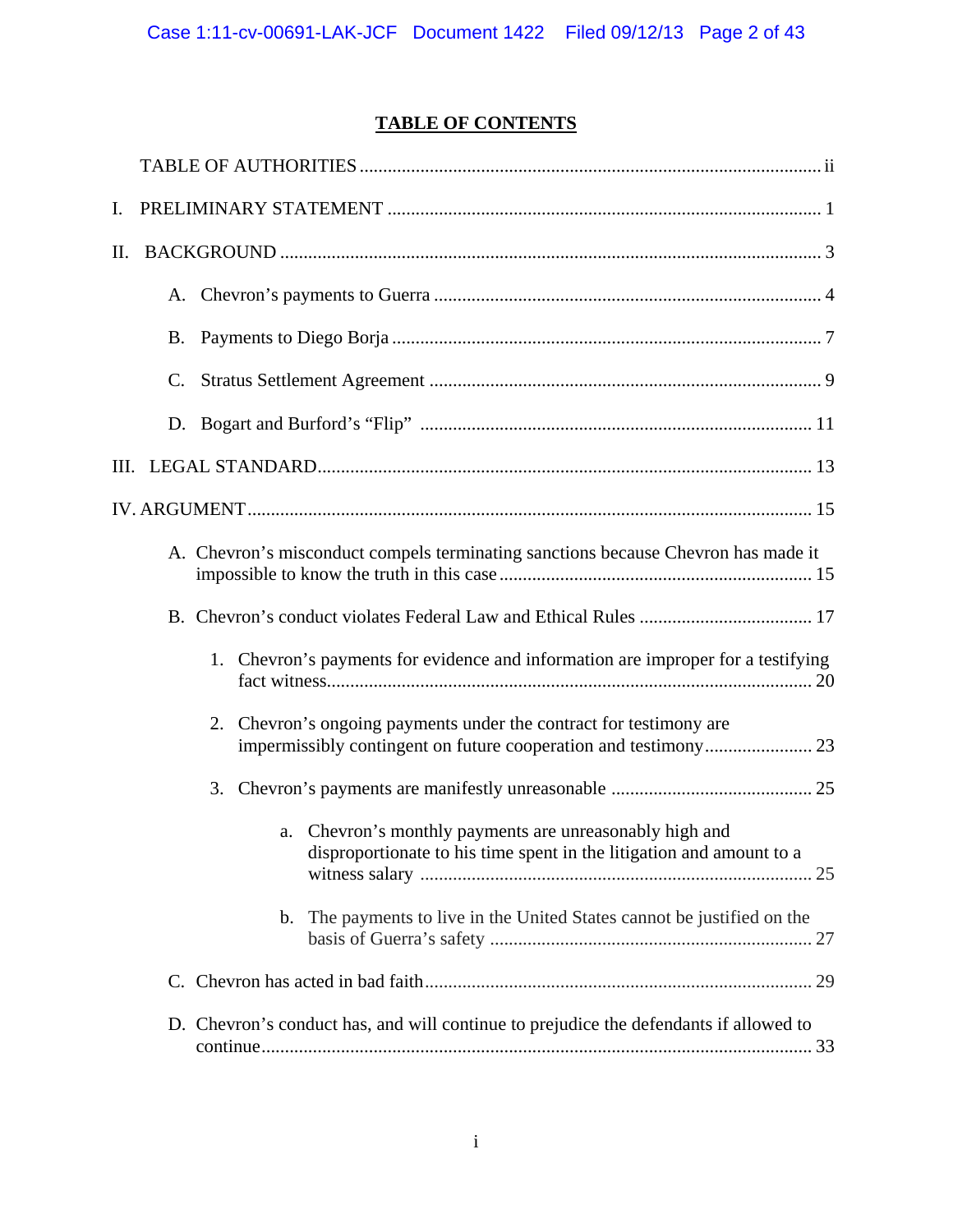# **TABLE OF CONTENTS**

| Ι. |    |                                                                                                                                 |
|----|----|---------------------------------------------------------------------------------------------------------------------------------|
| П. |    |                                                                                                                                 |
|    |    |                                                                                                                                 |
|    |    |                                                                                                                                 |
|    | C. |                                                                                                                                 |
|    |    |                                                                                                                                 |
|    |    |                                                                                                                                 |
|    |    |                                                                                                                                 |
|    |    | A. Chevron's misconduct compels terminating sanctions because Chevron has made it                                               |
|    |    |                                                                                                                                 |
|    |    | 1. Chevron's payments for evidence and information are improper for a testifying                                                |
|    |    | 2. Chevron's ongoing payments under the contract for testimony are                                                              |
|    |    |                                                                                                                                 |
|    |    | a. Chevron's monthly payments are unreasonably high and<br>disproportionate to his time spent in the litigation and amount to a |
|    |    | The payments to live in the United States cannot be justified on the<br>$\mathbf{b}$ .                                          |
|    |    |                                                                                                                                 |
|    |    | D. Chevron's conduct has, and will continue to prejudice the defendants if allowed to                                           |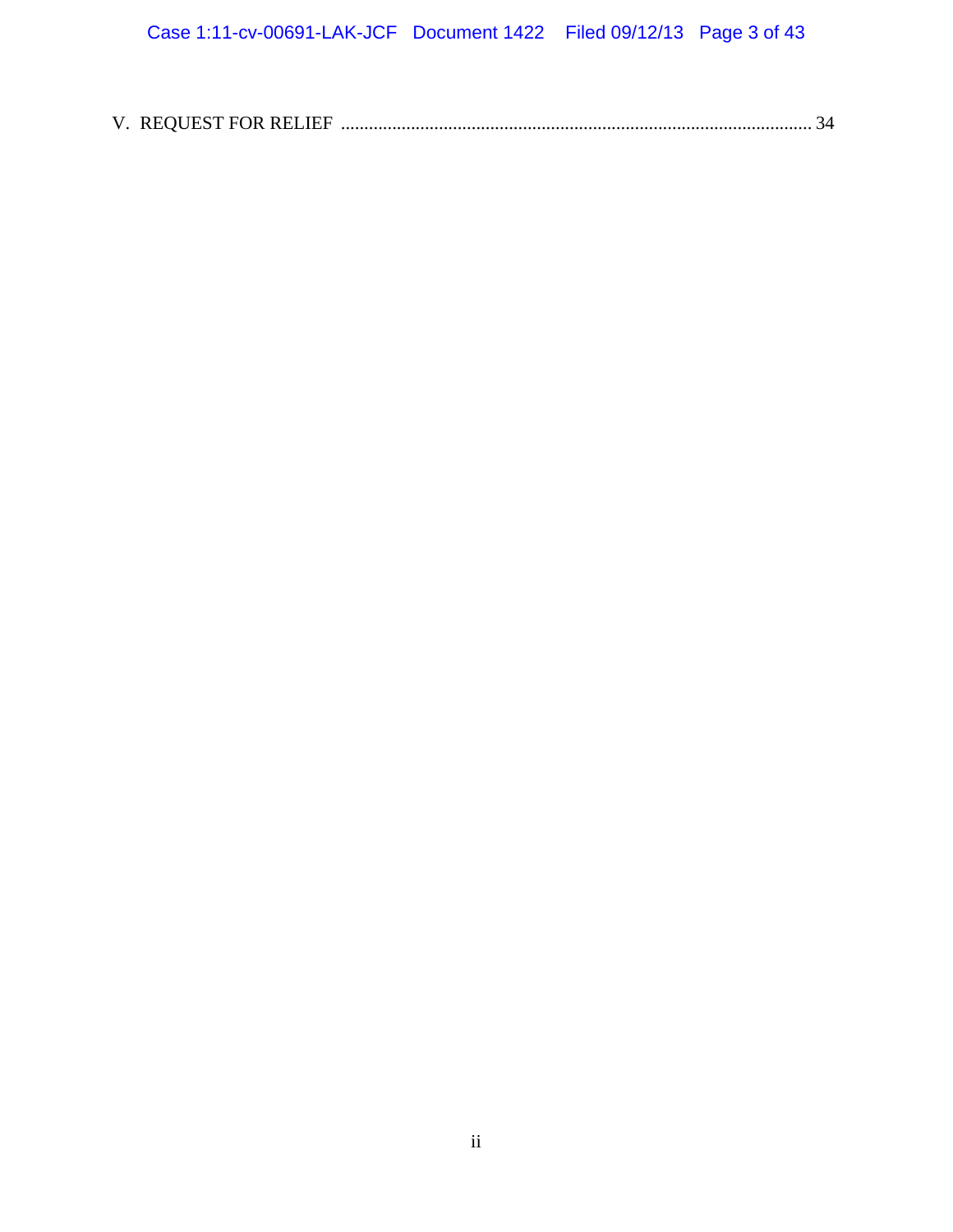| V. REQUEST FOR RELIEF. | $\top$ |
|------------------------|--------|
|                        |        |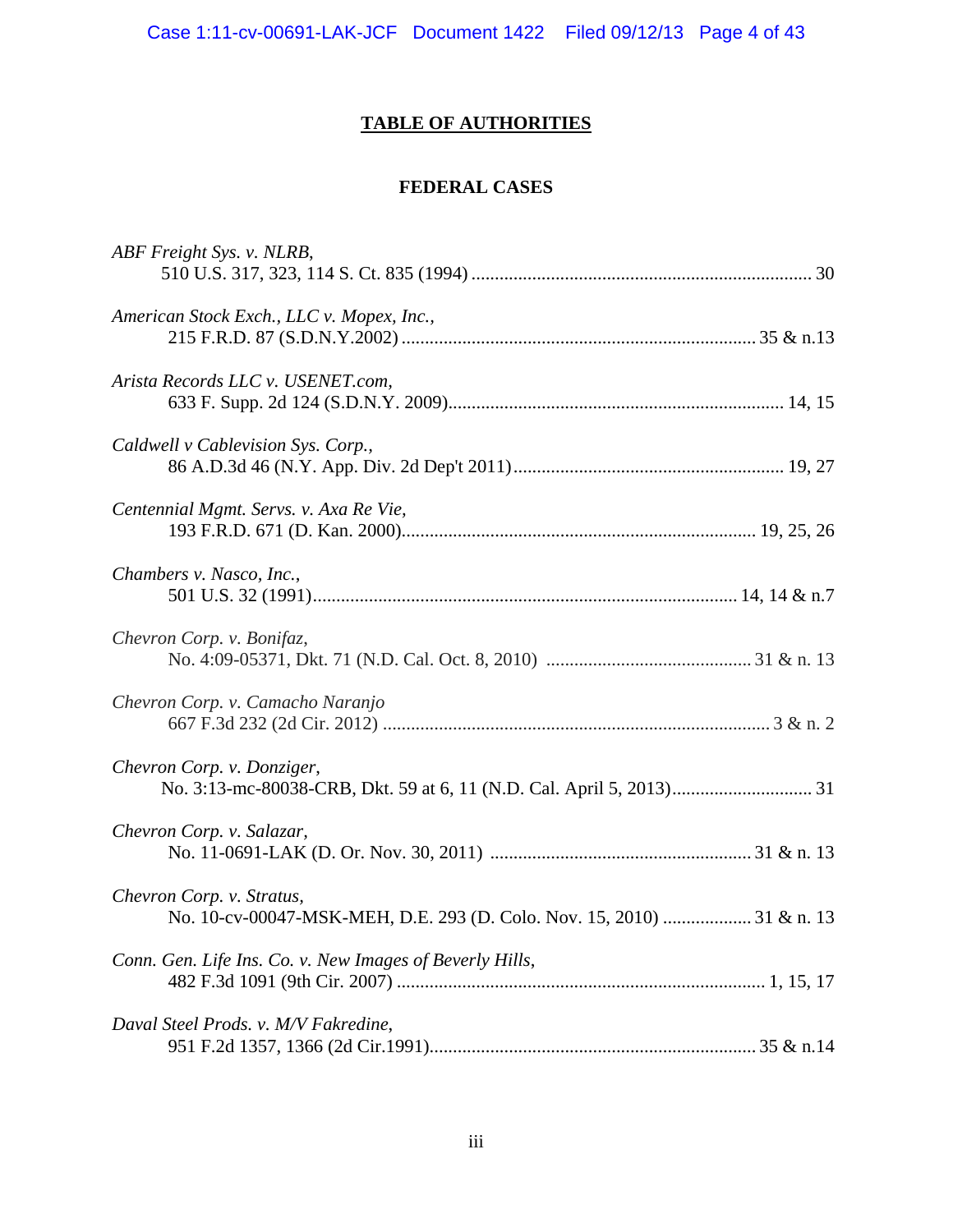# **TABLE OF AUTHORITIES**

# **FEDERAL CASES**

| ABF Freight Sys. v. NLRB,                                                                           |
|-----------------------------------------------------------------------------------------------------|
| American Stock Exch., LLC v. Mopex, Inc.,                                                           |
| Arista Records LLC v. USENET.com,                                                                   |
| Caldwell v Cablevision Sys. Corp.,                                                                  |
| Centennial Mgmt. Servs. v. Axa Re Vie,                                                              |
| Chambers v. Nasco, Inc.,                                                                            |
| Chevron Corp. v. Bonifaz,                                                                           |
| Chevron Corp. v. Camacho Naranjo                                                                    |
| Chevron Corp. v. Donziger,                                                                          |
| Chevron Corp. v. Salazar,                                                                           |
| Chevron Corp. v. Stratus,<br>No. 10-cv-00047-MSK-MEH, D.E. 293 (D. Colo. Nov. 15, 2010)  31 & n. 13 |
| Conn. Gen. Life Ins. Co. v. New Images of Beverly Hills,                                            |
| Daval Steel Prods. v. M/V Fakredine,                                                                |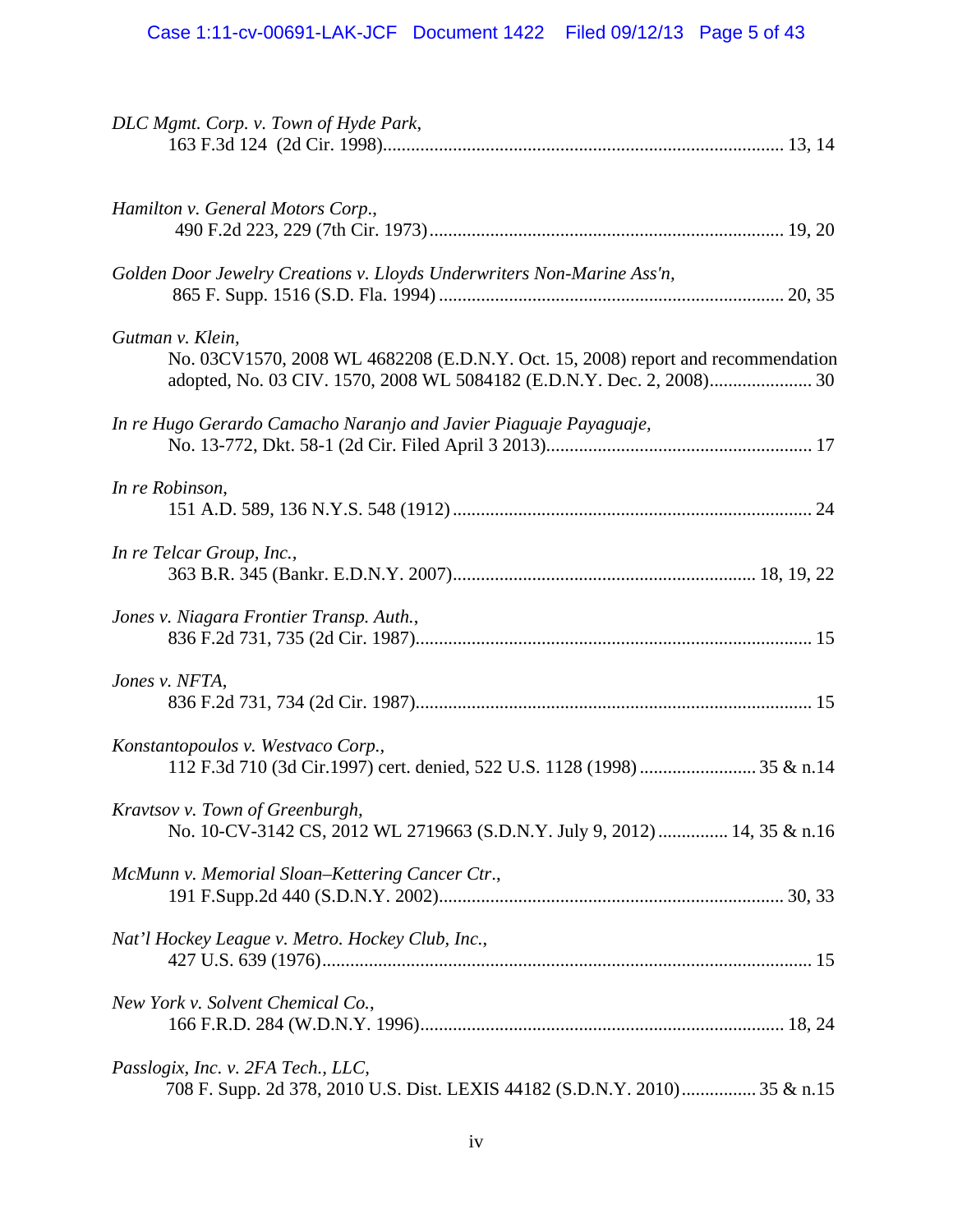| DLC Mgmt. Corp. v. Town of Hyde Park,                                                                            |
|------------------------------------------------------------------------------------------------------------------|
| Hamilton v. General Motors Corp.,                                                                                |
| Golden Door Jewelry Creations v. Lloyds Underwriters Non-Marine Ass'n,                                           |
| Gutman v. Klein,<br>No. 03CV1570, 2008 WL 4682208 (E.D.N.Y. Oct. 15, 2008) report and recommendation             |
| In re Hugo Gerardo Camacho Naranjo and Javier Piaguaje Payaguaje,                                                |
| In re Robinson,                                                                                                  |
| In re Telcar Group, Inc.,                                                                                        |
| Jones v. Niagara Frontier Transp. Auth.,                                                                         |
| Jones v. NFTA,                                                                                                   |
| Konstantopoulos v. Westvaco Corp.,<br>112 F.3d 710 (3d Cir.1997) cert. denied, 522 U.S. 1128 (1998)  35 & n.14   |
| Kravtsov v. Town of Greenburgh,<br>No. 10-CV-3142 CS, 2012 WL 2719663 (S.D.N.Y. July 9, 2012)  14, 35 & n.16     |
| McMunn v. Memorial Sloan-Kettering Cancer Ctr.,                                                                  |
| Nat'l Hockey League v. Metro. Hockey Club, Inc.,                                                                 |
| New York v. Solvent Chemical Co.,                                                                                |
| Passlogix, Inc. v. 2FA Tech., LLC,<br>708 F. Supp. 2d 378, 2010 U.S. Dist. LEXIS 44182 (S.D.N.Y. 2010) 35 & n.15 |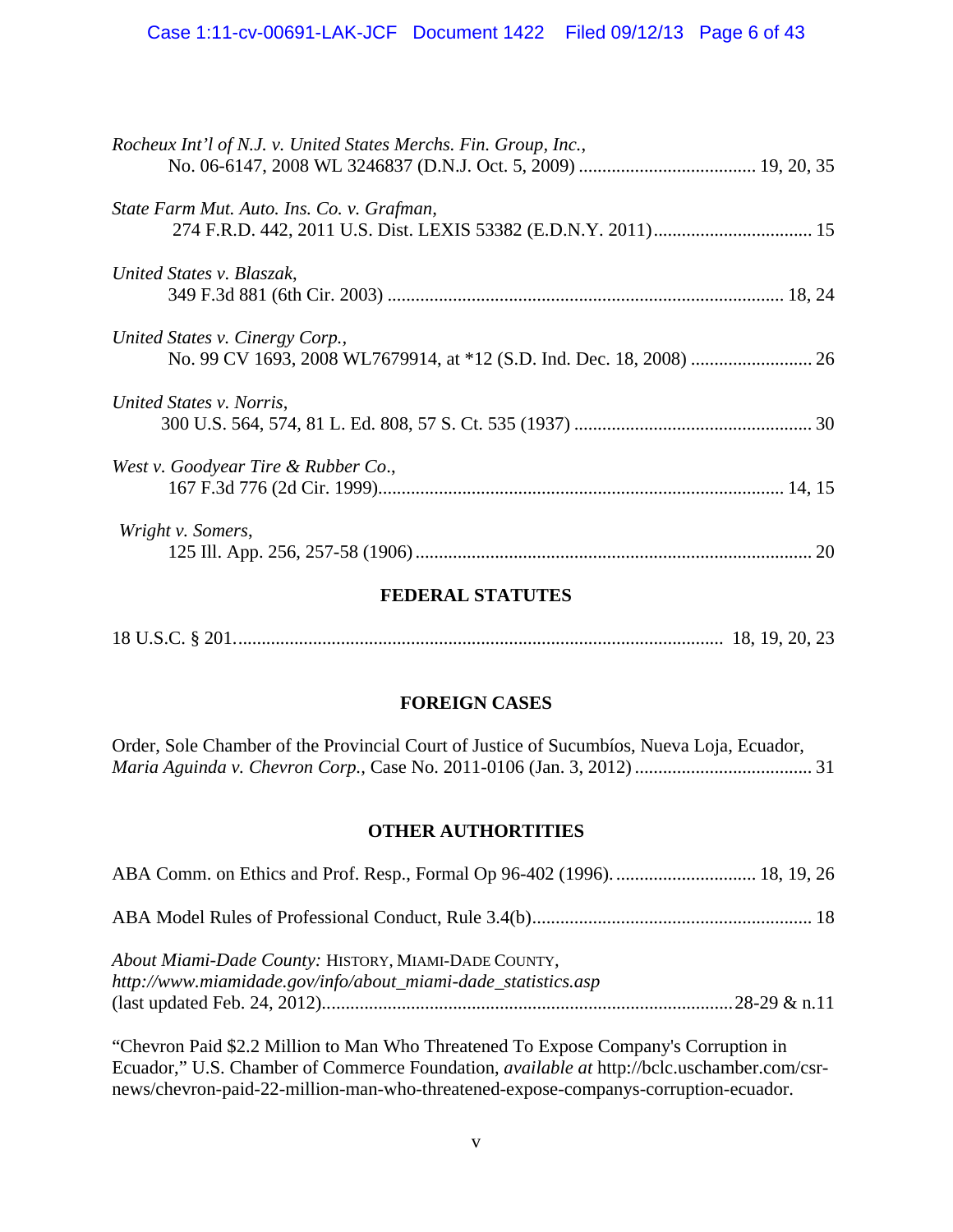| Rocheux Int'l of N.J. v. United States Merchs. Fin. Group, Inc., |
|------------------------------------------------------------------|
|                                                                  |
| State Farm Mut. Auto. Ins. Co. v. Grafman,                       |
|                                                                  |
| United States v. Blaszak,                                        |
|                                                                  |
| United States v. Cinergy Corp.,                                  |
|                                                                  |
| United States v. Norris,                                         |
|                                                                  |
| West v. Goodyear Tire & Rubber Co.,                              |
|                                                                  |
| Wright v. Somers,                                                |
| 20                                                               |
|                                                                  |

### **FEDERAL STATUTES**

18 U.S.C. § 201. ........................................................................................................ 18, 19, 20, 23

# **FOREIGN CASES**

Order, Sole Chamber of the Provincial Court of Justice of Sucumbíos, Nueva Loja, Ecuador, *Maria Aguinda v. Chevron Corp.,* Case No. 2011-0106 (Jan. 3, 2012) ...................................... 31

### **OTHER AUTHORTITIES**

| About Miami-Dade County: HISTORY, MIAMI-DADE COUNTY,<br>http://www.miamidade.gov/info/about_miami-dade_statistics.asp |  |
|-----------------------------------------------------------------------------------------------------------------------|--|

"Chevron Paid \$2.2 Million to Man Who Threatened To Expose Company's Corruption in Ecuador," U.S. Chamber of Commerce Foundation, *available at* http://bclc.uschamber.com/csrnews/chevron-paid-22-million-man-who-threatened-expose-companys-corruption-ecuador.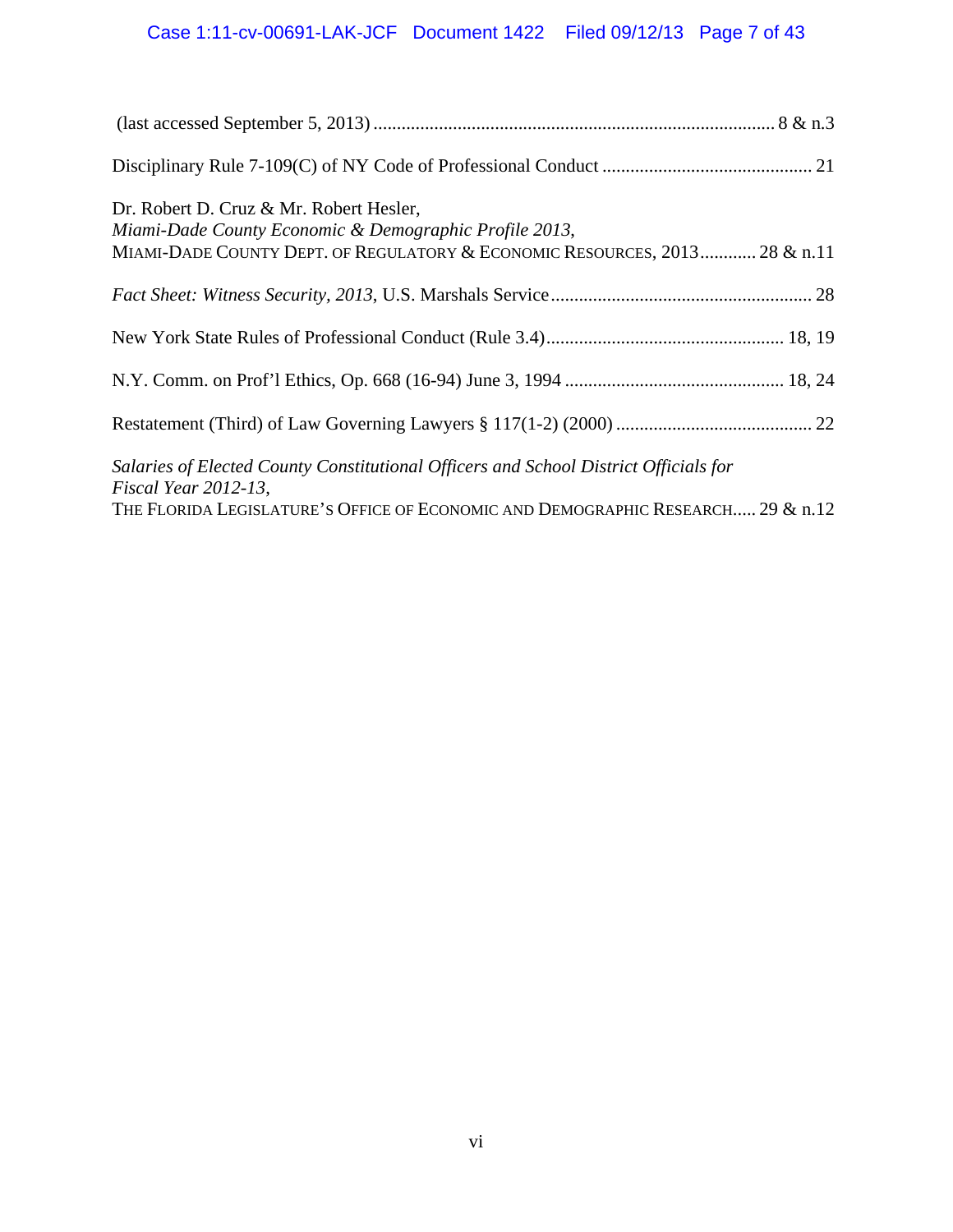# Case 1:11-cv-00691-LAK-JCF Document 1422 Filed 09/12/13 Page 7 of 43

| Dr. Robert D. Cruz & Mr. Robert Hesler,<br>Miami-Dade County Economic & Demographic Profile 2013,<br>MIAMI-DADE COUNTY DEPT. OF REGULATORY & ECONOMIC RESOURCES, 2013 28 & n.11 |  |  |  |  |
|---------------------------------------------------------------------------------------------------------------------------------------------------------------------------------|--|--|--|--|
|                                                                                                                                                                                 |  |  |  |  |
|                                                                                                                                                                                 |  |  |  |  |
|                                                                                                                                                                                 |  |  |  |  |
|                                                                                                                                                                                 |  |  |  |  |
| Salaries of Elected County Constitutional Officers and School District Officials for<br>Fiscal Year $2012-13$ ,                                                                 |  |  |  |  |
| THE FLORIDA LEGISLATURE'S OFFICE OF ECONOMIC AND DEMOGRAPHIC RESEARCH 29 & n.12                                                                                                 |  |  |  |  |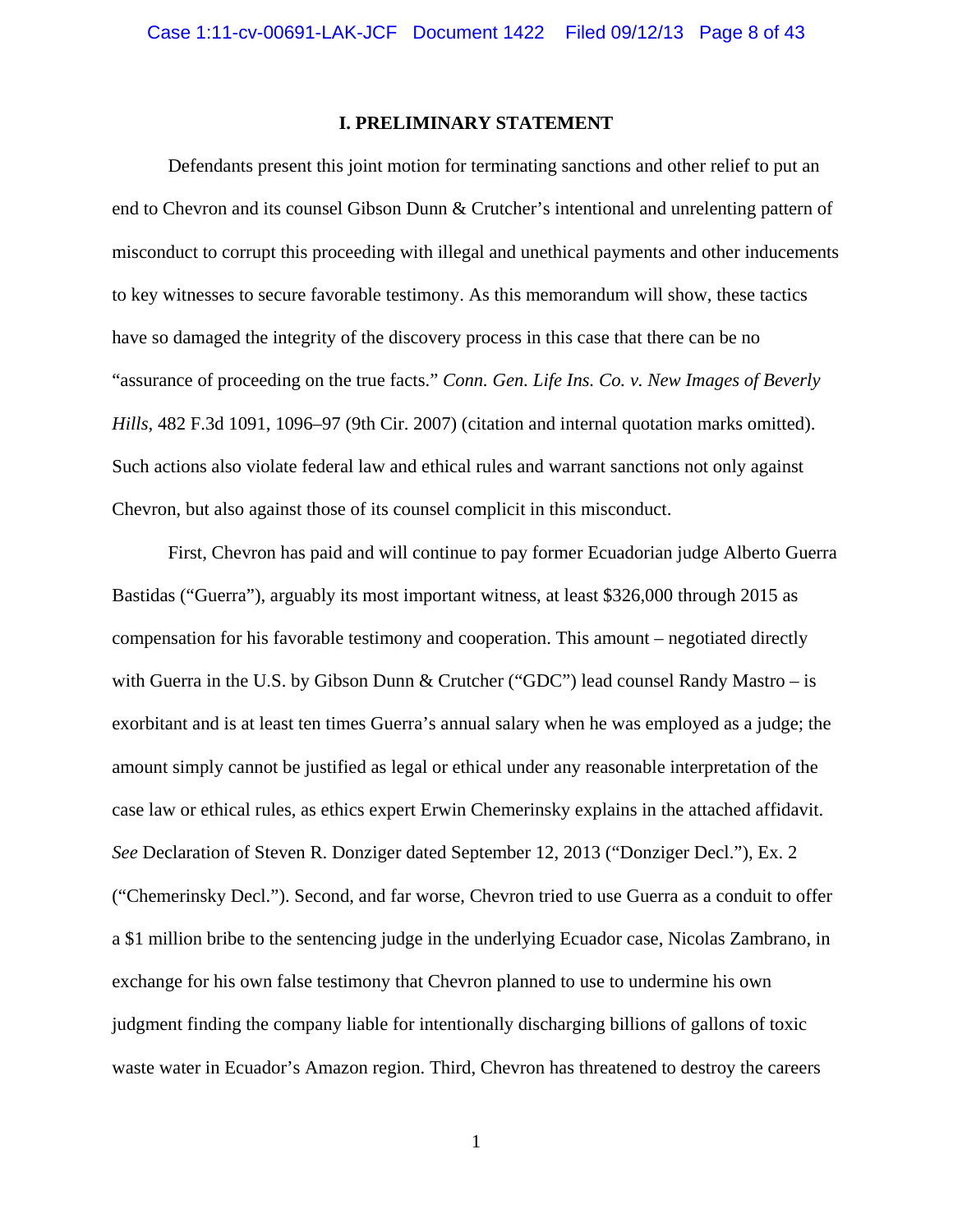#### **I. PRELIMINARY STATEMENT**

Defendants present this joint motion for terminating sanctions and other relief to put an end to Chevron and its counsel Gibson Dunn & Crutcher's intentional and unrelenting pattern of misconduct to corrupt this proceeding with illegal and unethical payments and other inducements to key witnesses to secure favorable testimony. As this memorandum will show, these tactics have so damaged the integrity of the discovery process in this case that there can be no "assurance of proceeding on the true facts." *Conn. Gen. Life Ins. Co. v. New Images of Beverly Hills*, 482 F.3d 1091, 1096–97 (9th Cir. 2007) (citation and internal quotation marks omitted). Such actions also violate federal law and ethical rules and warrant sanctions not only against Chevron, but also against those of its counsel complicit in this misconduct.

First, Chevron has paid and will continue to pay former Ecuadorian judge Alberto Guerra Bastidas ("Guerra"), arguably its most important witness, at least \$326,000 through 2015 as compensation for his favorable testimony and cooperation. This amount – negotiated directly with Guerra in the U.S. by Gibson Dunn & Crutcher ("GDC") lead counsel Randy Mastro – is exorbitant and is at least ten times Guerra's annual salary when he was employed as a judge; the amount simply cannot be justified as legal or ethical under any reasonable interpretation of the case law or ethical rules, as ethics expert Erwin Chemerinsky explains in the attached affidavit. *See* Declaration of Steven R. Donziger dated September 12, 2013 ("Donziger Decl."), Ex. 2 ("Chemerinsky Decl."). Second, and far worse, Chevron tried to use Guerra as a conduit to offer a \$1 million bribe to the sentencing judge in the underlying Ecuador case, Nicolas Zambrano, in exchange for his own false testimony that Chevron planned to use to undermine his own judgment finding the company liable for intentionally discharging billions of gallons of toxic waste water in Ecuador's Amazon region. Third, Chevron has threatened to destroy the careers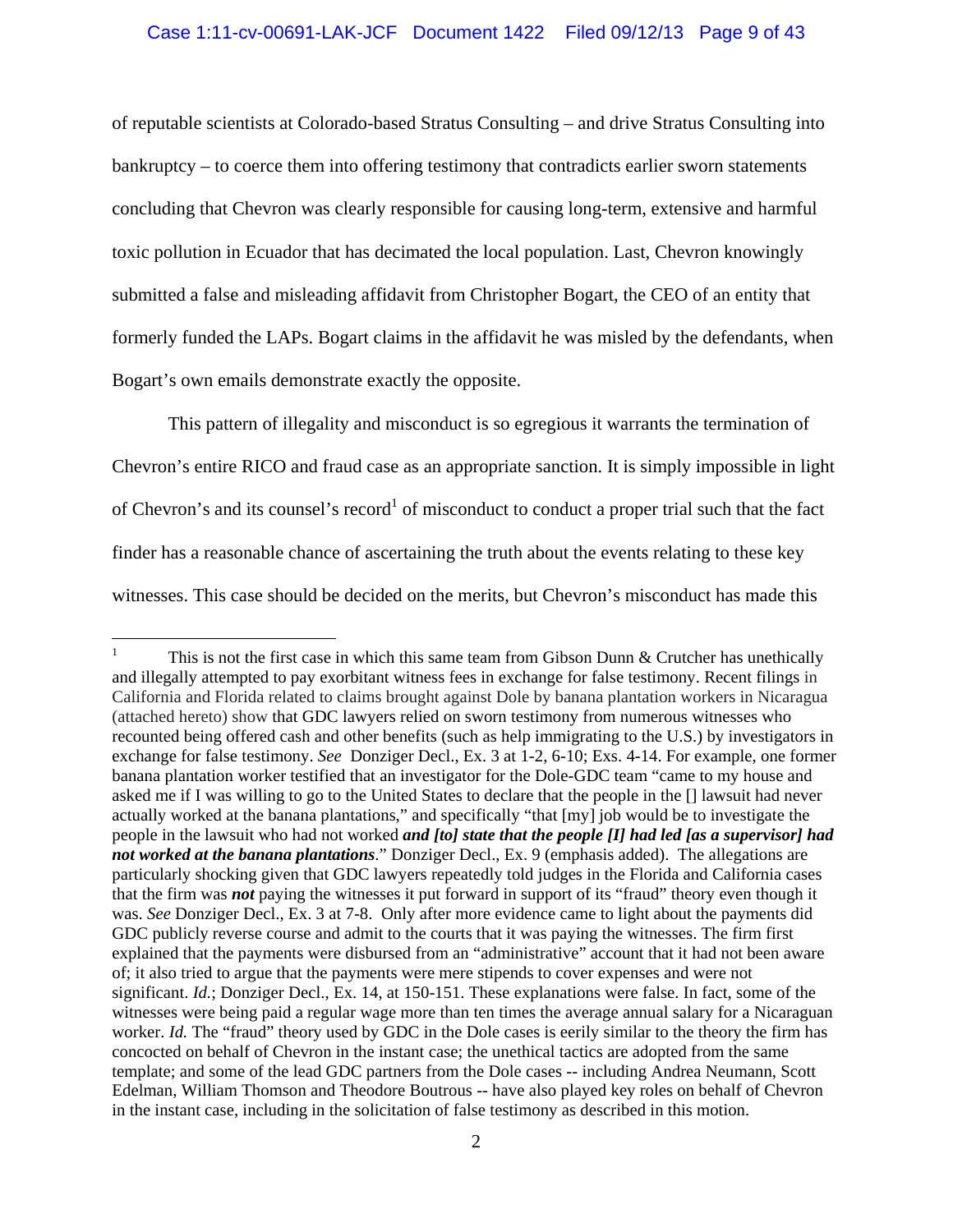#### Case 1:11-cv-00691-LAK-JCF Document 1422 Filed 09/12/13 Page 9 of 43

of reputable scientists at Colorado-based Stratus Consulting – and drive Stratus Consulting into bankruptcy – to coerce them into offering testimony that contradicts earlier sworn statements concluding that Chevron was clearly responsible for causing long-term, extensive and harmful toxic pollution in Ecuador that has decimated the local population. Last, Chevron knowingly submitted a false and misleading affidavit from Christopher Bogart, the CEO of an entity that formerly funded the LAPs. Bogart claims in the affidavit he was misled by the defendants, when Bogart's own emails demonstrate exactly the opposite.

This pattern of illegality and misconduct is so egregious it warrants the termination of Chevron's entire RICO and fraud case as an appropriate sanction. It is simply impossible in light of Chevron's and its counsel's record<sup>1</sup> of misconduct to conduct a proper trial such that the fact finder has a reasonable chance of ascertaining the truth about the events relating to these key witnesses. This case should be decided on the merits, but Chevron's misconduct has made this

 1 This is not the first case in which this same team from Gibson Dunn  $&$  Crutcher has unethically and illegally attempted to pay exorbitant witness fees in exchange for false testimony. Recent filings in California and Florida related to claims brought against Dole by banana plantation workers in Nicaragua (attached hereto) show that GDC lawyers relied on sworn testimony from numerous witnesses who recounted being offered cash and other benefits (such as help immigrating to the U.S.) by investigators in exchange for false testimony. *See* Donziger Decl., Ex. 3 at 1-2, 6-10; Exs. 4-14. For example, one former banana plantation worker testified that an investigator for the Dole-GDC team "came to my house and asked me if I was willing to go to the United States to declare that the people in the [] lawsuit had never actually worked at the banana plantations," and specifically "that [my] job would be to investigate the people in the lawsuit who had not worked *and [to] state that the people [I] had led [as a supervisor] had not worked at the banana plantations*." Donziger Decl., Ex. 9 (emphasis added). The allegations are particularly shocking given that GDC lawyers repeatedly told judges in the Florida and California cases that the firm was *not* paying the witnesses it put forward in support of its "fraud" theory even though it was. *See* Donziger Decl., Ex. 3 at 7-8. Only after more evidence came to light about the payments did GDC publicly reverse course and admit to the courts that it was paying the witnesses. The firm first explained that the payments were disbursed from an "administrative" account that it had not been aware of; it also tried to argue that the payments were mere stipends to cover expenses and were not significant. *Id.*; Donziger Decl., Ex. 14, at 150-151. These explanations were false. In fact, some of the witnesses were being paid a regular wage more than ten times the average annual salary for a Nicaraguan worker. *Id.* The "fraud" theory used by GDC in the Dole cases is eerily similar to the theory the firm has concocted on behalf of Chevron in the instant case; the unethical tactics are adopted from the same template; and some of the lead GDC partners from the Dole cases -- including Andrea Neumann, Scott Edelman, William Thomson and Theodore Boutrous -- have also played key roles on behalf of Chevron in the instant case, including in the solicitation of false testimony as described in this motion.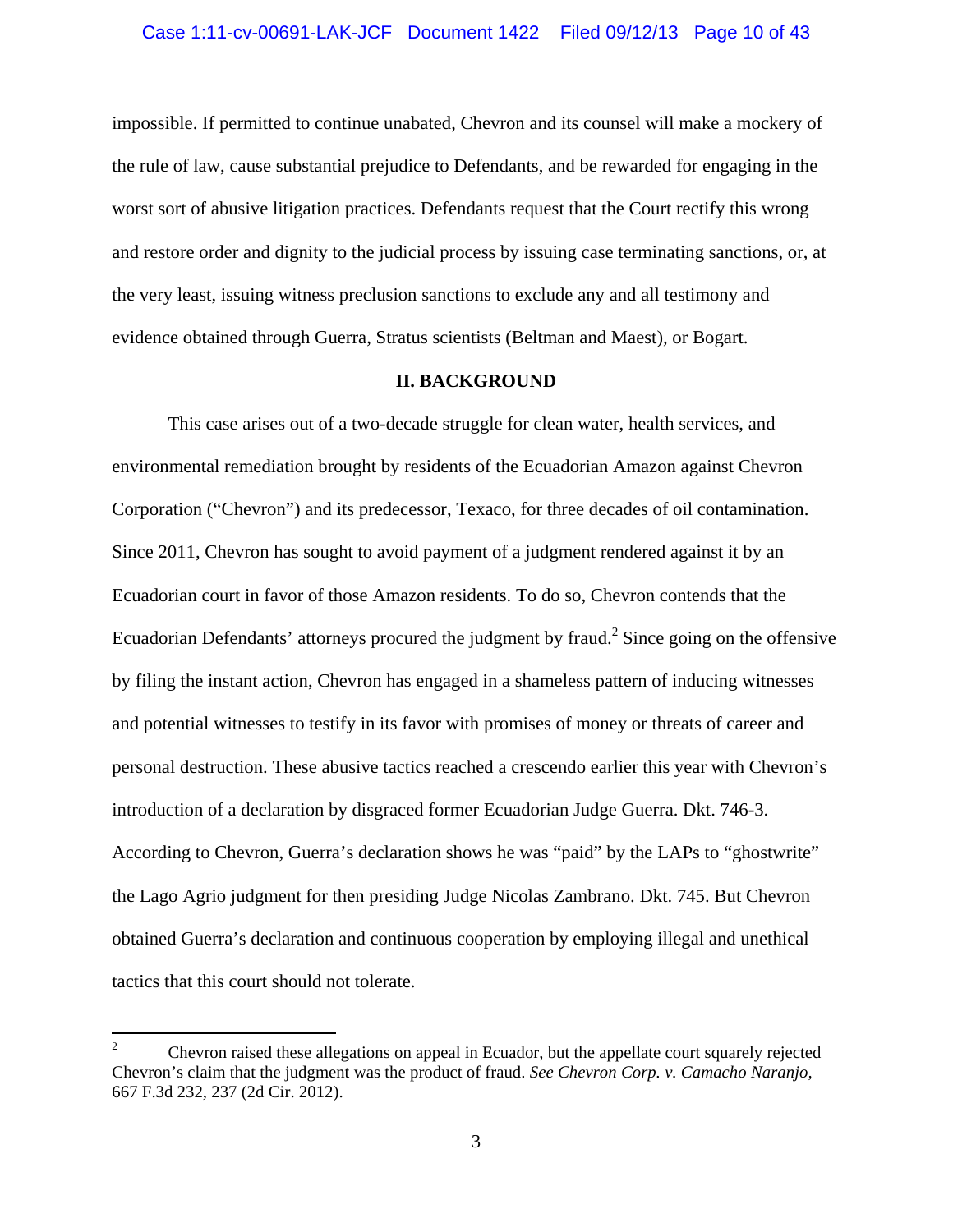impossible. If permitted to continue unabated, Chevron and its counsel will make a mockery of the rule of law, cause substantial prejudice to Defendants, and be rewarded for engaging in the worst sort of abusive litigation practices. Defendants request that the Court rectify this wrong and restore order and dignity to the judicial process by issuing case terminating sanctions, or, at the very least, issuing witness preclusion sanctions to exclude any and all testimony and evidence obtained through Guerra, Stratus scientists (Beltman and Maest), or Bogart.

#### **II. BACKGROUND**

This case arises out of a two-decade struggle for clean water, health services, and environmental remediation brought by residents of the Ecuadorian Amazon against Chevron Corporation ("Chevron") and its predecessor, Texaco, for three decades of oil contamination. Since 2011, Chevron has sought to avoid payment of a judgment rendered against it by an Ecuadorian court in favor of those Amazon residents. To do so, Chevron contends that the Ecuadorian Defendants' attorneys procured the judgment by fraud.<sup>2</sup> Since going on the offensive by filing the instant action, Chevron has engaged in a shameless pattern of inducing witnesses and potential witnesses to testify in its favor with promises of money or threats of career and personal destruction. These abusive tactics reached a crescendo earlier this year with Chevron's introduction of a declaration by disgraced former Ecuadorian Judge Guerra. Dkt. 746-3. According to Chevron, Guerra's declaration shows he was "paid" by the LAPs to "ghostwrite" the Lago Agrio judgment for then presiding Judge Nicolas Zambrano. Dkt. 745. But Chevron obtained Guerra's declaration and continuous cooperation by employing illegal and unethical tactics that this court should not tolerate.

 $\mathfrak{D}$  Chevron raised these allegations on appeal in Ecuador, but the appellate court squarely rejected Chevron's claim that the judgment was the product of fraud. *See Chevron Corp. v. Camacho Naranjo,* 667 F.3d 232, 237 (2d Cir. 2012).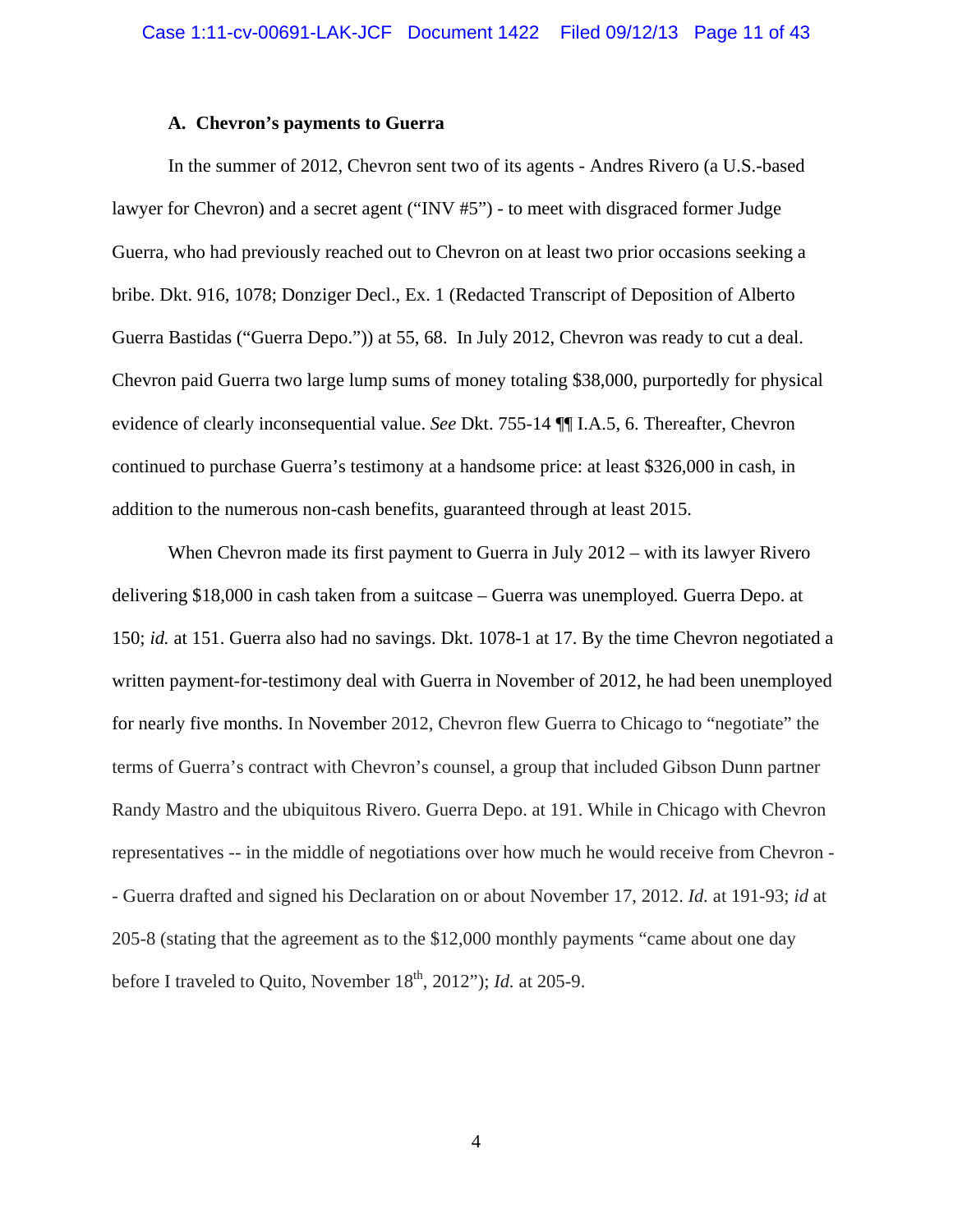#### **A. Chevron's payments to Guerra**

In the summer of 2012, Chevron sent two of its agents - Andres Rivero (a U.S.-based lawyer for Chevron) and a secret agent ("INV #5") - to meet with disgraced former Judge Guerra, who had previously reached out to Chevron on at least two prior occasions seeking a bribe. Dkt. 916, 1078; Donziger Decl., Ex. 1 (Redacted Transcript of Deposition of Alberto Guerra Bastidas ("Guerra Depo.")) at 55, 68. In July 2012, Chevron was ready to cut a deal. Chevron paid Guerra two large lump sums of money totaling \$38,000, purportedly for physical evidence of clearly inconsequential value. *See* Dkt. 755-14 ¶¶ I.A.5, 6. Thereafter, Chevron continued to purchase Guerra's testimony at a handsome price: at least \$326,000 in cash, in addition to the numerous non-cash benefits, guaranteed through at least 2015.

When Chevron made its first payment to Guerra in July 2012 – with its lawyer Rivero delivering \$18,000 in cash taken from a suitcase – Guerra was unemployed*.* Guerra Depo. at 150; *id.* at 151. Guerra also had no savings. Dkt. 1078-1 at 17. By the time Chevron negotiated a written payment-for-testimony deal with Guerra in November of 2012, he had been unemployed for nearly five months. In November 2012, Chevron flew Guerra to Chicago to "negotiate" the terms of Guerra's contract with Chevron's counsel, a group that included Gibson Dunn partner Randy Mastro and the ubiquitous Rivero. Guerra Depo. at 191. While in Chicago with Chevron representatives -- in the middle of negotiations over how much he would receive from Chevron - - Guerra drafted and signed his Declaration on or about November 17, 2012. *Id.* at 191-93; *id* at 205-8 (stating that the agreement as to the \$12,000 monthly payments "came about one day before I traveled to Quito, November 18<sup>th</sup>, 2012"); *Id.* at 205-9.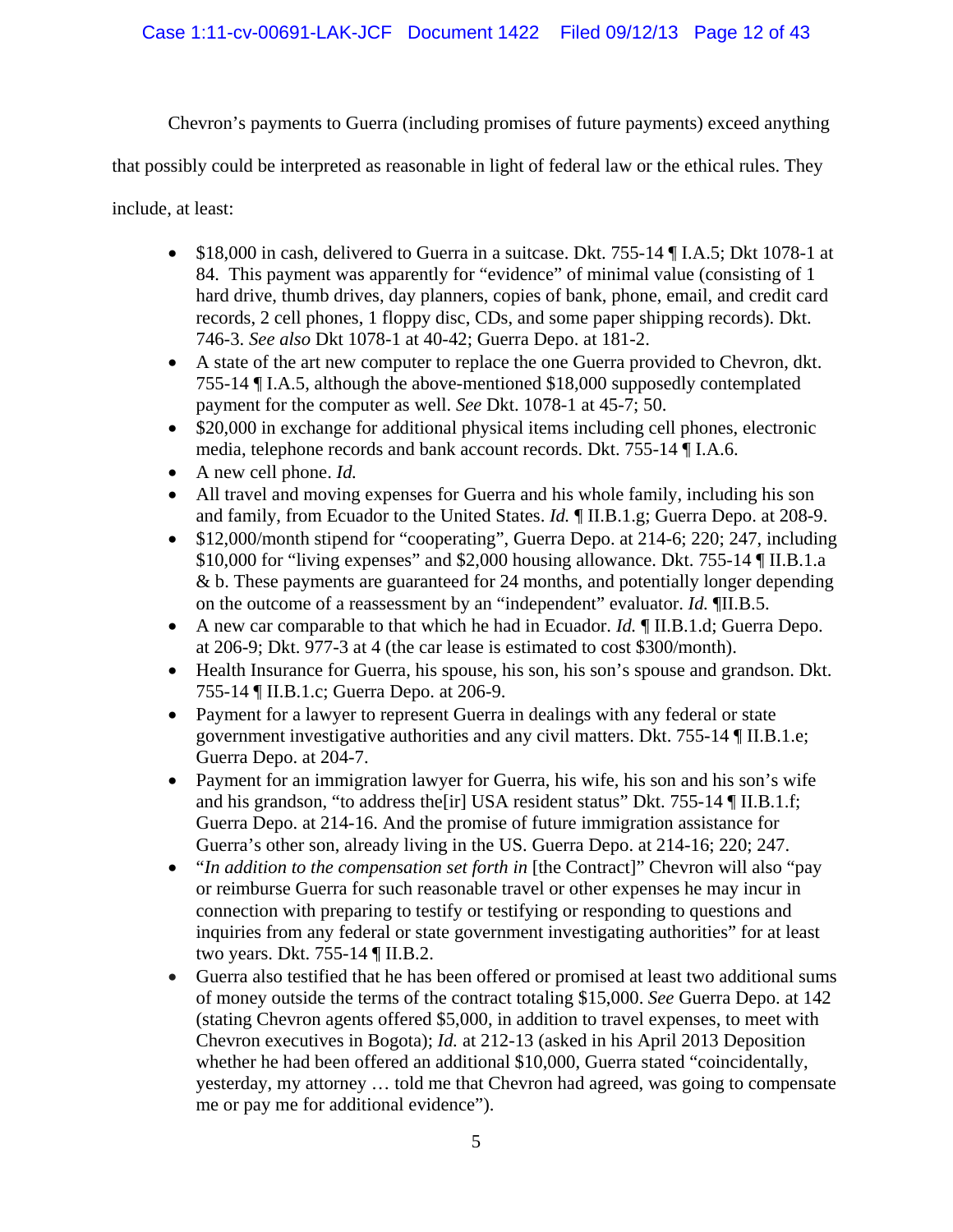Chevron's payments to Guerra (including promises of future payments) exceed anything

that possibly could be interpreted as reasonable in light of federal law or the ethical rules. They

include, at least:

- \$18,000 in cash, delivered to Guerra in a suitcase. Dkt. 755-14 ¶ I.A.5; Dkt 1078-1 at 84. This payment was apparently for "evidence" of minimal value (consisting of 1 hard drive, thumb drives, day planners, copies of bank, phone, email, and credit card records, 2 cell phones, 1 floppy disc, CDs, and some paper shipping records). Dkt. 746-3. *See also* Dkt 1078-1 at 40-42; Guerra Depo. at 181-2.
- A state of the art new computer to replace the one Guerra provided to Chevron, dkt. 755-14 ¶ I.A.5, although the above-mentioned \$18,000 supposedly contemplated payment for the computer as well. *See* Dkt. 1078-1 at 45-7; 50.
- \$20,000 in exchange for additional physical items including cell phones, electronic media, telephone records and bank account records. Dkt. 755-14 ¶ I.A.6.
- A new cell phone. *Id.*
- All travel and moving expenses for Guerra and his whole family, including his son and family, from Ecuador to the United States. *Id.* ¶ II.B.1.g; Guerra Depo. at 208-9.
- \$12,000/month stipend for "cooperating", Guerra Depo. at 214-6; 220; 247, including \$10,000 for "living expenses" and \$2,000 housing allowance. Dkt. 755-14 ¶ II.B.1.a & b. These payments are guaranteed for 24 months, and potentially longer depending on the outcome of a reassessment by an "independent" evaluator. *Id.* ¶II.B.5.
- A new car comparable to that which he had in Ecuador. *Id.* ¶ II.B.1.d; Guerra Depo. at 206-9; Dkt. 977-3 at 4 (the car lease is estimated to cost \$300/month).
- Health Insurance for Guerra, his spouse, his son, his son's spouse and grandson. Dkt. 755-14 ¶ II.B.1.c; Guerra Depo. at 206-9.
- Payment for a lawyer to represent Guerra in dealings with any federal or state government investigative authorities and any civil matters. Dkt. 755-14 ¶ II.B.1.e; Guerra Depo. at 204-7.
- Payment for an immigration lawyer for Guerra, his wife, his son and his son's wife and his grandson, "to address the[ir] USA resident status" Dkt. 755-14 ¶ II.B.1.f; Guerra Depo. at 214-16. And the promise of future immigration assistance for Guerra's other son, already living in the US. Guerra Depo. at 214-16; 220; 247.
- *"In addition to the compensation set forth in* [the Contract]" Chevron will also "pay or reimburse Guerra for such reasonable travel or other expenses he may incur in connection with preparing to testify or testifying or responding to questions and inquiries from any federal or state government investigating authorities" for at least two years. Dkt. 755-14 ¶ II.B.2.
- Guerra also testified that he has been offered or promised at least two additional sums of money outside the terms of the contract totaling \$15,000. *See* Guerra Depo. at 142 (stating Chevron agents offered \$5,000, in addition to travel expenses, to meet with Chevron executives in Bogota); *Id.* at 212-13 (asked in his April 2013 Deposition whether he had been offered an additional \$10,000, Guerra stated "coincidentally, yesterday, my attorney … told me that Chevron had agreed, was going to compensate me or pay me for additional evidence").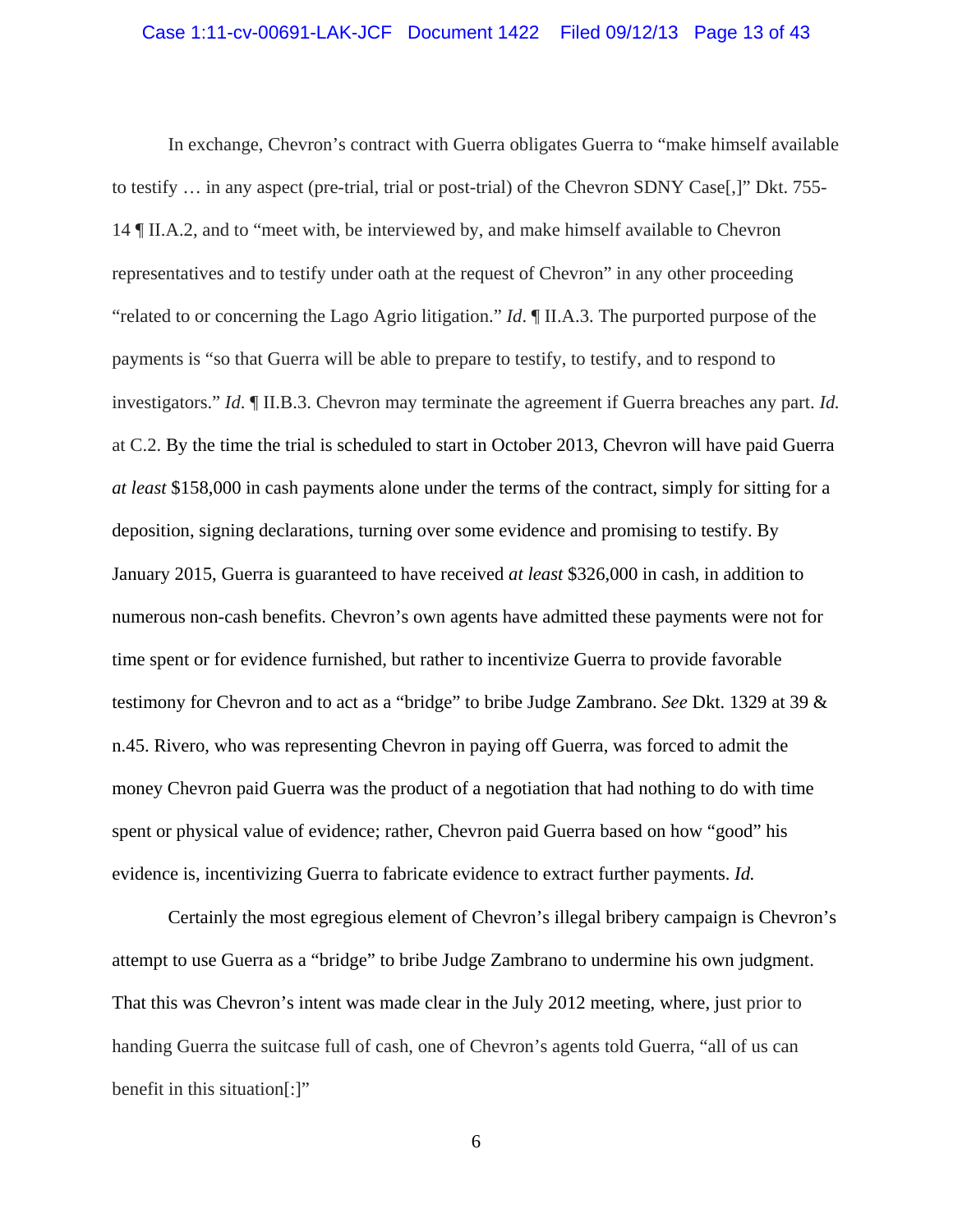#### Case 1:11-cv-00691-LAK-JCF Document 1422 Filed 09/12/13 Page 13 of 43

In exchange, Chevron's contract with Guerra obligates Guerra to "make himself available to testify … in any aspect (pre-trial, trial or post-trial) of the Chevron SDNY Case[,]" Dkt. 755- 14 ¶ II.A.2, and to "meet with, be interviewed by, and make himself available to Chevron representatives and to testify under oath at the request of Chevron" in any other proceeding "related to or concerning the Lago Agrio litigation." *Id*. ¶ II.A.3. The purported purpose of the payments is "so that Guerra will be able to prepare to testify, to testify, and to respond to investigators." *Id*. ¶ II.B.3. Chevron may terminate the agreement if Guerra breaches any part. *Id.*  at C.2. By the time the trial is scheduled to start in October 2013, Chevron will have paid Guerra *at least* \$158,000 in cash payments alone under the terms of the contract, simply for sitting for a deposition, signing declarations, turning over some evidence and promising to testify. By January 2015, Guerra is guaranteed to have received *at least* \$326,000 in cash, in addition to numerous non-cash benefits. Chevron's own agents have admitted these payments were not for time spent or for evidence furnished, but rather to incentivize Guerra to provide favorable testimony for Chevron and to act as a "bridge" to bribe Judge Zambrano. *See* Dkt. 1329 at 39 & n.45. Rivero, who was representing Chevron in paying off Guerra, was forced to admit the money Chevron paid Guerra was the product of a negotiation that had nothing to do with time spent or physical value of evidence; rather, Chevron paid Guerra based on how "good" his evidence is, incentivizing Guerra to fabricate evidence to extract further payments. *Id.* 

Certainly the most egregious element of Chevron's illegal bribery campaign is Chevron's attempt to use Guerra as a "bridge" to bribe Judge Zambrano to undermine his own judgment. That this was Chevron's intent was made clear in the July 2012 meeting, where, just prior to handing Guerra the suitcase full of cash, one of Chevron's agents told Guerra, "all of us can benefit in this situation[:]"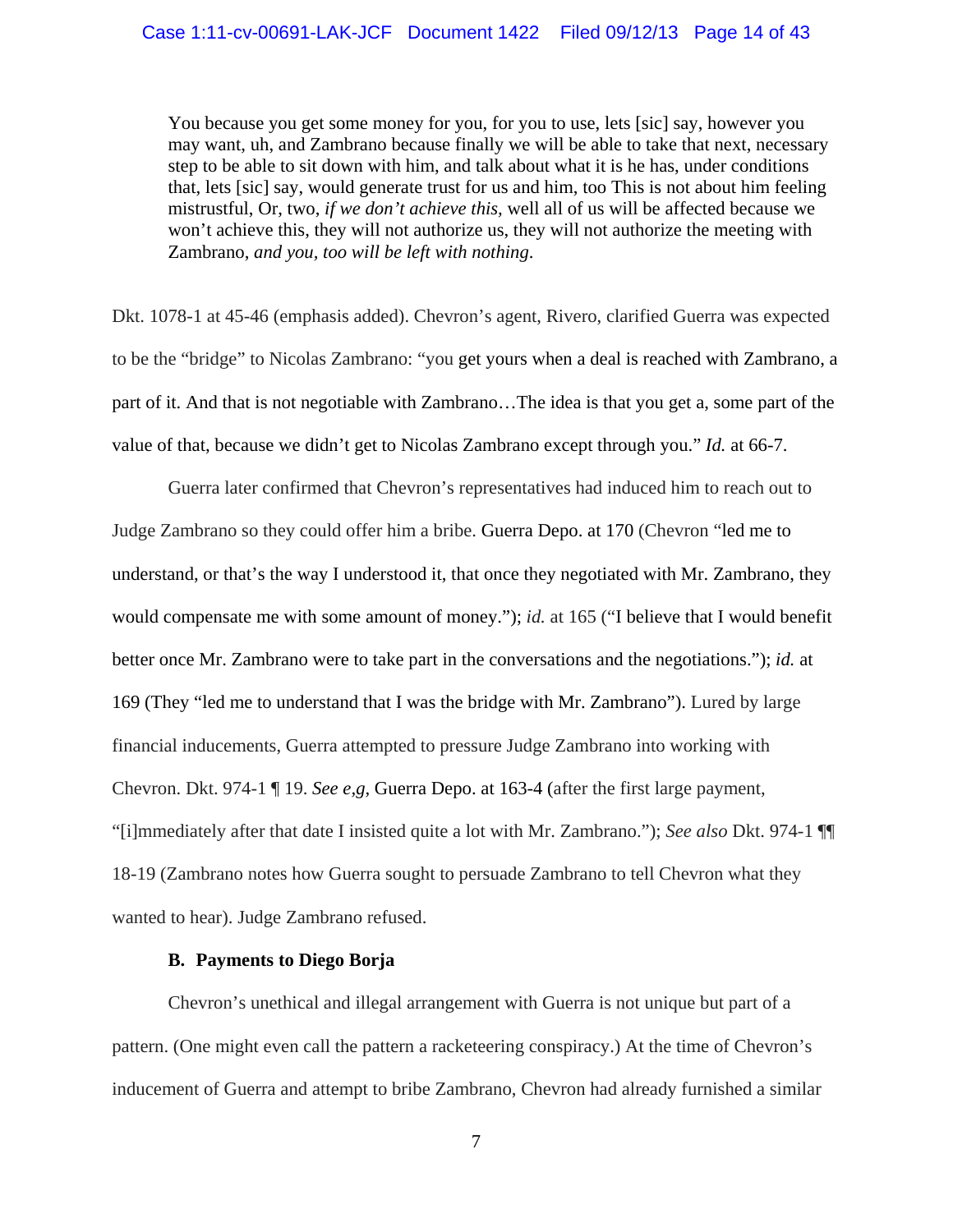You because you get some money for you, for you to use, lets [sic] say, however you may want, uh, and Zambrano because finally we will be able to take that next, necessary step to be able to sit down with him, and talk about what it is he has, under conditions that, lets [sic] say, would generate trust for us and him, too This is not about him feeling mistrustful, Or, two, *if we don't achieve this,* well all of us will be affected because we won't achieve this, they will not authorize us, they will not authorize the meeting with Zambrano, *and you, too will be left with nothing*.

Dkt. 1078-1 at 45-46 (emphasis added). Chevron's agent, Rivero, clarified Guerra was expected to be the "bridge" to Nicolas Zambrano: "you get yours when a deal is reached with Zambrano, a part of it. And that is not negotiable with Zambrano…The idea is that you get a, some part of the value of that, because we didn't get to Nicolas Zambrano except through you." *Id.* at 66-7.

Guerra later confirmed that Chevron's representatives had induced him to reach out to Judge Zambrano so they could offer him a bribe. Guerra Depo. at 170 (Chevron "led me to understand, or that's the way I understood it, that once they negotiated with Mr. Zambrano, they would compensate me with some amount of money."); *id.* at 165 ("I believe that I would benefit better once Mr. Zambrano were to take part in the conversations and the negotiations."); *id.* at 169 (They "led me to understand that I was the bridge with Mr. Zambrano"). Lured by large financial inducements, Guerra attempted to pressure Judge Zambrano into working with Chevron. Dkt. 974-1 ¶ 19. *See e,g,* Guerra Depo. at 163-4 (after the first large payment, "[i]mmediately after that date I insisted quite a lot with Mr. Zambrano."); *See also* Dkt. 974-1 ¶¶ 18-19 (Zambrano notes how Guerra sought to persuade Zambrano to tell Chevron what they wanted to hear). Judge Zambrano refused.

#### **B. Payments to Diego Borja**

Chevron's unethical and illegal arrangement with Guerra is not unique but part of a pattern. (One might even call the pattern a racketeering conspiracy.) At the time of Chevron's inducement of Guerra and attempt to bribe Zambrano, Chevron had already furnished a similar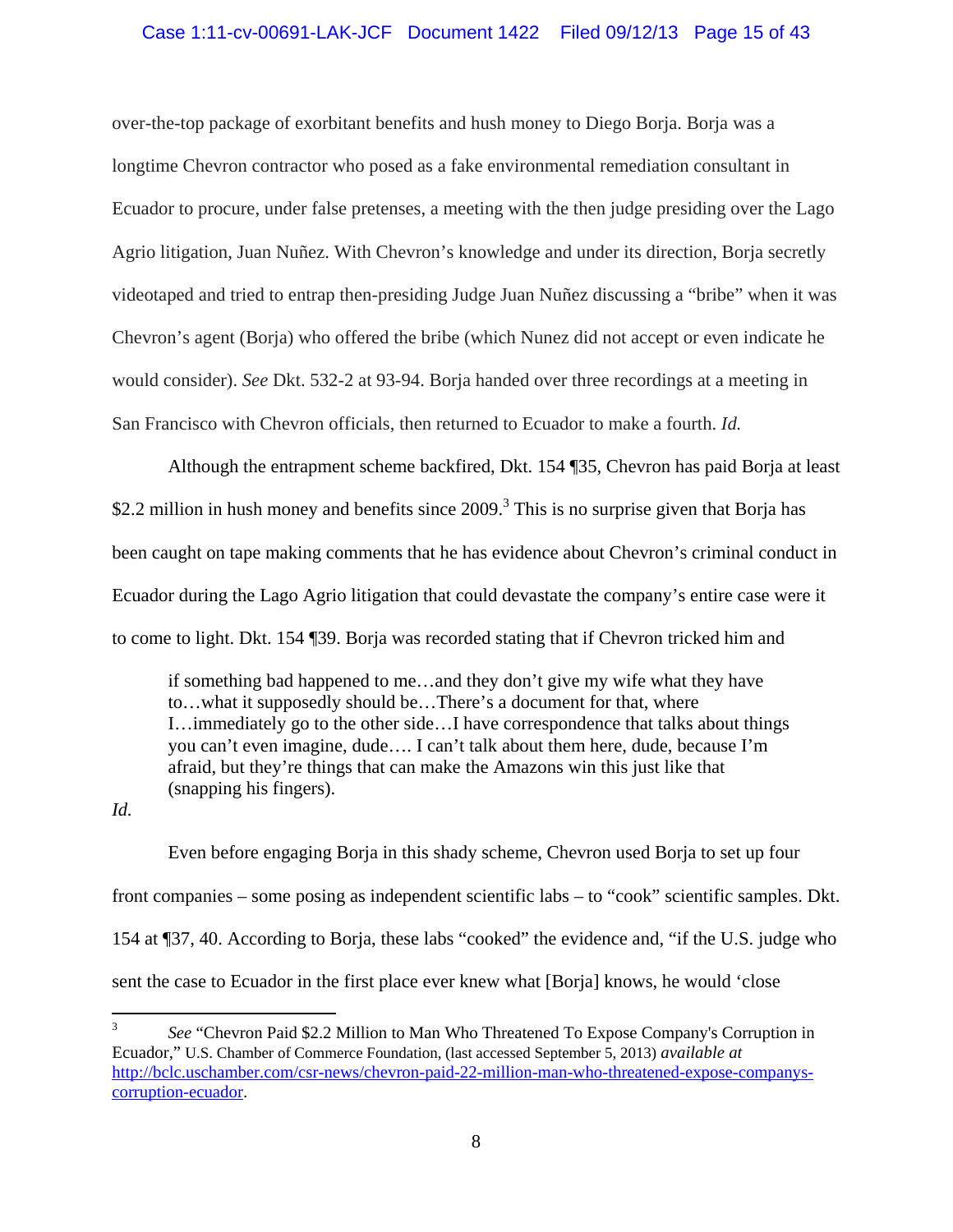### Case 1:11-cv-00691-LAK-JCF Document 1422 Filed 09/12/13 Page 15 of 43

over-the-top package of exorbitant benefits and hush money to Diego Borja. Borja was a longtime Chevron contractor who posed as a fake environmental remediation consultant in Ecuador to procure, under false pretenses, a meeting with the then judge presiding over the Lago Agrio litigation, Juan Nuñez. With Chevron's knowledge and under its direction, Borja secretly videotaped and tried to entrap then-presiding Judge Juan Nuñez discussing a "bribe" when it was Chevron's agent (Borja) who offered the bribe (which Nunez did not accept or even indicate he would consider). *See* Dkt. 532-2 at 93-94. Borja handed over three recordings at a meeting in San Francisco with Chevron officials, then returned to Ecuador to make a fourth. *Id.* 

Although the entrapment scheme backfired, Dkt. 154 ¶35, Chevron has paid Borja at least \$2.2 million in hush money and benefits since  $2009$ .<sup>3</sup> This is no surprise given that Borja has been caught on tape making comments that he has evidence about Chevron's criminal conduct in Ecuador during the Lago Agrio litigation that could devastate the company's entire case were it to come to light. Dkt. 154 ¶39. Borja was recorded stating that if Chevron tricked him and

if something bad happened to me…and they don't give my wife what they have to…what it supposedly should be…There's a document for that, where I…immediately go to the other side…I have correspondence that talks about things you can't even imagine, dude…. I can't talk about them here, dude, because I'm afraid, but they're things that can make the Amazons win this just like that (snapping his fingers).

*Id.* 

Even before engaging Borja in this shady scheme, Chevron used Borja to set up four front companies – some posing as independent scientific labs – to "cook" scientific samples. Dkt. 154 at ¶37, 40. According to Borja, these labs "cooked" the evidence and, "if the U.S. judge who sent the case to Ecuador in the first place ever knew what [Borja] knows, he would 'close

<sup>3</sup> *See* "Chevron Paid \$2.2 Million to Man Who Threatened To Expose Company's Corruption in Ecuador," U.S. Chamber of Commerce Foundation, (last accessed September 5, 2013) *available at* http://bclc.uschamber.com/csr-news/chevron-paid-22-million-man-who-threatened-expose-companyscorruption-ecuador.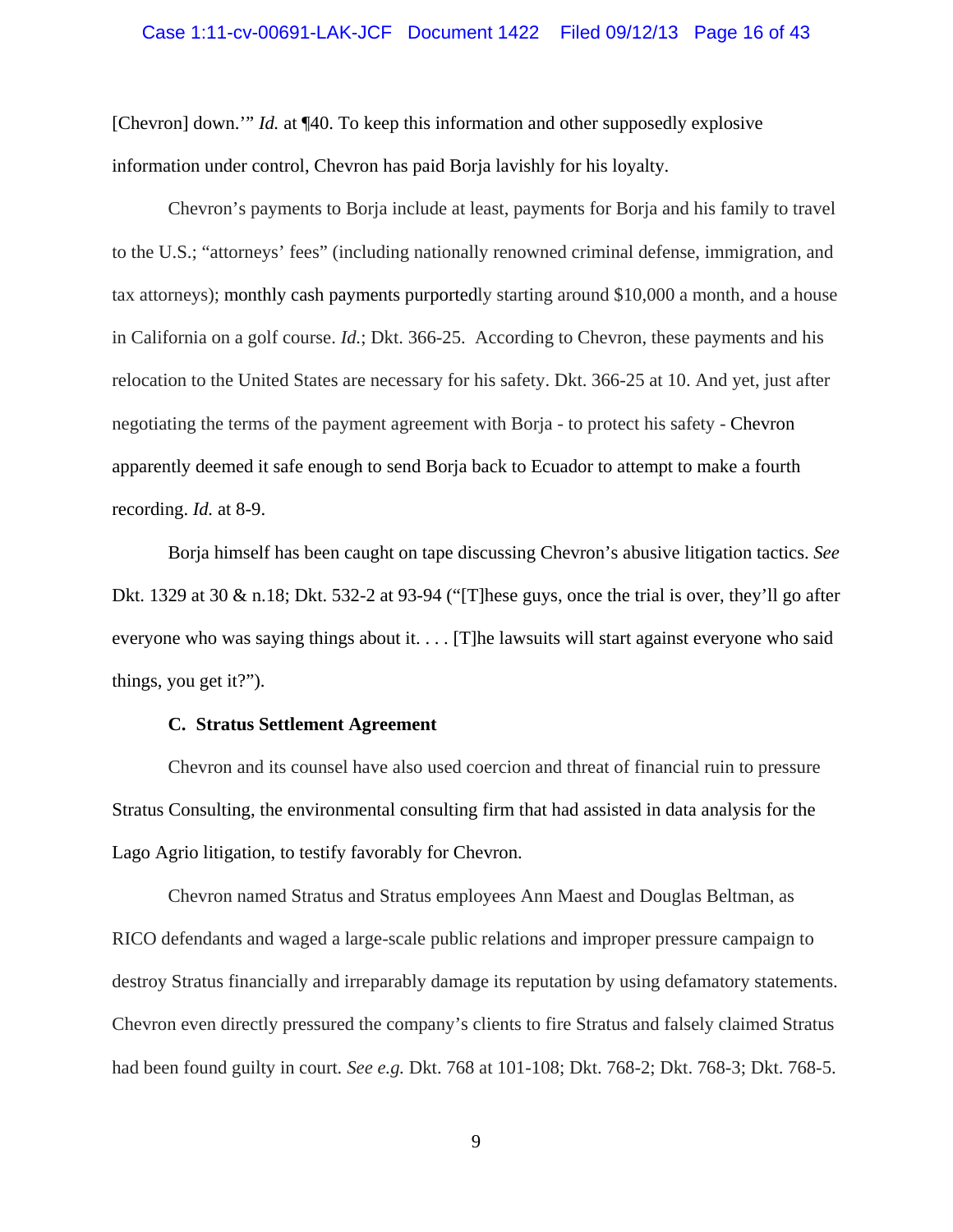### Case 1:11-cv-00691-LAK-JCF Document 1422 Filed 09/12/13 Page 16 of 43

[Chevron] down.'" *Id.* at ¶40. To keep this information and other supposedly explosive information under control, Chevron has paid Borja lavishly for his loyalty.

Chevron's payments to Borja include at least, payments for Borja and his family to travel to the U.S.; "attorneys' fees" (including nationally renowned criminal defense, immigration, and tax attorneys); monthly cash payments purportedly starting around \$10,000 a month, and a house in California on a golf course. *Id.*; Dkt. 366-25. According to Chevron, these payments and his relocation to the United States are necessary for his safety. Dkt. 366-25 at 10. And yet, just after negotiating the terms of the payment agreement with Borja - to protect his safety - Chevron apparently deemed it safe enough to send Borja back to Ecuador to attempt to make a fourth recording. *Id.* at 8-9.

Borja himself has been caught on tape discussing Chevron's abusive litigation tactics. *See*  Dkt. 1329 at 30  $\&$  n.18; Dkt. 532-2 at 93-94 ("[T]hese guys, once the trial is over, they'll go after everyone who was saying things about it. . . . [T]he lawsuits will start against everyone who said things, you get it?").

#### **C. Stratus Settlement Agreement**

Chevron and its counsel have also used coercion and threat of financial ruin to pressure Stratus Consulting, the environmental consulting firm that had assisted in data analysis for the Lago Agrio litigation, to testify favorably for Chevron.

Chevron named Stratus and Stratus employees Ann Maest and Douglas Beltman, as RICO defendants and waged a large-scale public relations and improper pressure campaign to destroy Stratus financially and irreparably damage its reputation by using defamatory statements. Chevron even directly pressured the company's clients to fire Stratus and falsely claimed Stratus had been found guilty in court*. See e.g.* Dkt. 768 at 101-108; Dkt. 768-2; Dkt. 768-3; Dkt. 768-5.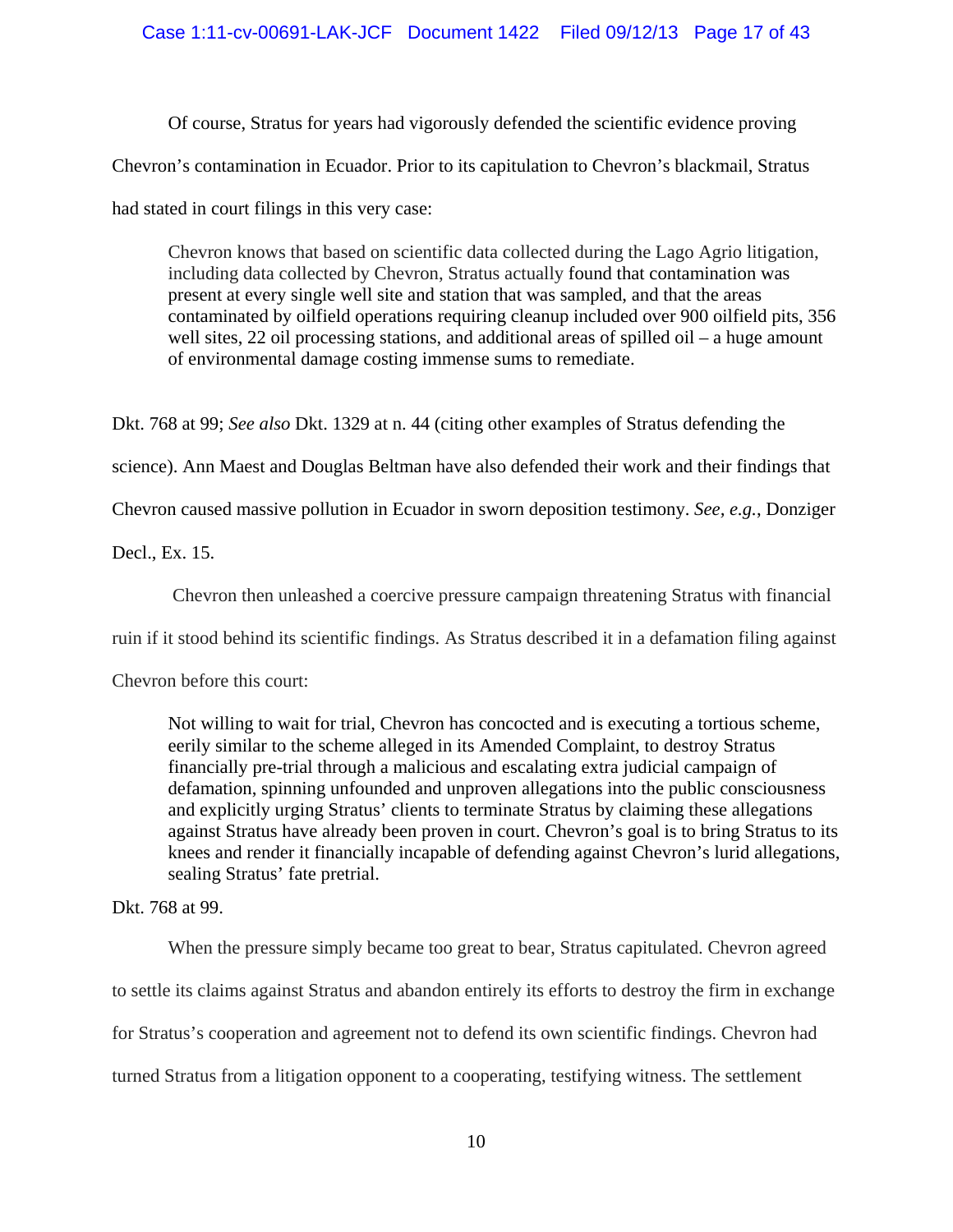### Case 1:11-cv-00691-LAK-JCF Document 1422 Filed 09/12/13 Page 17 of 43

Of course, Stratus for years had vigorously defended the scientific evidence proving Chevron's contamination in Ecuador. Prior to its capitulation to Chevron's blackmail, Stratus had stated in court filings in this very case:

Chevron knows that based on scientific data collected during the Lago Agrio litigation, including data collected by Chevron, Stratus actually found that contamination was present at every single well site and station that was sampled, and that the areas contaminated by oilfield operations requiring cleanup included over 900 oilfield pits, 356 well sites, 22 oil processing stations, and additional areas of spilled oil – a huge amount of environmental damage costing immense sums to remediate.

Dkt. 768 at 99; *See also* Dkt. 1329 at n. 44 (citing other examples of Stratus defending the

science). Ann Maest and Douglas Beltman have also defended their work and their findings that

Chevron caused massive pollution in Ecuador in sworn deposition testimony. *See, e.g.*, Donziger

Decl., Ex. 15.

Chevron then unleashed a coercive pressure campaign threatening Stratus with financial

ruin if it stood behind its scientific findings. As Stratus described it in a defamation filing against

Chevron before this court:

Not willing to wait for trial, Chevron has concocted and is executing a tortious scheme, eerily similar to the scheme alleged in its Amended Complaint, to destroy Stratus financially pre-trial through a malicious and escalating extra judicial campaign of defamation, spinning unfounded and unproven allegations into the public consciousness and explicitly urging Stratus' clients to terminate Stratus by claiming these allegations against Stratus have already been proven in court. Chevron's goal is to bring Stratus to its knees and render it financially incapable of defending against Chevron's lurid allegations, sealing Stratus' fate pretrial.

### Dkt. 768 at 99.

When the pressure simply became too great to bear, Stratus capitulated. Chevron agreed to settle its claims against Stratus and abandon entirely its efforts to destroy the firm in exchange for Stratus's cooperation and agreement not to defend its own scientific findings. Chevron had turned Stratus from a litigation opponent to a cooperating, testifying witness. The settlement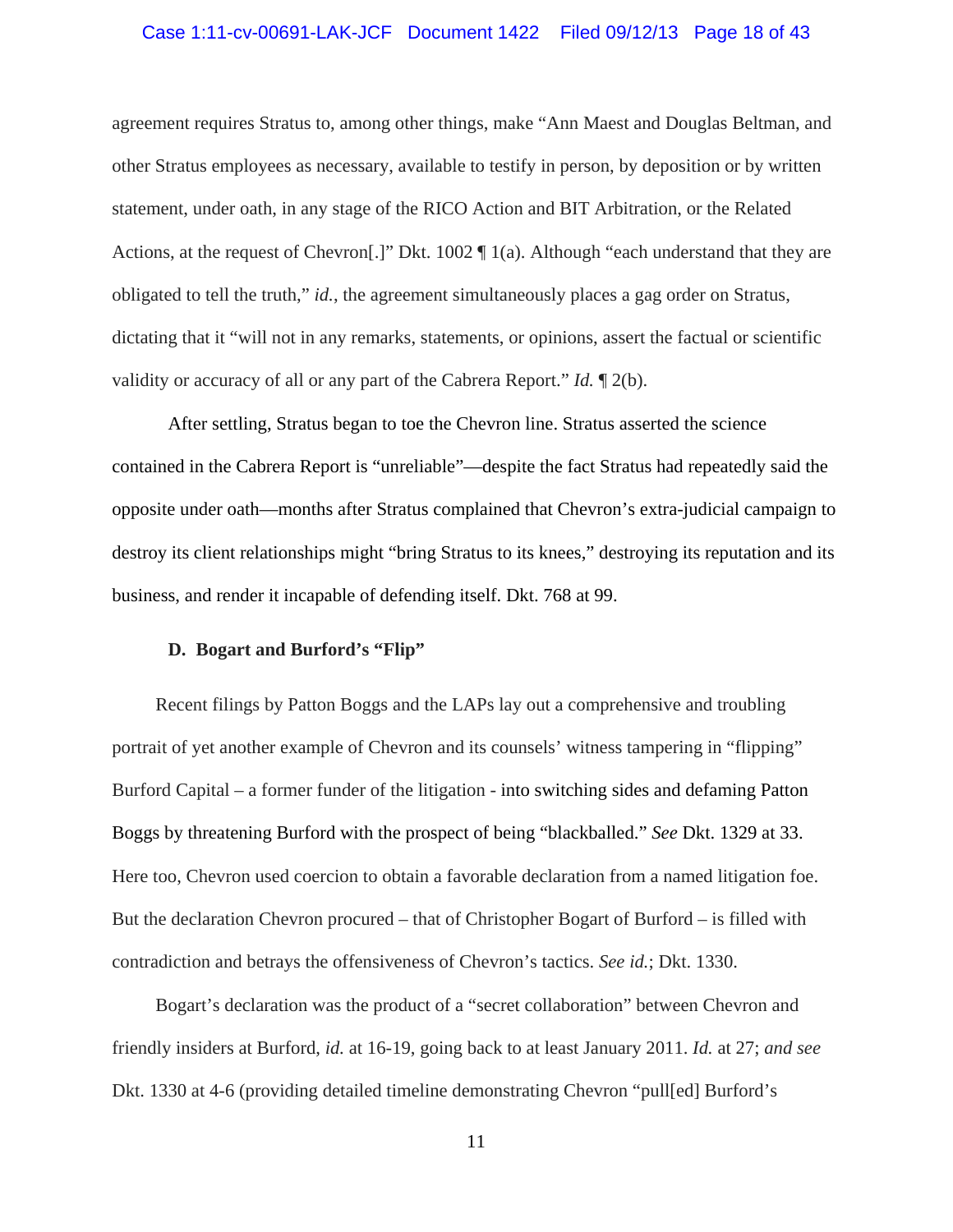#### Case 1:11-cv-00691-LAK-JCF Document 1422 Filed 09/12/13 Page 18 of 43

agreement requires Stratus to, among other things, make "Ann Maest and Douglas Beltman, and other Stratus employees as necessary, available to testify in person, by deposition or by written statement, under oath, in any stage of the RICO Action and BIT Arbitration, or the Related Actions, at the request of Chevron[.]" Dkt. 1002 ¶ 1(a). Although "each understand that they are obligated to tell the truth," *id.*, the agreement simultaneously places a gag order on Stratus, dictating that it "will not in any remarks, statements, or opinions, assert the factual or scientific validity or accuracy of all or any part of the Cabrera Report." *Id.* ¶ 2(b).

After settling, Stratus began to toe the Chevron line. Stratus asserted the science contained in the Cabrera Report is "unreliable"—despite the fact Stratus had repeatedly said the opposite under oath—months after Stratus complained that Chevron's extra-judicial campaign to destroy its client relationships might "bring Stratus to its knees," destroying its reputation and its business, and render it incapable of defending itself. Dkt. 768 at 99.

### **D. Bogart and Burford's "Flip"**

 Recent filings by Patton Boggs and the LAPs lay out a comprehensive and troubling portrait of yet another example of Chevron and its counsels' witness tampering in "flipping" Burford Capital – a former funder of the litigation - into switching sides and defaming Patton Boggs by threatening Burford with the prospect of being "blackballed." *See* Dkt. 1329 at 33. Here too, Chevron used coercion to obtain a favorable declaration from a named litigation foe. But the declaration Chevron procured – that of Christopher Bogart of Burford – is filled with contradiction and betrays the offensiveness of Chevron's tactics. *See id.*; Dkt. 1330.

 Bogart's declaration was the product of a "secret collaboration" between Chevron and friendly insiders at Burford, *id.* at 16-19, going back to at least January 2011. *Id.* at 27; *and see* Dkt. 1330 at 4-6 (providing detailed timeline demonstrating Chevron "pull[ed] Burford's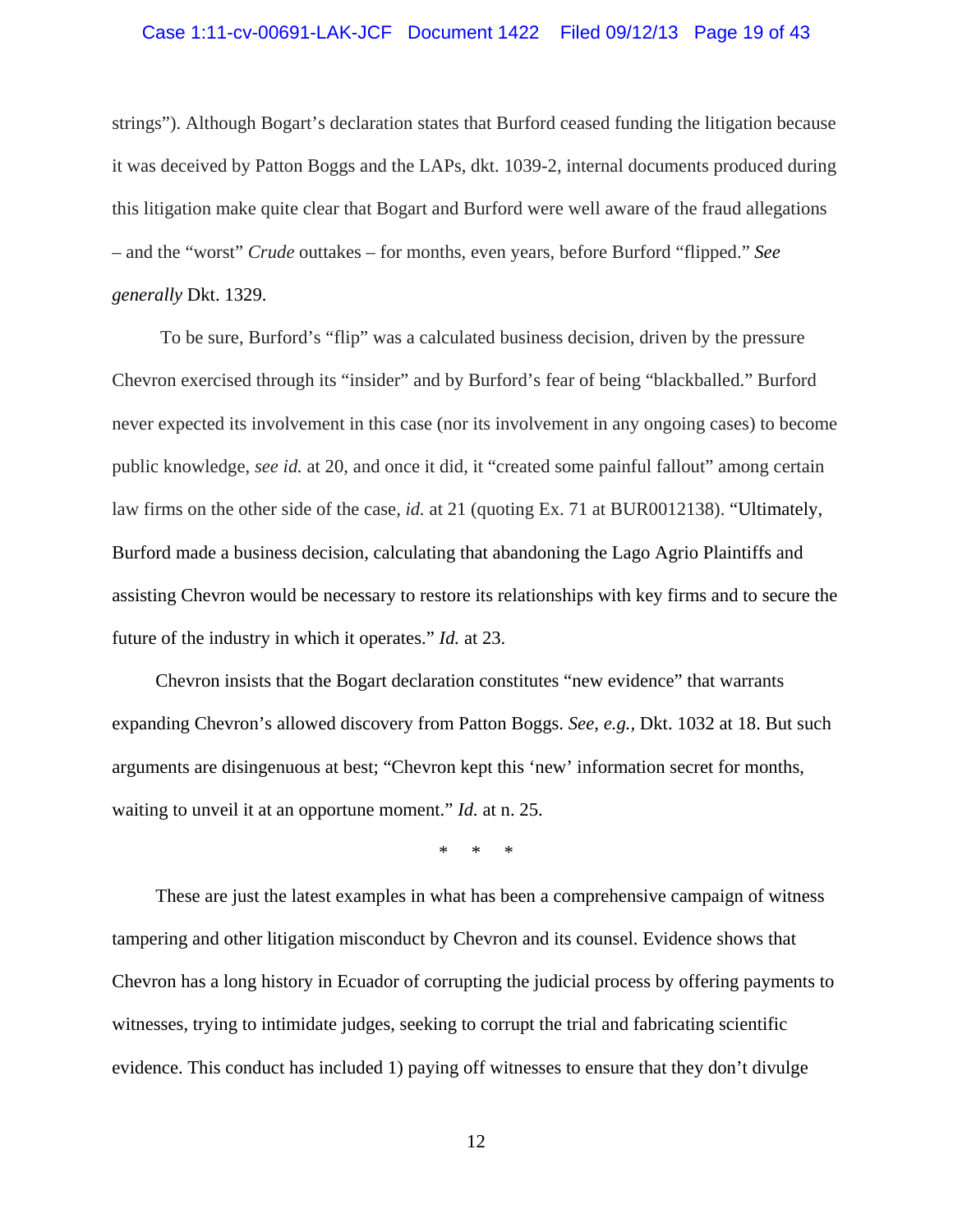#### Case 1:11-cv-00691-LAK-JCF Document 1422 Filed 09/12/13 Page 19 of 43

strings"). Although Bogart's declaration states that Burford ceased funding the litigation because it was deceived by Patton Boggs and the LAPs, dkt. 1039-2, internal documents produced during this litigation make quite clear that Bogart and Burford were well aware of the fraud allegations – and the "worst" *Crude* outtakes – for months, even years, before Burford "flipped." *See generally* Dkt. 1329.

 To be sure, Burford's "flip" was a calculated business decision, driven by the pressure Chevron exercised through its "insider" and by Burford's fear of being "blackballed." Burford never expected its involvement in this case (nor its involvement in any ongoing cases) to become public knowledge, *see id.* at 20, and once it did, it "created some painful fallout" among certain law firms on the other side of the case*, id.* at 21 (quoting Ex. 71 at BUR0012138). "Ultimately, Burford made a business decision, calculating that abandoning the Lago Agrio Plaintiffs and assisting Chevron would be necessary to restore its relationships with key firms and to secure the future of the industry in which it operates." *Id.* at 23.

 Chevron insists that the Bogart declaration constitutes "new evidence" that warrants expanding Chevron's allowed discovery from Patton Boggs. *See, e.g.,* Dkt. 1032 at 18. But such arguments are disingenuous at best; "Chevron kept this 'new' information secret for months, waiting to unveil it at an opportune moment." *Id.* at n. 25.

\* \* \*

 These are just the latest examples in what has been a comprehensive campaign of witness tampering and other litigation misconduct by Chevron and its counsel. Evidence shows that Chevron has a long history in Ecuador of corrupting the judicial process by offering payments to witnesses, trying to intimidate judges, seeking to corrupt the trial and fabricating scientific evidence. This conduct has included 1) paying off witnesses to ensure that they don't divulge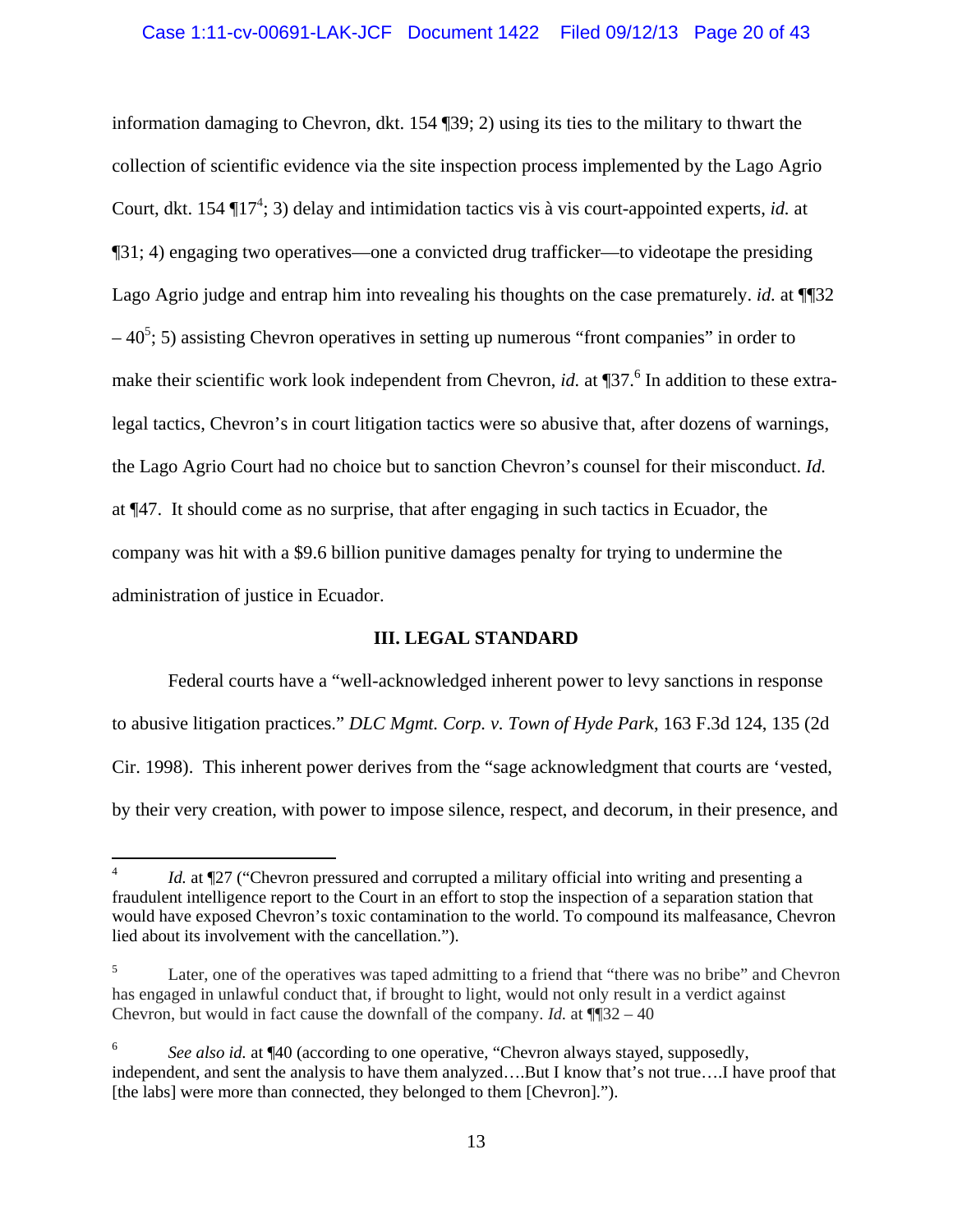information damaging to Chevron, dkt. 154 ¶39; 2) using its ties to the military to thwart the collection of scientific evidence via the site inspection process implemented by the Lago Agrio Court, dkt. 154 ¶17<sup>4</sup>; 3) delay and intimidation tactics vis à vis court-appointed experts, *id.* at ¶31; 4) engaging two operatives—one a convicted drug trafficker—to videotape the presiding Lago Agrio judge and entrap him into revealing his thoughts on the case prematurely. *id.* at ¶¶32  $-40^5$ ; 5) assisting Chevron operatives in setting up numerous "front companies" in order to make their scientific work look independent from Chevron, *id.* at ¶37.<sup>6</sup> In addition to these extralegal tactics, Chevron's in court litigation tactics were so abusive that, after dozens of warnings, the Lago Agrio Court had no choice but to sanction Chevron's counsel for their misconduct. *Id.*  at ¶47. It should come as no surprise, that after engaging in such tactics in Ecuador, the company was hit with a \$9.6 billion punitive damages penalty for trying to undermine the administration of justice in Ecuador.

### **III. LEGAL STANDARD**

Federal courts have a "well-acknowledged inherent power to levy sanctions in response to abusive litigation practices." *DLC Mgmt. Corp. v. Town of Hyde Park*, 163 F.3d 124, 135 (2d Cir. 1998). This inherent power derives from the "sage acknowledgment that courts are 'vested, by their very creation, with power to impose silence, respect, and decorum, in their presence, and

<sup>4</sup> *Id.* at  $\P$ 27 ("Chevron pressured and corrupted a military official into writing and presenting a fraudulent intelligence report to the Court in an effort to stop the inspection of a separation station that would have exposed Chevron's toxic contamination to the world. To compound its malfeasance, Chevron lied about its involvement with the cancellation.").

<sup>5</sup> Later, one of the operatives was taped admitting to a friend that "there was no bribe" and Chevron has engaged in unlawful conduct that, if brought to light, would not only result in a verdict against Chevron, but would in fact cause the downfall of the company. *Id.* at ¶¶32 – 40

<sup>6</sup> *See also id.* at ¶40 (according to one operative, "Chevron always stayed, supposedly, independent, and sent the analysis to have them analyzed….But I know that's not true….I have proof that [the labs] were more than connected, they belonged to them [Chevron].").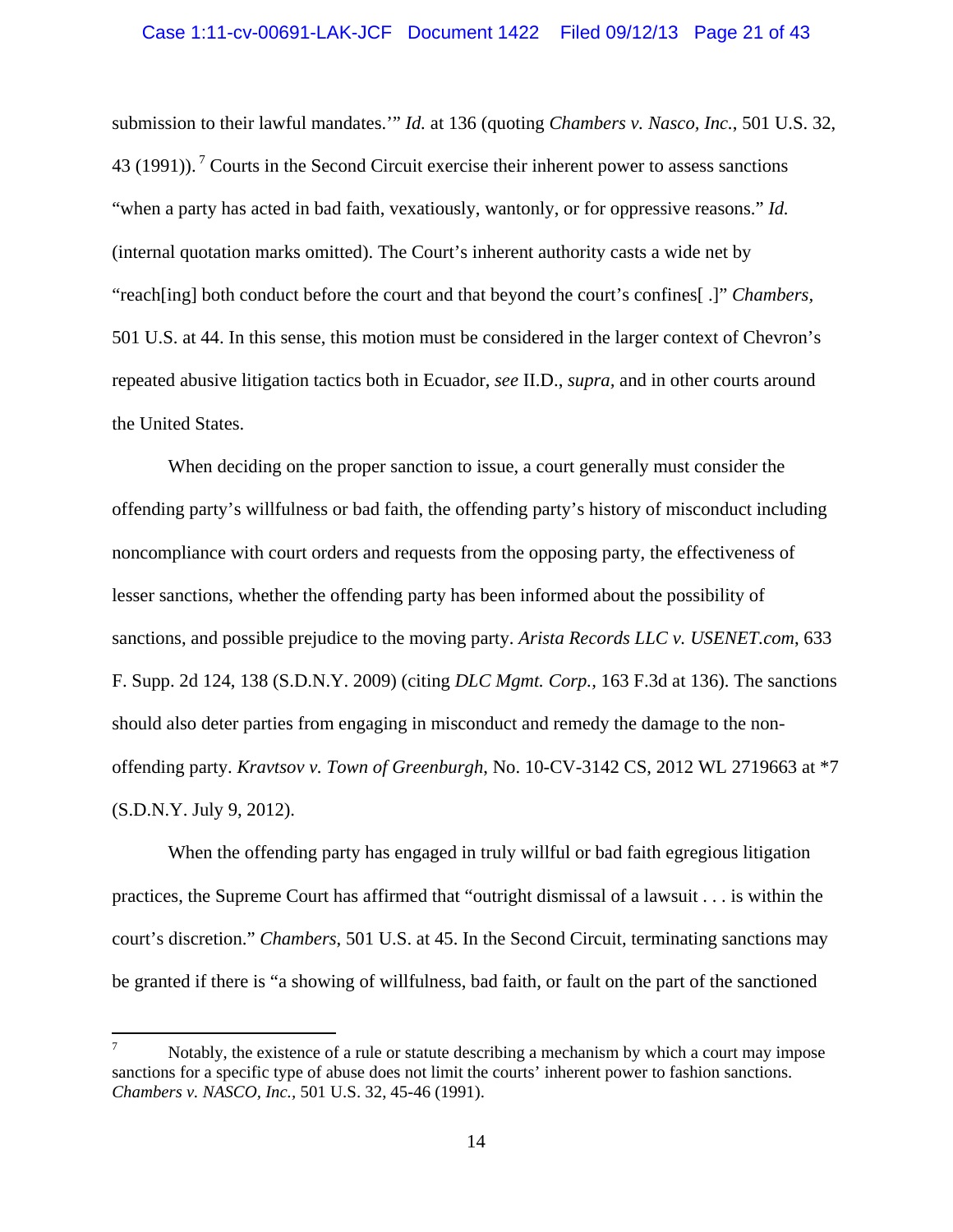#### Case 1:11-cv-00691-LAK-JCF Document 1422 Filed 09/12/13 Page 21 of 43

submission to their lawful mandates.'" *Id.* at 136 (quoting *Chambers v. Nasco, Inc.*, 501 U.S. 32, 43 (1991)).<sup>7</sup> Courts in the Second Circuit exercise their inherent power to assess sanctions "when a party has acted in bad faith, vexatiously, wantonly, or for oppressive reasons." *Id.*  (internal quotation marks omitted). The Court's inherent authority casts a wide net by "reach[ing] both conduct before the court and that beyond the court's confines[ .]" *Chambers,* 501 U.S. at 44. In this sense, this motion must be considered in the larger context of Chevron's repeated abusive litigation tactics both in Ecuador, *see* II.D., *supra,* and in other courts around the United States.

When deciding on the proper sanction to issue, a court generally must consider the offending party's willfulness or bad faith, the offending party's history of misconduct including noncompliance with court orders and requests from the opposing party, the effectiveness of lesser sanctions, whether the offending party has been informed about the possibility of sanctions, and possible prejudice to the moving party. *Arista Records LLC v. USENET.com*, 633 F. Supp. 2d 124, 138 (S.D.N.Y. 2009) (citing *DLC Mgmt. Corp.,* 163 F.3d at 136). The sanctions should also deter parties from engaging in misconduct and remedy the damage to the nonoffending party. *Kravtsov v. Town of Greenburgh*, No. 10-CV-3142 CS, 2012 WL 2719663 at \*7 (S.D.N.Y. July 9, 2012).

When the offending party has engaged in truly willful or bad faith egregious litigation practices, the Supreme Court has affirmed that "outright dismissal of a lawsuit . . . is within the court's discretion." *Chambers*, 501 U.S. at 45. In the Second Circuit, terminating sanctions may be granted if there is "a showing of willfulness, bad faith, or fault on the part of the sanctioned

<sup>7</sup> Notably, the existence of a rule or statute describing a mechanism by which a court may impose sanctions for a specific type of abuse does not limit the courts' inherent power to fashion sanctions. *Chambers v. NASCO, Inc.,* 501 U.S. 32, 45-46 (1991).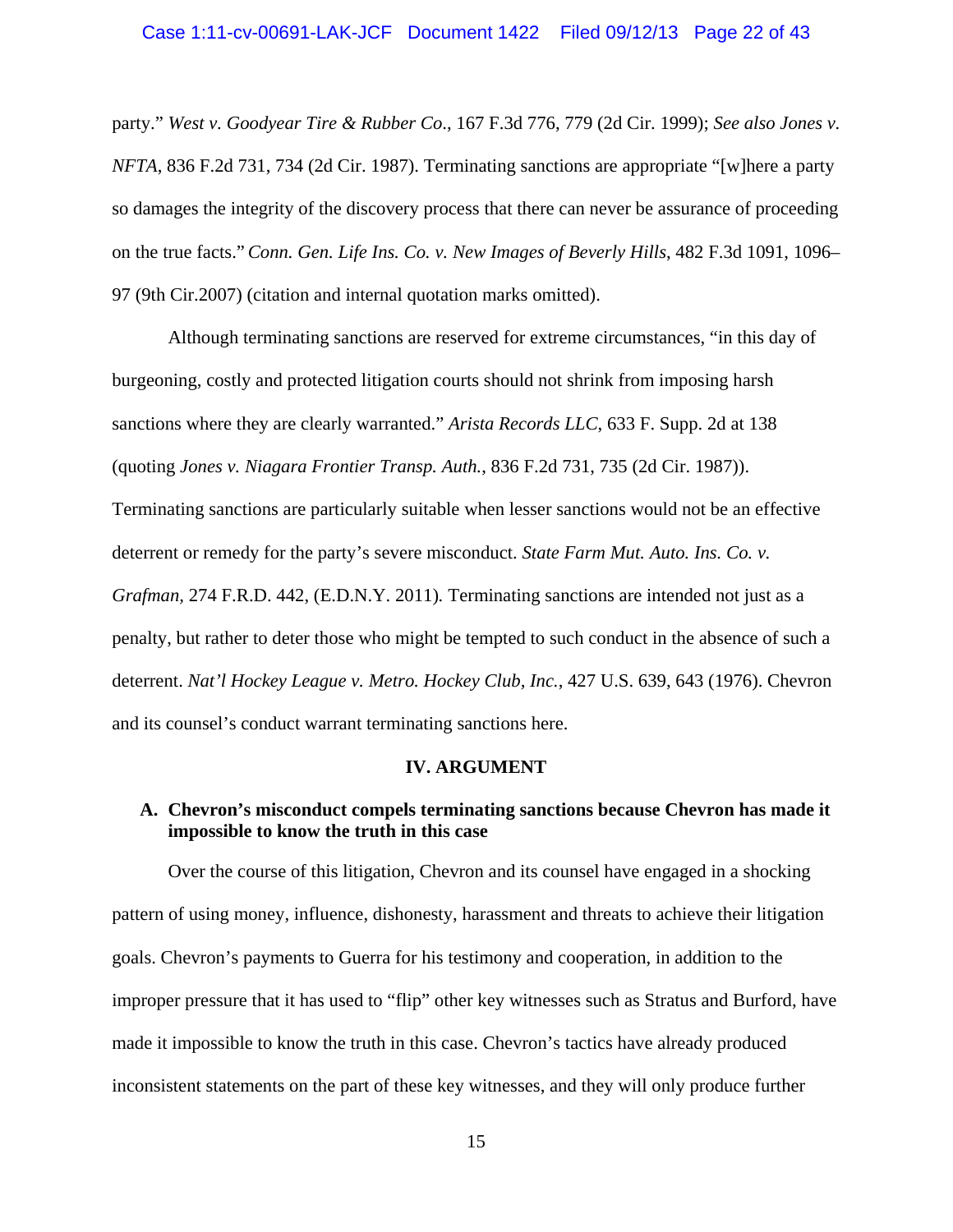### Case 1:11-cv-00691-LAK-JCF Document 1422 Filed 09/12/13 Page 22 of 43

party." *West v. Goodyear Tire & Rubber Co*., 167 F.3d 776, 779 (2d Cir. 1999); *See also Jones v. NFTA*, 836 F.2d 731, 734 (2d Cir. 1987). Terminating sanctions are appropriate "[w]here a party so damages the integrity of the discovery process that there can never be assurance of proceeding on the true facts."*Conn. Gen. Life Ins. Co. v. New Images of Beverly Hills*, 482 F.3d 1091, 1096– 97 (9th Cir.2007) (citation and internal quotation marks omitted).

 Although terminating sanctions are reserved for extreme circumstances, "in this day of burgeoning, costly and protected litigation courts should not shrink from imposing harsh sanctions where they are clearly warranted." *Arista Records LLC*, 633 F. Supp. 2d at 138 (quoting *Jones v. Niagara Frontier Transp. Auth.*, 836 F.2d 731, 735 (2d Cir. 1987)).

Terminating sanctions are particularly suitable when lesser sanctions would not be an effective deterrent or remedy for the party's severe misconduct. *State Farm Mut. Auto. Ins. Co. v. Grafman,* 274 F.R.D. 442, (E.D.N.Y. 2011)*.* Terminating sanctions are intended not just as a penalty, but rather to deter those who might be tempted to such conduct in the absence of such a deterrent. *Nat'l Hockey League v. Metro. Hockey Club, Inc.*, 427 U.S. 639, 643 (1976). Chevron and its counsel's conduct warrant terminating sanctions here.

#### **IV. ARGUMENT**

### **A. Chevron's misconduct compels terminating sanctions because Chevron has made it impossible to know the truth in this case**

 Over the course of this litigation, Chevron and its counsel have engaged in a shocking pattern of using money, influence, dishonesty, harassment and threats to achieve their litigation goals. Chevron's payments to Guerra for his testimony and cooperation, in addition to the improper pressure that it has used to "flip" other key witnesses such as Stratus and Burford, have made it impossible to know the truth in this case. Chevron's tactics have already produced inconsistent statements on the part of these key witnesses, and they will only produce further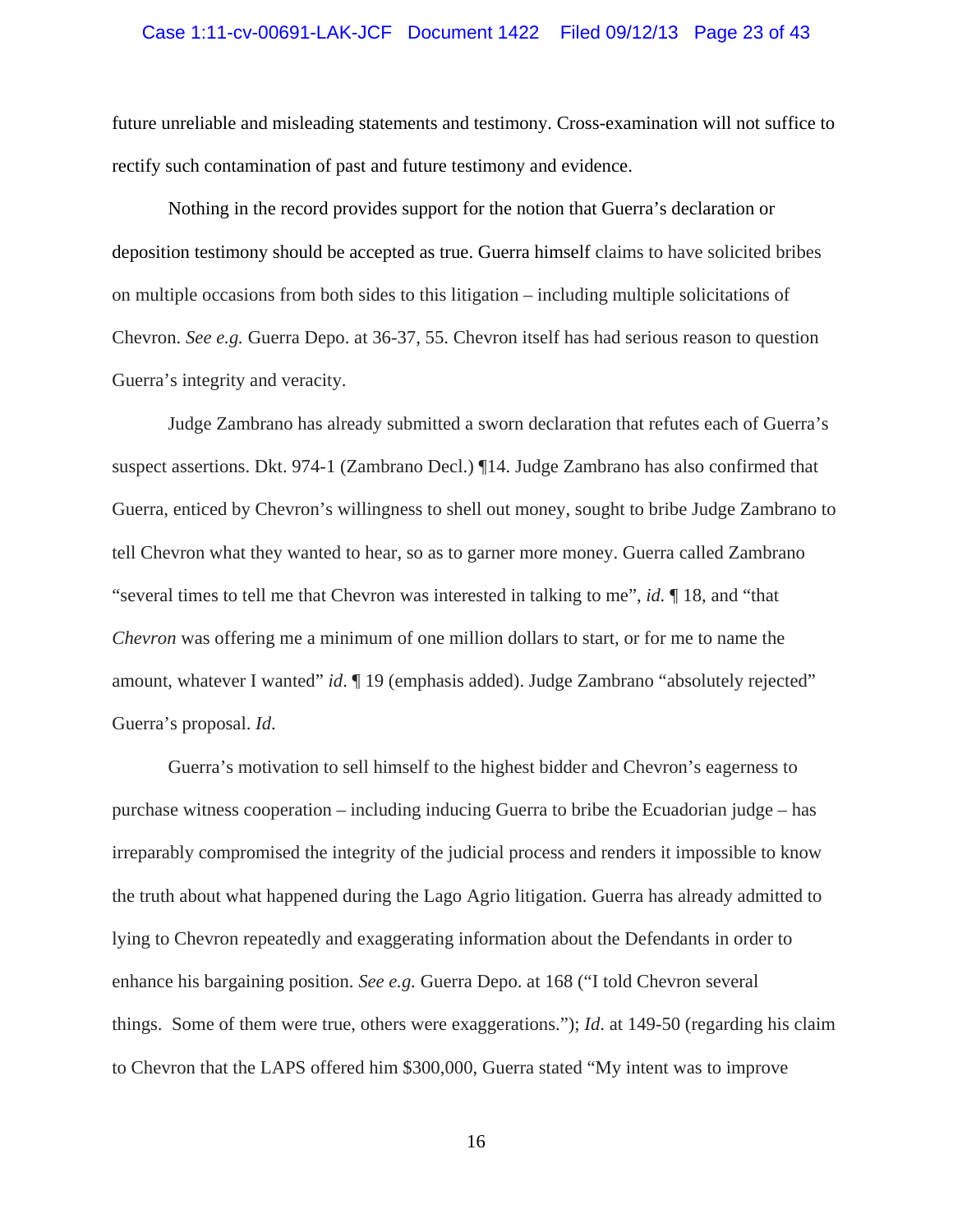### Case 1:11-cv-00691-LAK-JCF Document 1422 Filed 09/12/13 Page 23 of 43

future unreliable and misleading statements and testimony. Cross-examination will not suffice to rectify such contamination of past and future testimony and evidence.

Nothing in the record provides support for the notion that Guerra's declaration or deposition testimony should be accepted as true. Guerra himself claims to have solicited bribes on multiple occasions from both sides to this litigation – including multiple solicitations of Chevron. *See e.g.* Guerra Depo. at 36-37, 55. Chevron itself has had serious reason to question Guerra's integrity and veracity.

Judge Zambrano has already submitted a sworn declaration that refutes each of Guerra's suspect assertions. Dkt. 974-1 (Zambrano Decl.) ¶14. Judge Zambrano has also confirmed that Guerra, enticed by Chevron's willingness to shell out money, sought to bribe Judge Zambrano to tell Chevron what they wanted to hear, so as to garner more money. Guerra called Zambrano "several times to tell me that Chevron was interested in talking to me", *id.* ¶ 18, and "that *Chevron* was offering me a minimum of one million dollars to start, or for me to name the amount, whatever I wanted" *id*. *[19 (emphasis added)*. Judge Zambrano "absolutely rejected" Guerra's proposal. *Id*.

Guerra's motivation to sell himself to the highest bidder and Chevron's eagerness to purchase witness cooperation – including inducing Guerra to bribe the Ecuadorian judge – has irreparably compromised the integrity of the judicial process and renders it impossible to know the truth about what happened during the Lago Agrio litigation. Guerra has already admitted to lying to Chevron repeatedly and exaggerating information about the Defendants in order to enhance his bargaining position. *See e.g.* Guerra Depo. at 168 ("I told Chevron several things. Some of them were true, others were exaggerations."); *Id*. at 149-50 (regarding his claim to Chevron that the LAPS offered him \$300,000, Guerra stated "My intent was to improve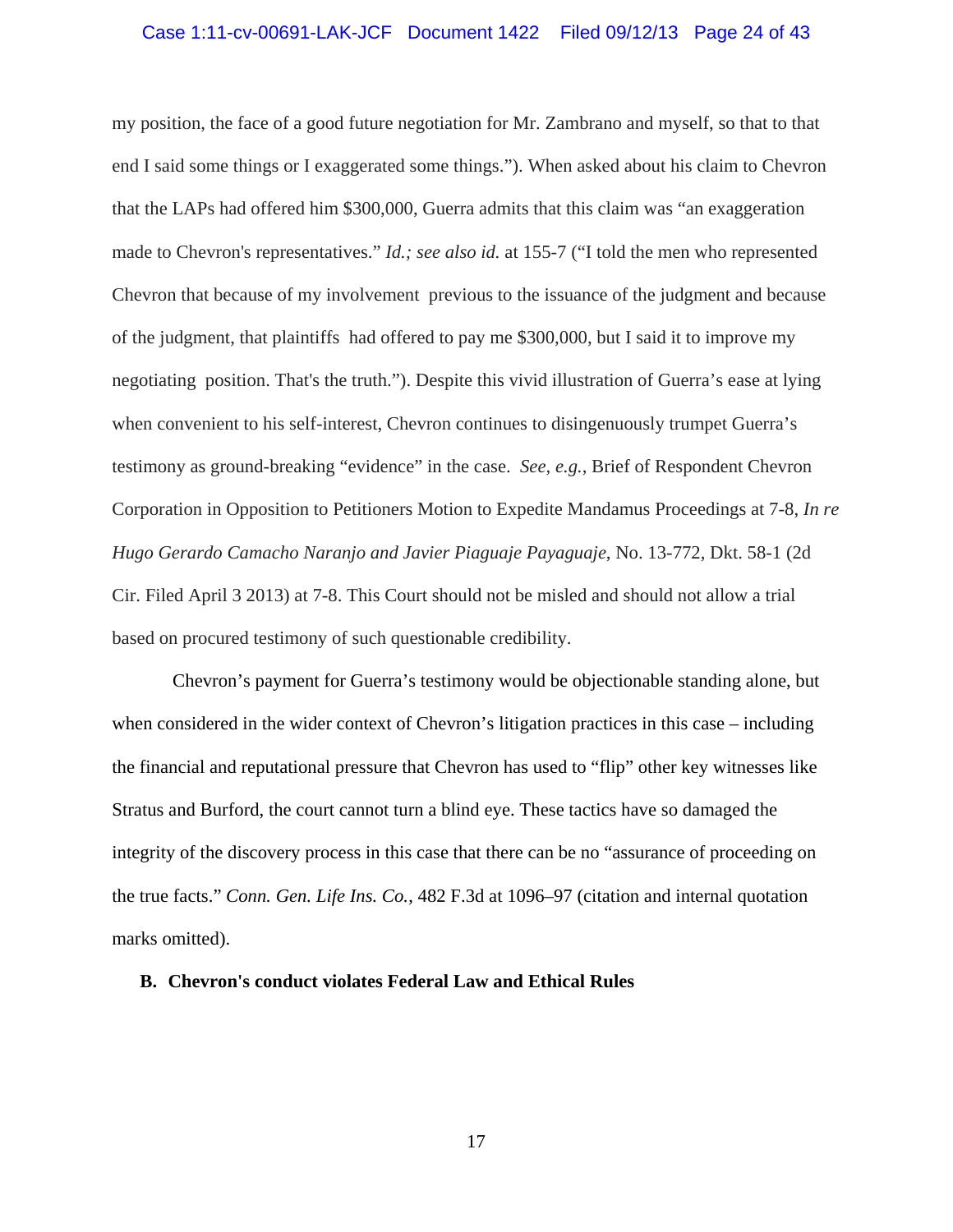### Case 1:11-cv-00691-LAK-JCF Document 1422 Filed 09/12/13 Page 24 of 43

my position, the face of a good future negotiation for Mr. Zambrano and myself, so that to that end I said some things or I exaggerated some things."). When asked about his claim to Chevron that the LAPs had offered him \$300,000, Guerra admits that this claim was "an exaggeration made to Chevron's representatives." *Id.; see also id.* at 155-7 ("I told the men who represented Chevron that because of my involvement previous to the issuance of the judgment and because of the judgment, that plaintiffs had offered to pay me \$300,000, but I said it to improve my negotiating position. That's the truth."). Despite this vivid illustration of Guerra's ease at lying when convenient to his self-interest, Chevron continues to disingenuously trumpet Guerra's testimony as ground-breaking "evidence" in the case. *See, e.g.*, Brief of Respondent Chevron Corporation in Opposition to Petitioners Motion to Expedite Mandamus Proceedings at 7-8, *In re Hugo Gerardo Camacho Naranjo and Javier Piaguaje Payaguaje*, No. 13-772, Dkt. 58-1 (2d Cir. Filed April 3 2013) at 7-8. This Court should not be misled and should not allow a trial based on procured testimony of such questionable credibility.

 Chevron's payment for Guerra's testimony would be objectionable standing alone, but when considered in the wider context of Chevron's litigation practices in this case – including the financial and reputational pressure that Chevron has used to "flip" other key witnesses like Stratus and Burford, the court cannot turn a blind eye. These tactics have so damaged the integrity of the discovery process in this case that there can be no "assurance of proceeding on the true facts." *Conn. Gen. Life Ins. Co.*, 482 F.3d at 1096–97 (citation and internal quotation marks omitted).

#### **B. Chevron's conduct violates Federal Law and Ethical Rules**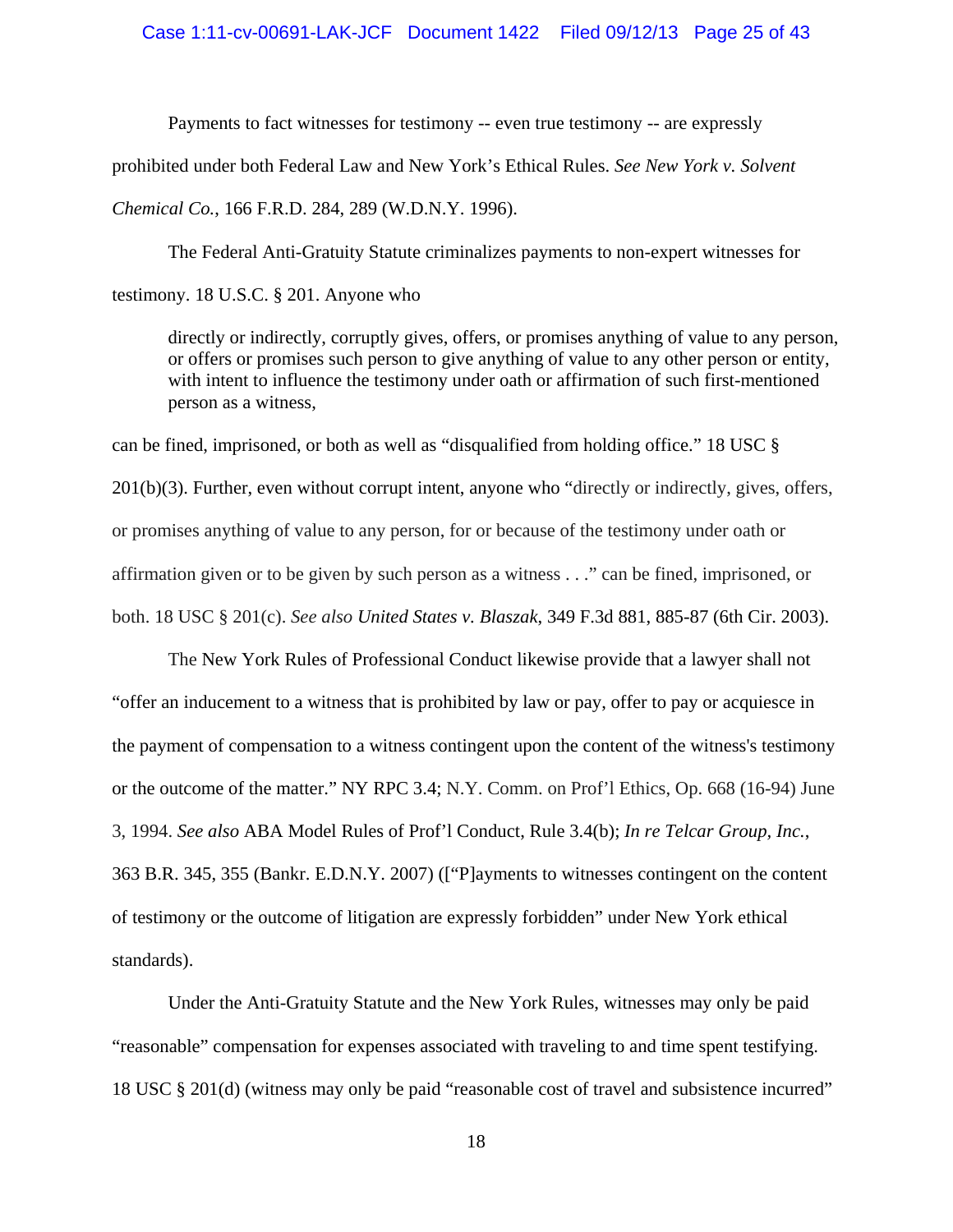#### Case 1:11-cv-00691-LAK-JCF Document 1422 Filed 09/12/13 Page 25 of 43

Payments to fact witnesses for testimony -- even true testimony -- are expressly

prohibited under both Federal Law and New York's Ethical Rules. *See New York v. Solvent* 

*Chemical Co.*, 166 F.R.D. 284, 289 (W.D.N.Y. 1996).

The Federal Anti-Gratuity Statute criminalizes payments to non-expert witnesses for

testimony. 18 U.S.C. § 201. Anyone who

directly or indirectly, corruptly gives, offers, or promises anything of value to any person, or offers or promises such person to give anything of value to any other person or entity, with intent to influence the testimony under oath or affirmation of such first-mentioned person as a witness,

can be fined, imprisoned, or both as well as "disqualified from holding office." 18 USC § 201(b)(3). Further, even without corrupt intent, anyone who "directly or indirectly, gives, offers, or promises anything of value to any person, for or because of the testimony under oath or affirmation given or to be given by such person as a witness . . ." can be fined, imprisoned, or both. 18 USC § 201(c). *See also United States v. Blaszak*, 349 F.3d 881, 885-87 (6th Cir. 2003).

The New York Rules of Professional Conduct likewise provide that a lawyer shall not "offer an inducement to a witness that is prohibited by law or pay, offer to pay or acquiesce in the payment of compensation to a witness contingent upon the content of the witness's testimony or the outcome of the matter." NY RPC 3.4; N.Y. Comm. on Prof'l Ethics, Op. 668 (16-94) June 3, 1994. *See also* ABA Model Rules of Prof'l Conduct, Rule 3.4(b); *In re Telcar Group, Inc.*, 363 B.R. 345, 355 (Bankr. E.D.N.Y. 2007) (["P]ayments to witnesses contingent on the content of testimony or the outcome of litigation are expressly forbidden" under New York ethical standards).

Under the Anti-Gratuity Statute and the New York Rules, witnesses may only be paid "reasonable" compensation for expenses associated with traveling to and time spent testifying. 18 USC § 201(d) (witness may only be paid "reasonable cost of travel and subsistence incurred"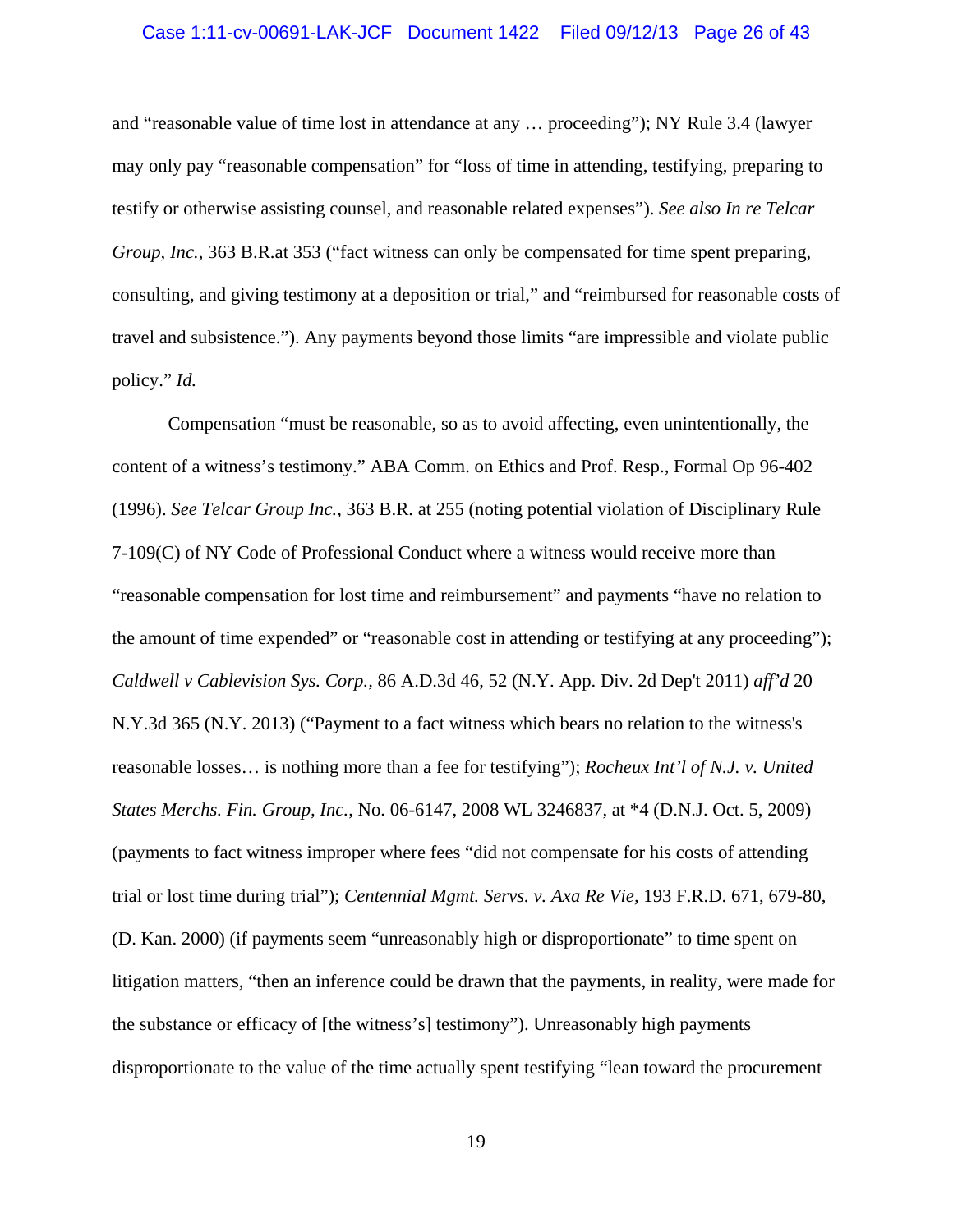### Case 1:11-cv-00691-LAK-JCF Document 1422 Filed 09/12/13 Page 26 of 43

and "reasonable value of time lost in attendance at any … proceeding"); NY Rule 3.4 (lawyer may only pay "reasonable compensation" for "loss of time in attending, testifying, preparing to testify or otherwise assisting counsel, and reasonable related expenses"). *See also In re Telcar Group, Inc.,* 363 B.R.at 353 ("fact witness can only be compensated for time spent preparing, consulting, and giving testimony at a deposition or trial," and "reimbursed for reasonable costs of travel and subsistence."). Any payments beyond those limits "are impressible and violate public policy." *Id.*

Compensation "must be reasonable, so as to avoid affecting, even unintentionally, the content of a witness's testimony." ABA Comm. on Ethics and Prof. Resp., Formal Op 96-402 (1996). *See Telcar Group Inc.,* 363 B.R. at 255 (noting potential violation of Disciplinary Rule 7-109(C) of NY Code of Professional Conduct where a witness would receive more than "reasonable compensation for lost time and reimbursement" and payments "have no relation to the amount of time expended" or "reasonable cost in attending or testifying at any proceeding"); *Caldwell v Cablevision Sys. Corp.,* 86 A.D.3d 46, 52 (N.Y. App. Div. 2d Dep't 2011) *aff'd* 20 N.Y.3d 365 (N.Y. 2013) ("Payment to a fact witness which bears no relation to the witness's reasonable losses… is nothing more than a fee for testifying"); *Rocheux Int'l of N.J. v. United States Merchs. Fin. Group, Inc.*, No. 06-6147, 2008 WL 3246837, at \*4 (D.N.J. Oct. 5, 2009) (payments to fact witness improper where fees "did not compensate for his costs of attending trial or lost time during trial"); *Centennial Mgmt. Servs. v. Axa Re Vie,* 193 F.R.D. 671, 679-80, (D. Kan. 2000) (if payments seem "unreasonably high or disproportionate" to time spent on litigation matters, "then an inference could be drawn that the payments, in reality, were made for the substance or efficacy of [the witness's] testimony"). Unreasonably high payments disproportionate to the value of the time actually spent testifying "lean toward the procurement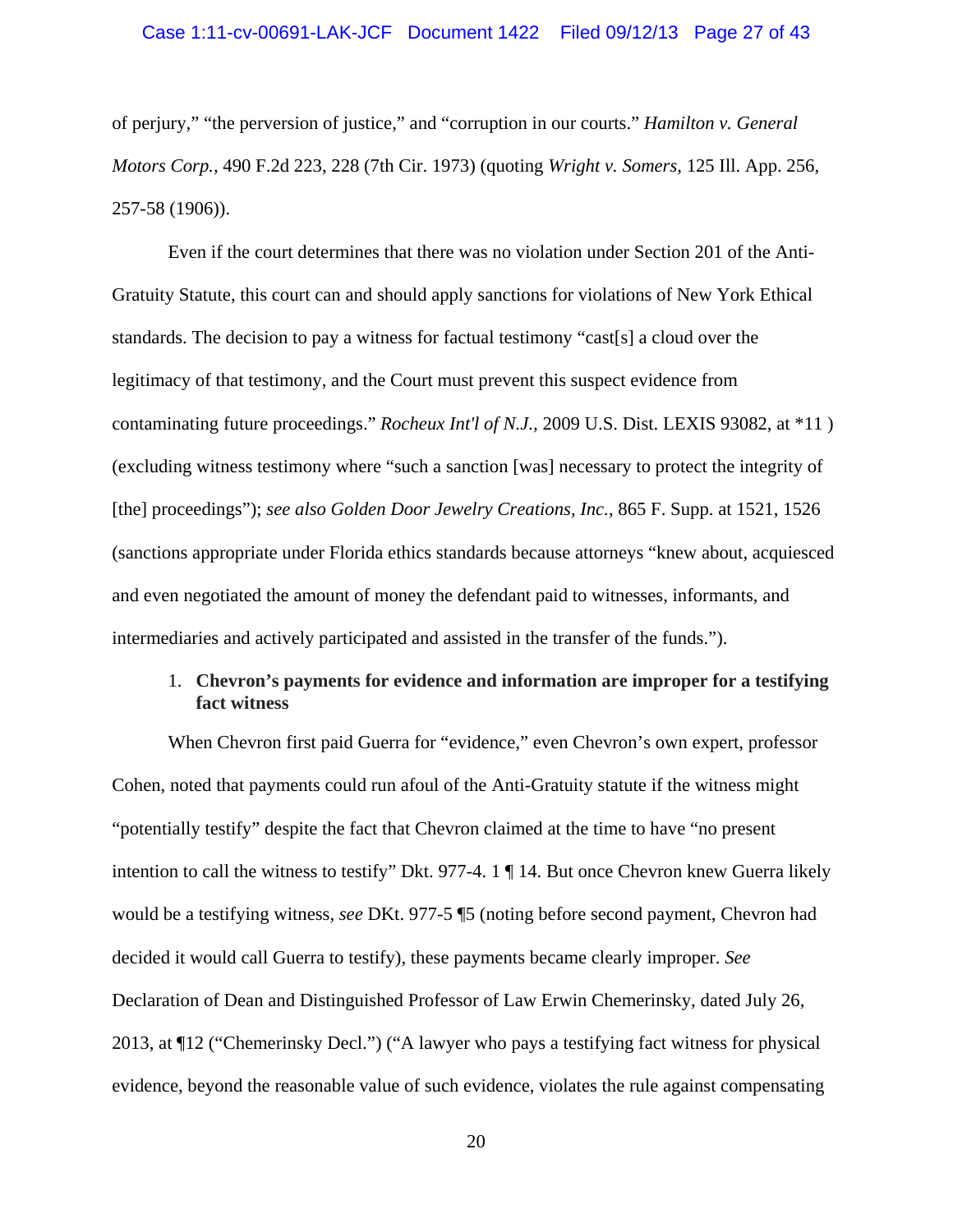of perjury," "the perversion of justice," and "corruption in our courts." *Hamilton v. General Motors Corp.,* 490 F.2d 223, 228 (7th Cir. 1973) (quoting *Wright v. Somers*, 125 Ill. App. 256, 257-58 (1906)).

 Even if the court determines that there was no violation under Section 201 of the Anti-Gratuity Statute, this court can and should apply sanctions for violations of New York Ethical standards. The decision to pay a witness for factual testimony "cast[s] a cloud over the legitimacy of that testimony, and the Court must prevent this suspect evidence from contaminating future proceedings." *Rocheux Int'l of N.J.,* 2009 U.S. Dist. LEXIS 93082, at \*11 ) (excluding witness testimony where "such a sanction [was] necessary to protect the integrity of [the] proceedings"); *see also Golden Door Jewelry Creations, Inc.*, 865 F. Supp. at 1521, 1526 (sanctions appropriate under Florida ethics standards because attorneys "knew about, acquiesced and even negotiated the amount of money the defendant paid to witnesses, informants, and intermediaries and actively participated and assisted in the transfer of the funds.").

### 1. **Chevron's payments for evidence and information are improper for a testifying fact witness**

When Chevron first paid Guerra for "evidence," even Chevron's own expert, professor Cohen, noted that payments could run afoul of the Anti-Gratuity statute if the witness might "potentially testify" despite the fact that Chevron claimed at the time to have "no present intention to call the witness to testify" Dkt. 977-4. 1 ¶ 14. But once Chevron knew Guerra likely would be a testifying witness, *see* DKt. 977-5 ¶5 (noting before second payment, Chevron had decided it would call Guerra to testify), these payments became clearly improper. *See*  Declaration of Dean and Distinguished Professor of Law Erwin Chemerinsky, dated July 26, 2013, at ¶12 ("Chemerinsky Decl.") ("A lawyer who pays a testifying fact witness for physical evidence, beyond the reasonable value of such evidence, violates the rule against compensating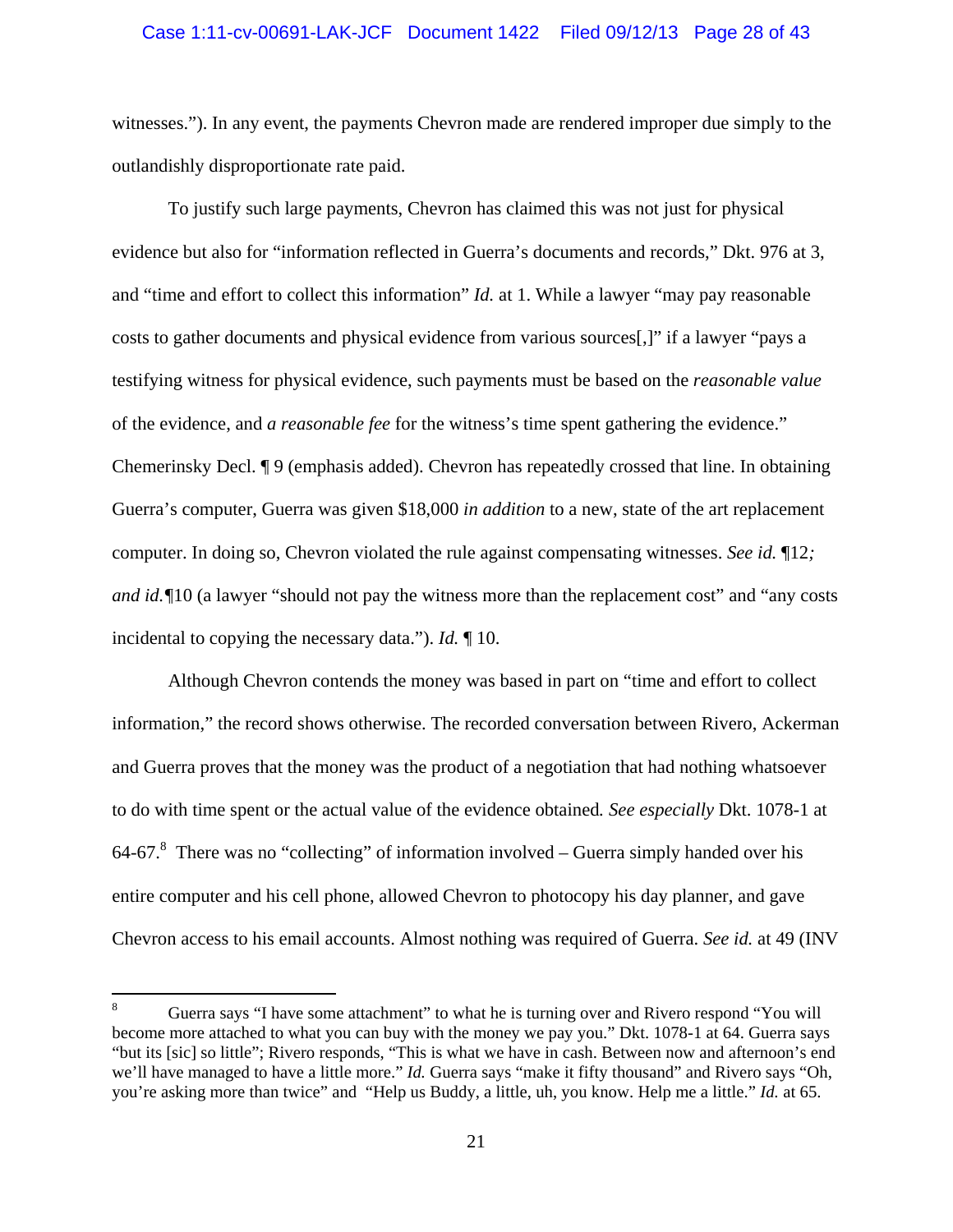#### Case 1:11-cv-00691-LAK-JCF Document 1422 Filed 09/12/13 Page 28 of 43

witnesses."). In any event, the payments Chevron made are rendered improper due simply to the outlandishly disproportionate rate paid.

To justify such large payments, Chevron has claimed this was not just for physical evidence but also for "information reflected in Guerra's documents and records," Dkt. 976 at 3, and "time and effort to collect this information" *Id.* at 1. While a lawyer "may pay reasonable costs to gather documents and physical evidence from various sources[,]" if a lawyer "pays a testifying witness for physical evidence, such payments must be based on the *reasonable value* of the evidence, and *a reasonable fee* for the witness's time spent gathering the evidence." Chemerinsky Decl. ¶ 9 (emphasis added). Chevron has repeatedly crossed that line. In obtaining Guerra's computer, Guerra was given \$18,000 *in addition* to a new, state of the art replacement computer. In doing so, Chevron violated the rule against compensating witnesses. *See id.* ¶12*; and id.*  $\sqrt{10}$  (a lawyer "should not pay the witness more than the replacement cost" and "any costs" incidental to copying the necessary data."). *Id.* ¶ 10.

Although Chevron contends the money was based in part on "time and effort to collect information," the record shows otherwise. The recorded conversation between Rivero, Ackerman and Guerra proves that the money was the product of a negotiation that had nothing whatsoever to do with time spent or the actual value of the evidence obtained*. See especially* Dkt. 1078-1 at 64-67.<sup>8</sup> There was no "collecting" of information involved – Guerra simply handed over his entire computer and his cell phone, allowed Chevron to photocopy his day planner, and gave Chevron access to his email accounts. Almost nothing was required of Guerra. *See id.* at 49 (INV

<sup>8</sup> Guerra says "I have some attachment" to what he is turning over and Rivero respond "You will become more attached to what you can buy with the money we pay you." Dkt. 1078-1 at 64. Guerra says "but its [sic] so little"; Rivero responds, "This is what we have in cash. Between now and afternoon's end we'll have managed to have a little more." *Id.* Guerra says "make it fifty thousand" and Rivero says "Oh, you're asking more than twice" and "Help us Buddy, a little, uh, you know. Help me a little." *Id.* at 65.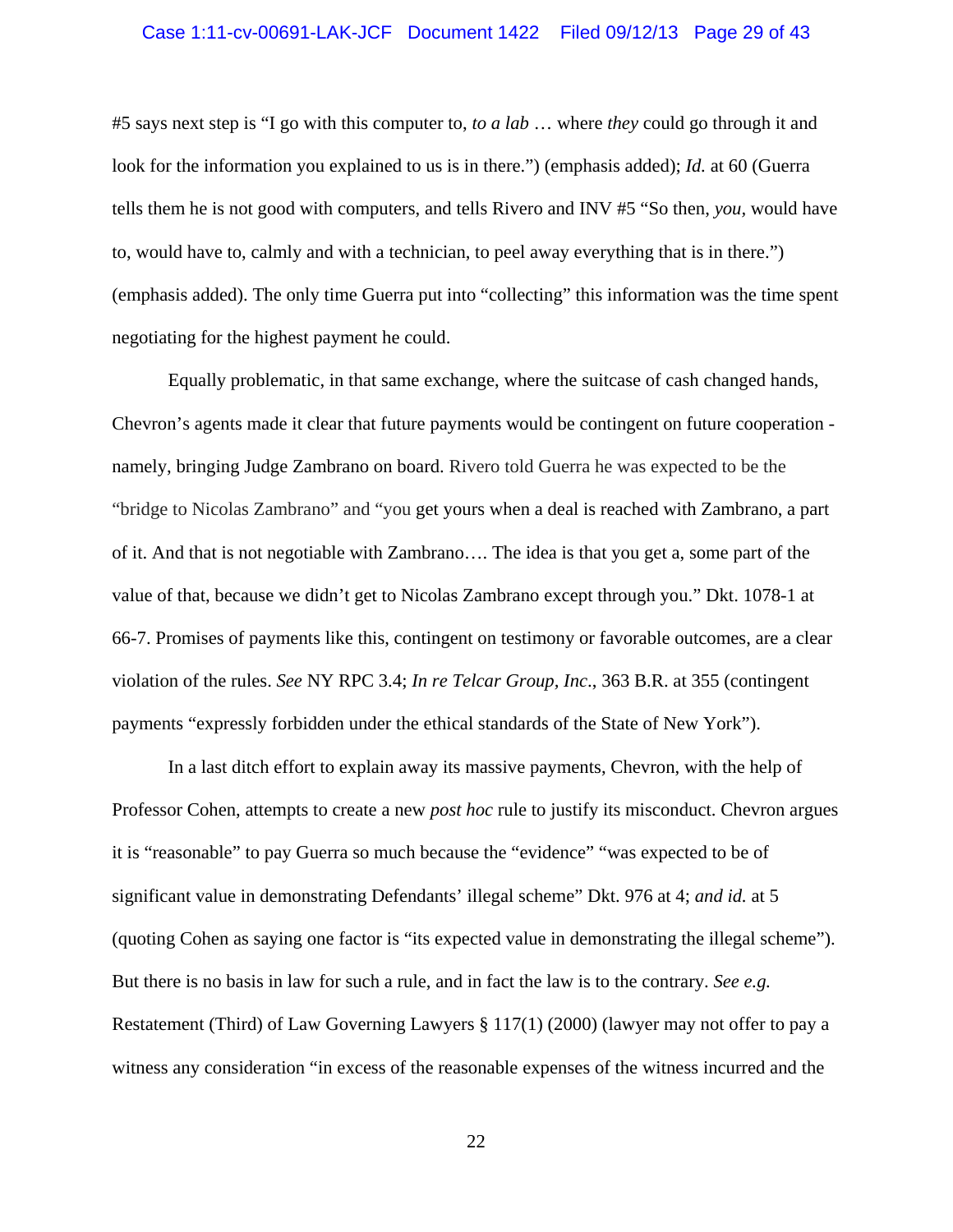#### Case 1:11-cv-00691-LAK-JCF Document 1422 Filed 09/12/13 Page 29 of 43

#5 says next step is "I go with this computer to, *to a lab* … where *they* could go through it and look for the information you explained to us is in there.") (emphasis added); *Id.* at 60 (Guerra tells them he is not good with computers, and tells Rivero and INV #5 "So then, *you,* would have to, would have to, calmly and with a technician, to peel away everything that is in there.") (emphasis added). The only time Guerra put into "collecting" this information was the time spent negotiating for the highest payment he could.

Equally problematic, in that same exchange, where the suitcase of cash changed hands, Chevron's agents made it clear that future payments would be contingent on future cooperation namely, bringing Judge Zambrano on board. Rivero told Guerra he was expected to be the "bridge to Nicolas Zambrano" and "you get yours when a deal is reached with Zambrano, a part of it. And that is not negotiable with Zambrano…. The idea is that you get a, some part of the value of that, because we didn't get to Nicolas Zambrano except through you." Dkt. 1078-1 at 66-7. Promises of payments like this, contingent on testimony or favorable outcomes, are a clear violation of the rules. *See* NY RPC 3.4; *In re Telcar Group, Inc*., 363 B.R. at 355 (contingent payments "expressly forbidden under the ethical standards of the State of New York").

In a last ditch effort to explain away its massive payments, Chevron, with the help of Professor Cohen, attempts to create a new *post hoc* rule to justify its misconduct. Chevron argues it is "reasonable" to pay Guerra so much because the "evidence" "was expected to be of significant value in demonstrating Defendants' illegal scheme" Dkt. 976 at 4; *and id.* at 5 (quoting Cohen as saying one factor is "its expected value in demonstrating the illegal scheme"). But there is no basis in law for such a rule, and in fact the law is to the contrary. *See e.g.* Restatement (Third) of Law Governing Lawyers § 117(1) (2000) (lawyer may not offer to pay a witness any consideration "in excess of the reasonable expenses of the witness incurred and the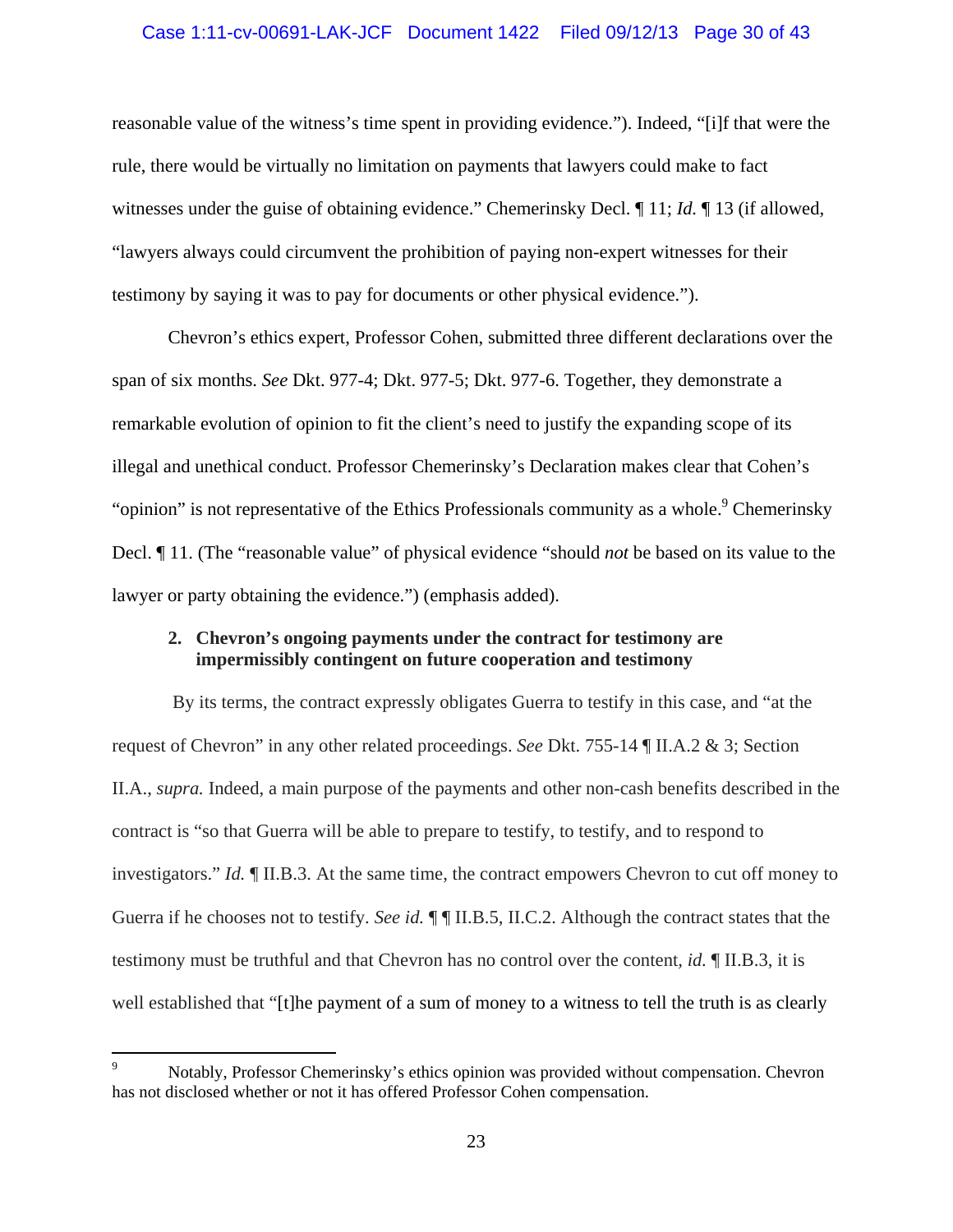### Case 1:11-cv-00691-LAK-JCF Document 1422 Filed 09/12/13 Page 30 of 43

reasonable value of the witness's time spent in providing evidence."). Indeed, "[i]f that were the rule, there would be virtually no limitation on payments that lawyers could make to fact witnesses under the guise of obtaining evidence." Chemerinsky Decl. ¶ 11; *Id.* ¶ 13 (if allowed, "lawyers always could circumvent the prohibition of paying non-expert witnesses for their testimony by saying it was to pay for documents or other physical evidence.").

Chevron's ethics expert, Professor Cohen, submitted three different declarations over the span of six months. *See* Dkt. 977-4; Dkt. 977-5; Dkt. 977-6. Together, they demonstrate a remarkable evolution of opinion to fit the client's need to justify the expanding scope of its illegal and unethical conduct. Professor Chemerinsky's Declaration makes clear that Cohen's "opinion" is not representative of the Ethics Professionals community as a whole.<sup>9</sup> Chemerinsky Decl. ¶ 11. (The "reasonable value" of physical evidence "should *not* be based on its value to the lawyer or party obtaining the evidence.") (emphasis added).

### **2. Chevron's ongoing payments under the contract for testimony are impermissibly contingent on future cooperation and testimony**

 By its terms, the contract expressly obligates Guerra to testify in this case, and "at the request of Chevron" in any other related proceedings. *See* Dkt. 755-14 ¶ II.A.2 & 3; Section II.A., *supra.* Indeed, a main purpose of the payments and other non-cash benefits described in the contract is "so that Guerra will be able to prepare to testify, to testify, and to respond to investigators." *Id.* ¶ II.B.3. At the same time, the contract empowers Chevron to cut off money to Guerra if he chooses not to testify. *See id.* ¶ ¶ II.B.5, II.C.2. Although the contract states that the testimony must be truthful and that Chevron has no control over the content*, id.* ¶ II.B.3, it is well established that "[t]he payment of a sum of money to a witness to tell the truth is as clearly

<sup>9</sup> Notably, Professor Chemerinsky's ethics opinion was provided without compensation. Chevron has not disclosed whether or not it has offered Professor Cohen compensation.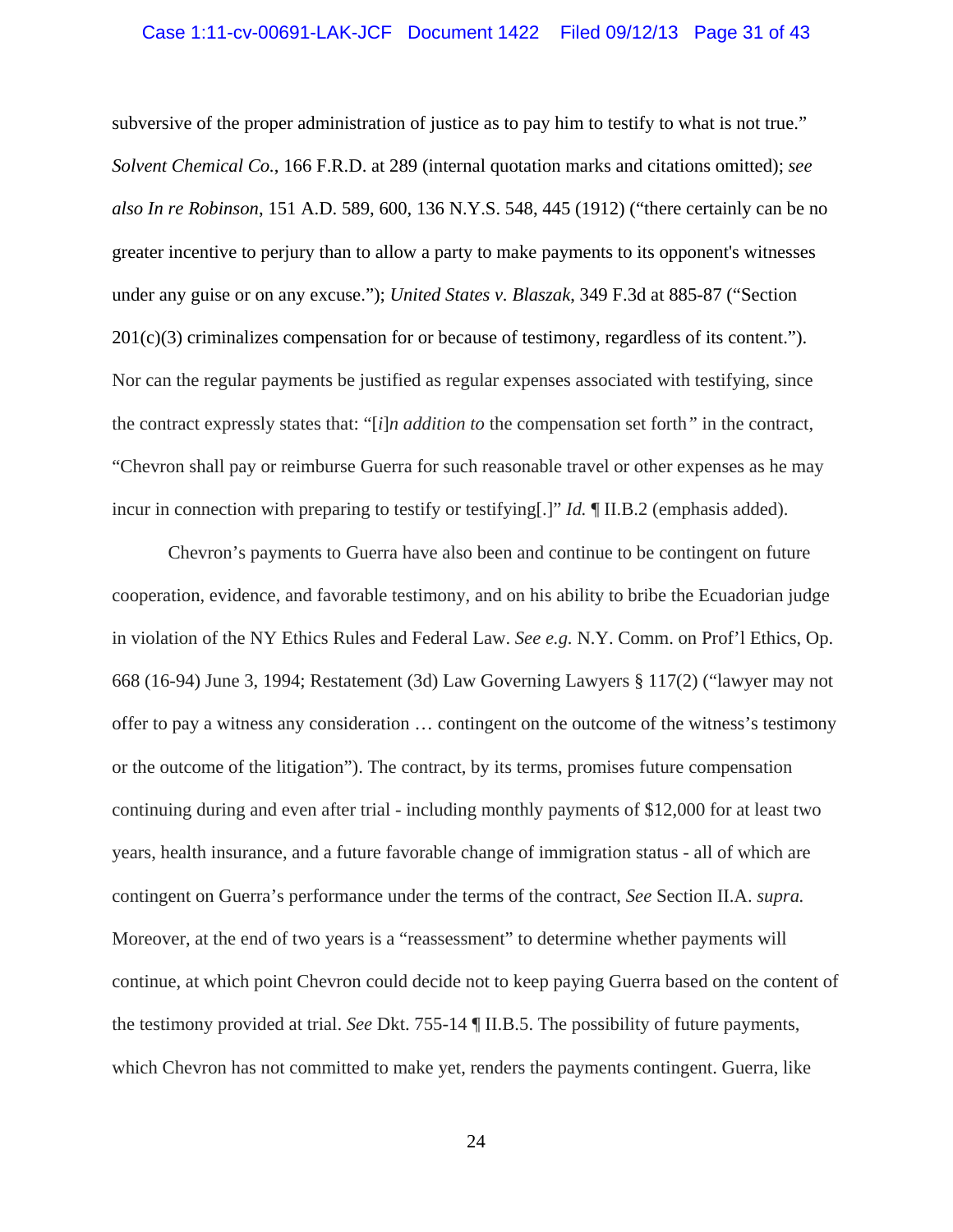### Case 1:11-cv-00691-LAK-JCF Document 1422 Filed 09/12/13 Page 31 of 43

subversive of the proper administration of justice as to pay him to testify to what is not true." *Solvent Chemical Co.*, 166 F.R.D. at 289 (internal quotation marks and citations omitted); *see also In re Robinson*, 151 A.D. 589, 600, 136 N.Y.S. 548, 445 (1912) ("there certainly can be no greater incentive to perjury than to allow a party to make payments to its opponent's witnesses under any guise or on any excuse."); *United States v. Blaszak*, 349 F.3d at 885-87 ("Section  $201(c)(3)$  criminalizes compensation for or because of testimony, regardless of its content."). Nor can the regular payments be justified as regular expenses associated with testifying, since the contract expressly states that: "[*i*]*n addition to* the compensation set forth*"* in the contract, "Chevron shall pay or reimburse Guerra for such reasonable travel or other expenses as he may incur in connection with preparing to testify or testifying[.]" *Id.* ¶ II.B.2 (emphasis added).

 Chevron's payments to Guerra have also been and continue to be contingent on future cooperation, evidence, and favorable testimony, and on his ability to bribe the Ecuadorian judge in violation of the NY Ethics Rules and Federal Law. *See e.g.* N.Y. Comm. on Prof'l Ethics, Op. 668 (16-94) June 3, 1994; Restatement (3d) Law Governing Lawyers § 117(2) ("lawyer may not offer to pay a witness any consideration … contingent on the outcome of the witness's testimony or the outcome of the litigation"). The contract, by its terms, promises future compensation continuing during and even after trial - including monthly payments of \$12,000 for at least two years, health insurance, and a future favorable change of immigration status - all of which are contingent on Guerra's performance under the terms of the contract, *See* Section II.A. *supra.* Moreover, at the end of two years is a "reassessment" to determine whether payments will continue, at which point Chevron could decide not to keep paying Guerra based on the content of the testimony provided at trial. *See* Dkt. 755-14 ¶ II.B.5. The possibility of future payments, which Chevron has not committed to make yet, renders the payments contingent. Guerra, like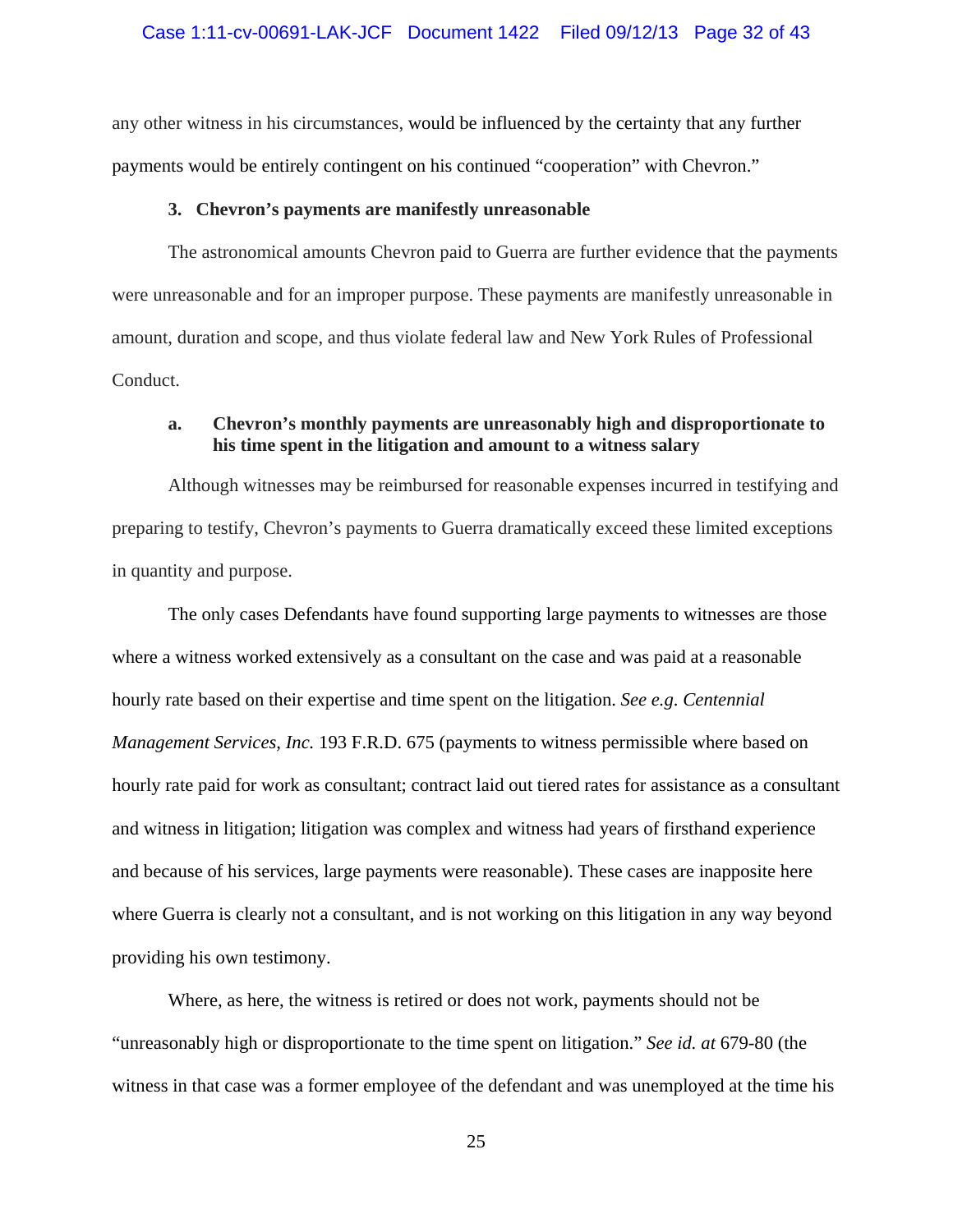#### Case 1:11-cv-00691-LAK-JCF Document 1422 Filed 09/12/13 Page 32 of 43

any other witness in his circumstances, would be influenced by the certainty that any further payments would be entirely contingent on his continued "cooperation" with Chevron."

#### **3. Chevron's payments are manifestly unreasonable**

The astronomical amounts Chevron paid to Guerra are further evidence that the payments were unreasonable and for an improper purpose. These payments are manifestly unreasonable in amount, duration and scope, and thus violate federal law and New York Rules of Professional Conduct.

### **a. Chevron's monthly payments are unreasonably high and disproportionate to his time spent in the litigation and amount to a witness salary**

Although witnesses may be reimbursed for reasonable expenses incurred in testifying and preparing to testify, Chevron's payments to Guerra dramatically exceed these limited exceptions in quantity and purpose.

The only cases Defendants have found supporting large payments to witnesses are those where a witness worked extensively as a consultant on the case and was paid at a reasonable hourly rate based on their expertise and time spent on the litigation. *See e.g*. *Centennial Management Services, Inc.* 193 F.R.D. 675 (payments to witness permissible where based on hourly rate paid for work as consultant; contract laid out tiered rates for assistance as a consultant and witness in litigation; litigation was complex and witness had years of firsthand experience and because of his services, large payments were reasonable). These cases are inapposite here where Guerra is clearly not a consultant, and is not working on this litigation in any way beyond providing his own testimony.

Where, as here, the witness is retired or does not work, payments should not be "unreasonably high or disproportionate to the time spent on litigation." *See id. at* 679-80 (the witness in that case was a former employee of the defendant and was unemployed at the time his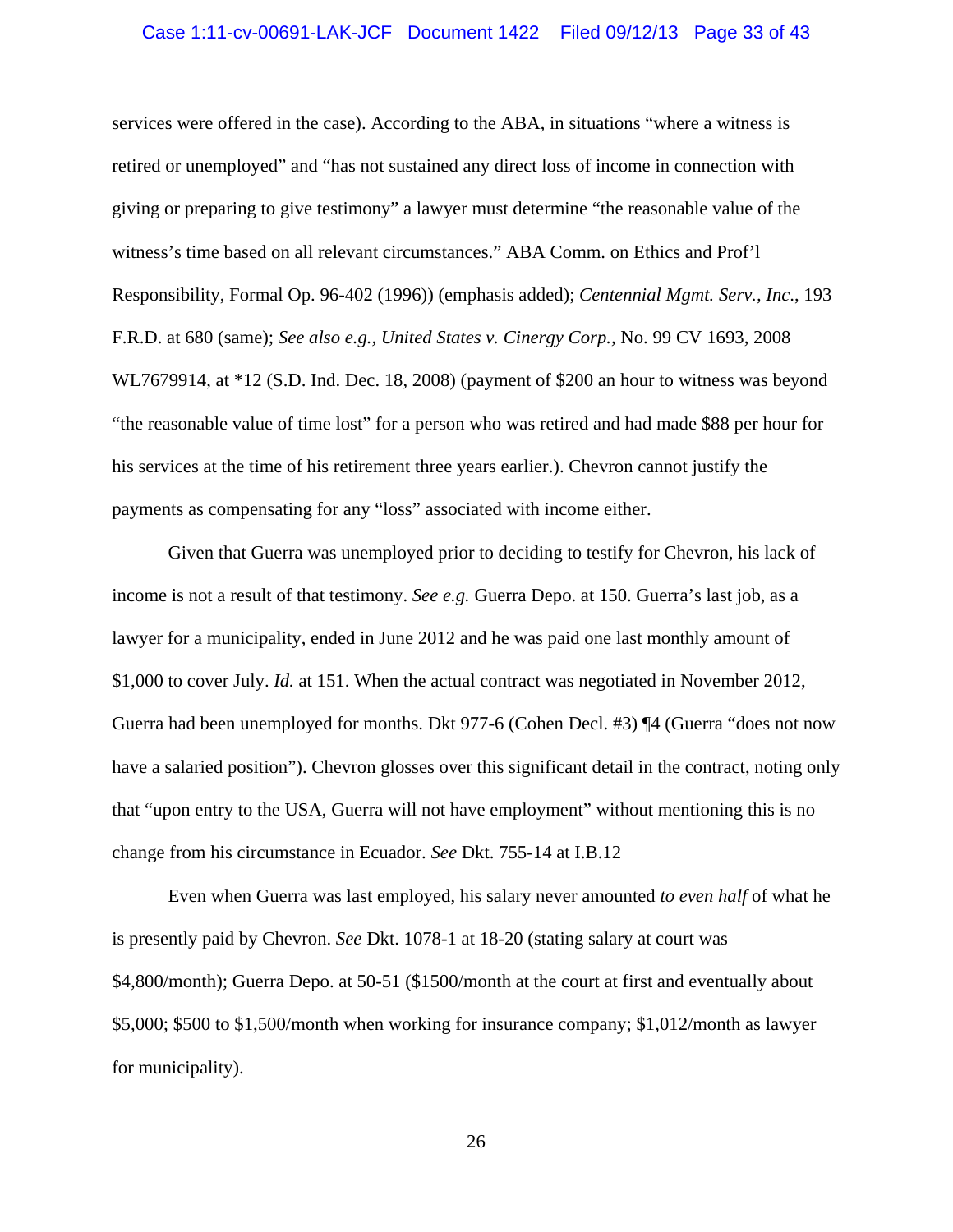### Case 1:11-cv-00691-LAK-JCF Document 1422 Filed 09/12/13 Page 33 of 43

services were offered in the case). According to the ABA, in situations "where a witness is retired or unemployed" and "has not sustained any direct loss of income in connection with giving or preparing to give testimony" a lawyer must determine "the reasonable value of the witness's time based on all relevant circumstances." ABA Comm. on Ethics and Prof'l Responsibility, Formal Op. 96-402 (1996)) (emphasis added); *Centennial Mgmt. Serv., Inc*., 193 F.R.D. at 680 (same); *See also e.g., United States v. Cinergy Corp.,* No. 99 CV 1693, 2008 WL7679914, at \*12 (S.D. Ind. Dec. 18, 2008) (payment of \$200 an hour to witness was beyond "the reasonable value of time lost" for a person who was retired and had made \$88 per hour for his services at the time of his retirement three years earlier.). Chevron cannot justify the payments as compensating for any "loss" associated with income either.

Given that Guerra was unemployed prior to deciding to testify for Chevron, his lack of income is not a result of that testimony. *See e.g.* Guerra Depo. at 150. Guerra's last job, as a lawyer for a municipality, ended in June 2012 and he was paid one last monthly amount of \$1,000 to cover July. *Id.* at 151. When the actual contract was negotiated in November 2012, Guerra had been unemployed for months. Dkt 977-6 (Cohen Decl. #3) ¶4 (Guerra "does not now have a salaried position"). Chevron glosses over this significant detail in the contract, noting only that "upon entry to the USA, Guerra will not have employment" without mentioning this is no change from his circumstance in Ecuador. *See* Dkt. 755-14 at I.B.12

Even when Guerra was last employed, his salary never amounted *to even half* of what he is presently paid by Chevron. *See* Dkt. 1078-1 at 18-20 (stating salary at court was \$4,800/month); Guerra Depo. at 50-51 (\$1500/month at the court at first and eventually about \$5,000; \$500 to \$1,500/month when working for insurance company; \$1,012/month as lawyer for municipality).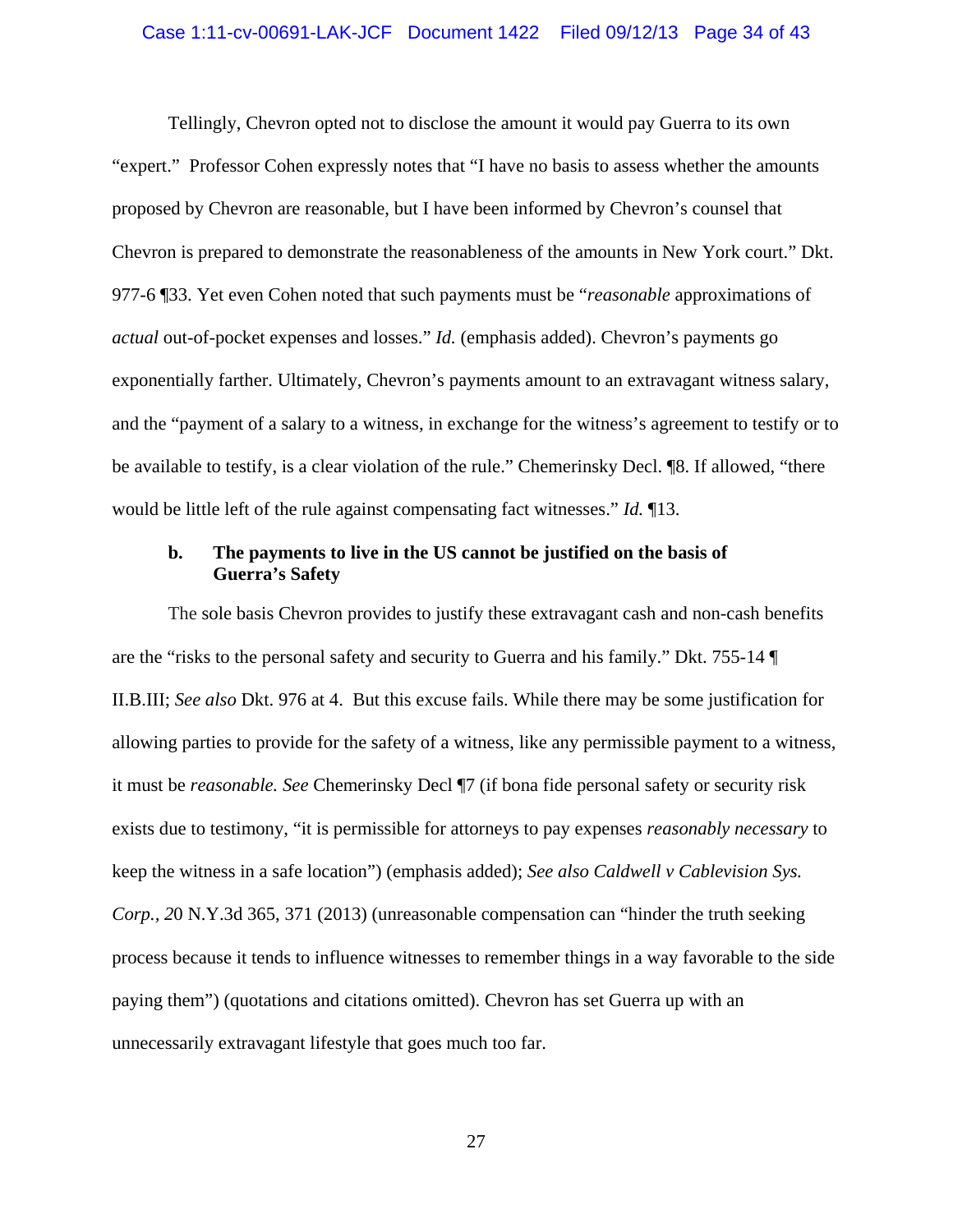### Case 1:11-cv-00691-LAK-JCF Document 1422 Filed 09/12/13 Page 34 of 43

Tellingly, Chevron opted not to disclose the amount it would pay Guerra to its own "expert." Professor Cohen expressly notes that "I have no basis to assess whether the amounts proposed by Chevron are reasonable, but I have been informed by Chevron's counsel that Chevron is prepared to demonstrate the reasonableness of the amounts in New York court." Dkt. 977-6 ¶33. Yet even Cohen noted that such payments must be "*reasonable* approximations of *actual* out-of-pocket expenses and losses." *Id.* (emphasis added). Chevron's payments go exponentially farther. Ultimately, Chevron's payments amount to an extravagant witness salary, and the "payment of a salary to a witness, in exchange for the witness's agreement to testify or to be available to testify, is a clear violation of the rule." Chemerinsky Decl. ¶8. If allowed, "there would be little left of the rule against compensating fact witnesses." *Id.* ¶13.

### **b. The payments to live in the US cannot be justified on the basis of Guerra's Safety**

The sole basis Chevron provides to justify these extravagant cash and non-cash benefits are the "risks to the personal safety and security to Guerra and his family." Dkt. 755-14 ¶ II.B.III; *See also* Dkt. 976 at 4. But this excuse fails. While there may be some justification for allowing parties to provide for the safety of a witness, like any permissible payment to a witness, it must be *reasonable. See* Chemerinsky Decl ¶7 (if bona fide personal safety or security risk exists due to testimony, "it is permissible for attorneys to pay expenses *reasonably necessary* to keep the witness in a safe location") (emphasis added); *See also Caldwell v Cablevision Sys. Corp., 2*0 N.Y.3d 365, 371 (2013) (unreasonable compensation can "hinder the truth seeking process because it tends to influence witnesses to remember things in a way favorable to the side paying them") (quotations and citations omitted). Chevron has set Guerra up with an unnecessarily extravagant lifestyle that goes much too far.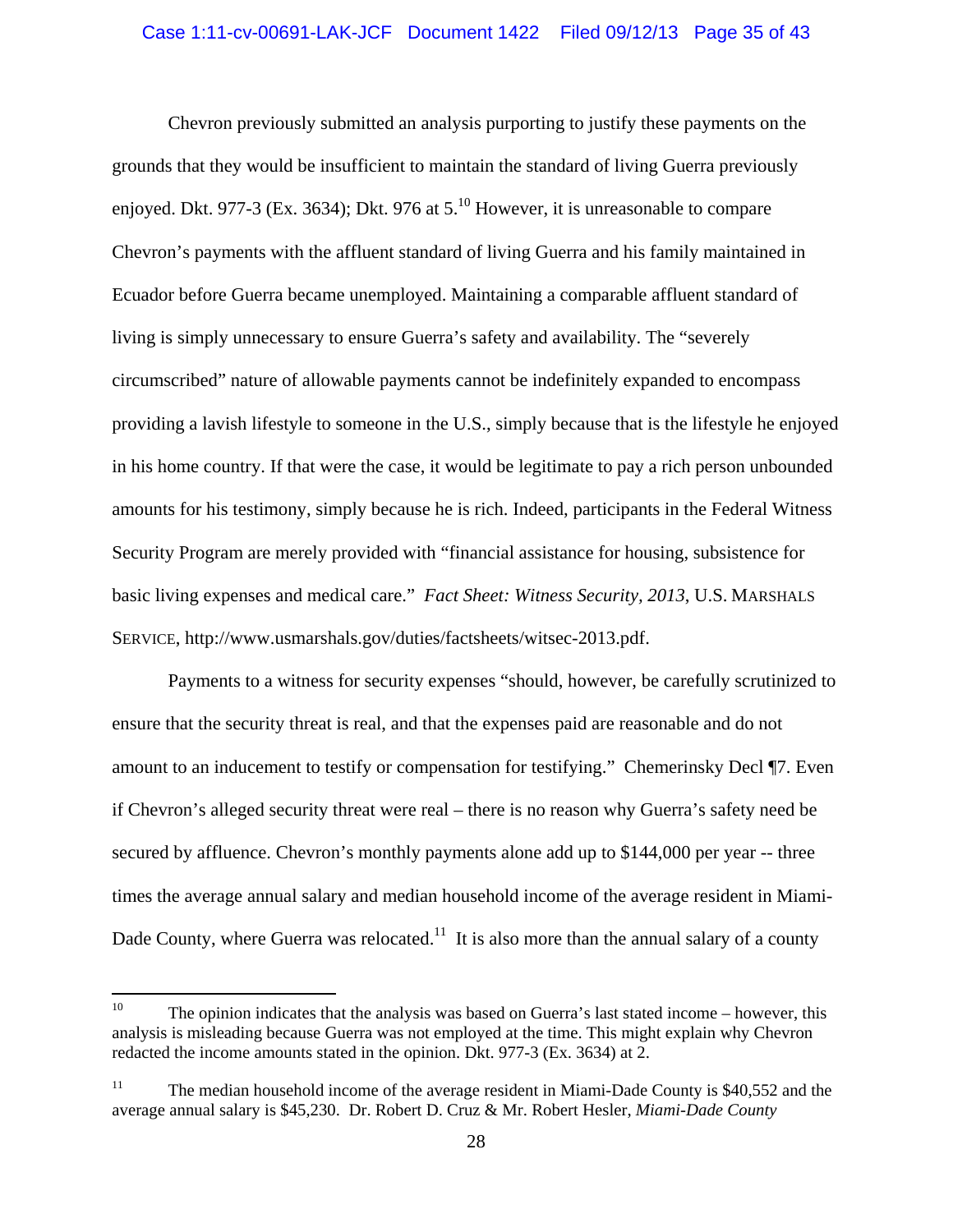#### Case 1:11-cv-00691-LAK-JCF Document 1422 Filed 09/12/13 Page 35 of 43

Chevron previously submitted an analysis purporting to justify these payments on the grounds that they would be insufficient to maintain the standard of living Guerra previously enjoyed. Dkt. 977-3 (Ex. 3634); Dkt. 976 at  $5^{10}$  However, it is unreasonable to compare Chevron's payments with the affluent standard of living Guerra and his family maintained in Ecuador before Guerra became unemployed. Maintaining a comparable affluent standard of living is simply unnecessary to ensure Guerra's safety and availability. The "severely circumscribed" nature of allowable payments cannot be indefinitely expanded to encompass providing a lavish lifestyle to someone in the U.S., simply because that is the lifestyle he enjoyed in his home country. If that were the case, it would be legitimate to pay a rich person unbounded amounts for his testimony, simply because he is rich. Indeed, participants in the Federal Witness Security Program are merely provided with "financial assistance for housing, subsistence for basic living expenses and medical care." *Fact Sheet: Witness Security, 2013*, U.S. MARSHALS SERVICE, http://www.usmarshals.gov/duties/factsheets/witsec-2013.pdf.

Payments to a witness for security expenses "should, however, be carefully scrutinized to ensure that the security threat is real, and that the expenses paid are reasonable and do not amount to an inducement to testify or compensation for testifying." Chemerinsky Decl ¶7. Even if Chevron's alleged security threat were real – there is no reason why Guerra's safety need be secured by affluence. Chevron's monthly payments alone add up to \$144,000 per year -- three times the average annual salary and median household income of the average resident in Miami-Dade County, where Guerra was relocated.<sup>11</sup> It is also more than the annual salary of a county

<sup>&</sup>lt;sup>10</sup> The opinion indicates that the analysis was based on Guerra's last stated income – however, this analysis is misleading because Guerra was not employed at the time. This might explain why Chevron redacted the income amounts stated in the opinion. Dkt. 977-3 (Ex. 3634) at 2.

<sup>&</sup>lt;sup>11</sup> The median household income of the average resident in Miami-Dade County is \$40,552 and the average annual salary is \$45,230. Dr. Robert D. Cruz & Mr. Robert Hesler, *Miami-Dade County*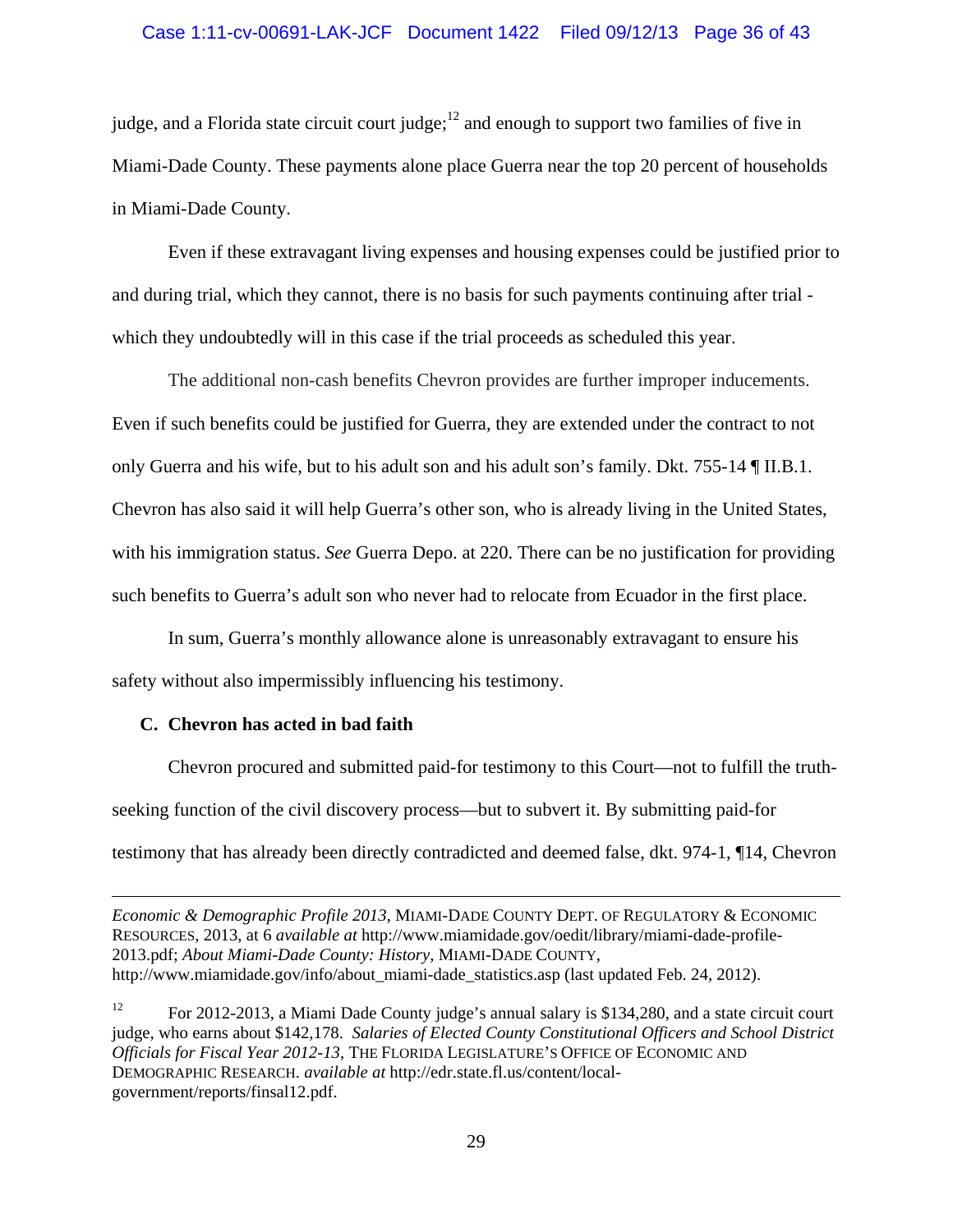### Case 1:11-cv-00691-LAK-JCF Document 1422 Filed 09/12/13 Page 36 of 43

judge, and a Florida state circuit court judge; $^{12}$  and enough to support two families of five in Miami-Dade County. These payments alone place Guerra near the top 20 percent of households in Miami-Dade County.

Even if these extravagant living expenses and housing expenses could be justified prior to and during trial, which they cannot, there is no basis for such payments continuing after trial which they undoubtedly will in this case if the trial proceeds as scheduled this year.

The additional non-cash benefits Chevron provides are further improper inducements. Even if such benefits could be justified for Guerra, they are extended under the contract to not only Guerra and his wife, but to his adult son and his adult son's family. Dkt. 755-14 ¶ II.B.1. Chevron has also said it will help Guerra's other son, who is already living in the United States, with his immigration status. *See* Guerra Depo. at 220. There can be no justification for providing such benefits to Guerra's adult son who never had to relocate from Ecuador in the first place.

In sum, Guerra's monthly allowance alone is unreasonably extravagant to ensure his safety without also impermissibly influencing his testimony.

#### **C. Chevron has acted in bad faith**

Chevron procured and submitted paid-for testimony to this Court—not to fulfill the truthseeking function of the civil discovery process—but to subvert it. By submitting paid-for testimony that has already been directly contradicted and deemed false, dkt. 974-1, ¶14, Chevron

<u> Andreas Andreas Andreas Andreas Andreas Andreas Andreas Andreas Andreas Andreas Andreas Andreas Andreas Andr</u>

<sup>12</sup> For 2012-2013, a Miami Dade County judge's annual salary is \$134,280, and a state circuit court judge, who earns about \$142,178. *Salaries of Elected County Constitutional Officers and School District Officials for Fiscal Year 2012-13*, THE FLORIDA LEGISLATURE'S OFFICE OF ECONOMIC AND DEMOGRAPHIC RESEARCH. *available at* http://edr.state.fl.us/content/localgovernment/reports/finsal12.pdf.

*Economic & Demographic Profile 2013*, MIAMI-DADE COUNTY DEPT. OF REGULATORY & ECONOMIC RESOURCES, 2013, at 6 *available at* http://www.miamidade.gov/oedit/library/miami-dade-profile-2013.pdf; *About Miami-Dade County: History*, MIAMI-DADE COUNTY, http://www.miamidade.gov/info/about\_miami-dade\_statistics.asp (last updated Feb. 24, 2012).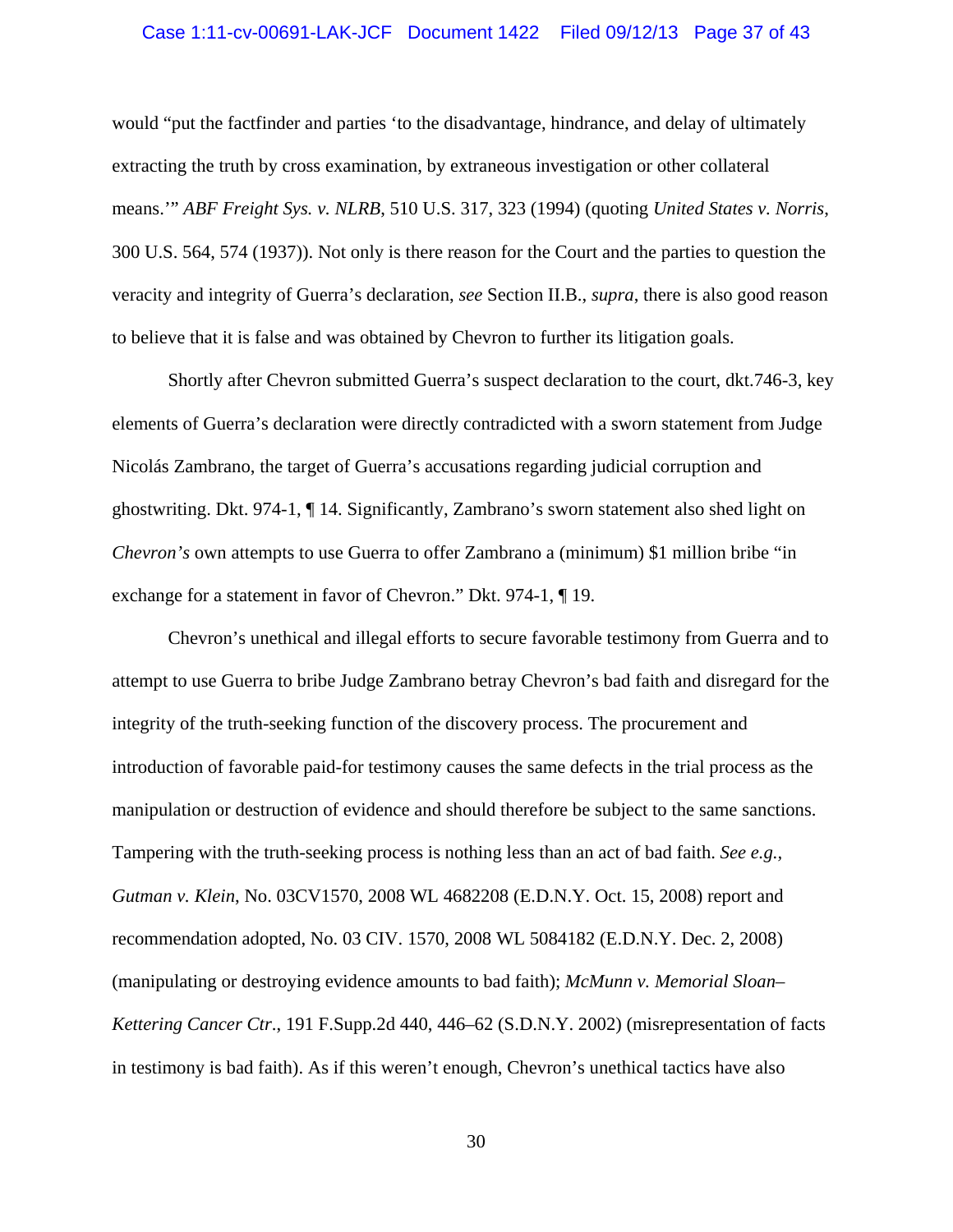### Case 1:11-cv-00691-LAK-JCF Document 1422 Filed 09/12/13 Page 37 of 43

would "put the factfinder and parties 'to the disadvantage, hindrance, and delay of ultimately extracting the truth by cross examination, by extraneous investigation or other collateral means.'" *ABF Freight Sys. v. NLRB*, 510 U.S. 317, 323 (1994) (quoting *United States v. Norris*, 300 U.S. 564, 574 (1937)). Not only is there reason for the Court and the parties to question the veracity and integrity of Guerra's declaration, *see* Section II.B., *supra*, there is also good reason to believe that it is false and was obtained by Chevron to further its litigation goals.

Shortly after Chevron submitted Guerra's suspect declaration to the court, dkt.746-3, key elements of Guerra's declaration were directly contradicted with a sworn statement from Judge Nicolás Zambrano, the target of Guerra's accusations regarding judicial corruption and ghostwriting. Dkt. 974-1, ¶ 14. Significantly, Zambrano's sworn statement also shed light on *Chevron's* own attempts to use Guerra to offer Zambrano a (minimum) \$1 million bribe "in exchange for a statement in favor of Chevron." Dkt. 974-1, ¶ 19.

Chevron's unethical and illegal efforts to secure favorable testimony from Guerra and to attempt to use Guerra to bribe Judge Zambrano betray Chevron's bad faith and disregard for the integrity of the truth-seeking function of the discovery process. The procurement and introduction of favorable paid-for testimony causes the same defects in the trial process as the manipulation or destruction of evidence and should therefore be subject to the same sanctions. Tampering with the truth-seeking process is nothing less than an act of bad faith. *See e.g., Gutman v. Klein*, No. 03CV1570, 2008 WL 4682208 (E.D.N.Y. Oct. 15, 2008) report and recommendation adopted, No. 03 CIV. 1570, 2008 WL 5084182 (E.D.N.Y. Dec. 2, 2008) (manipulating or destroying evidence amounts to bad faith); *McMunn v. Memorial Sloan– Kettering Cancer Ctr*., 191 F.Supp.2d 440, 446–62 (S.D.N.Y. 2002) (misrepresentation of facts in testimony is bad faith). As if this weren't enough, Chevron's unethical tactics have also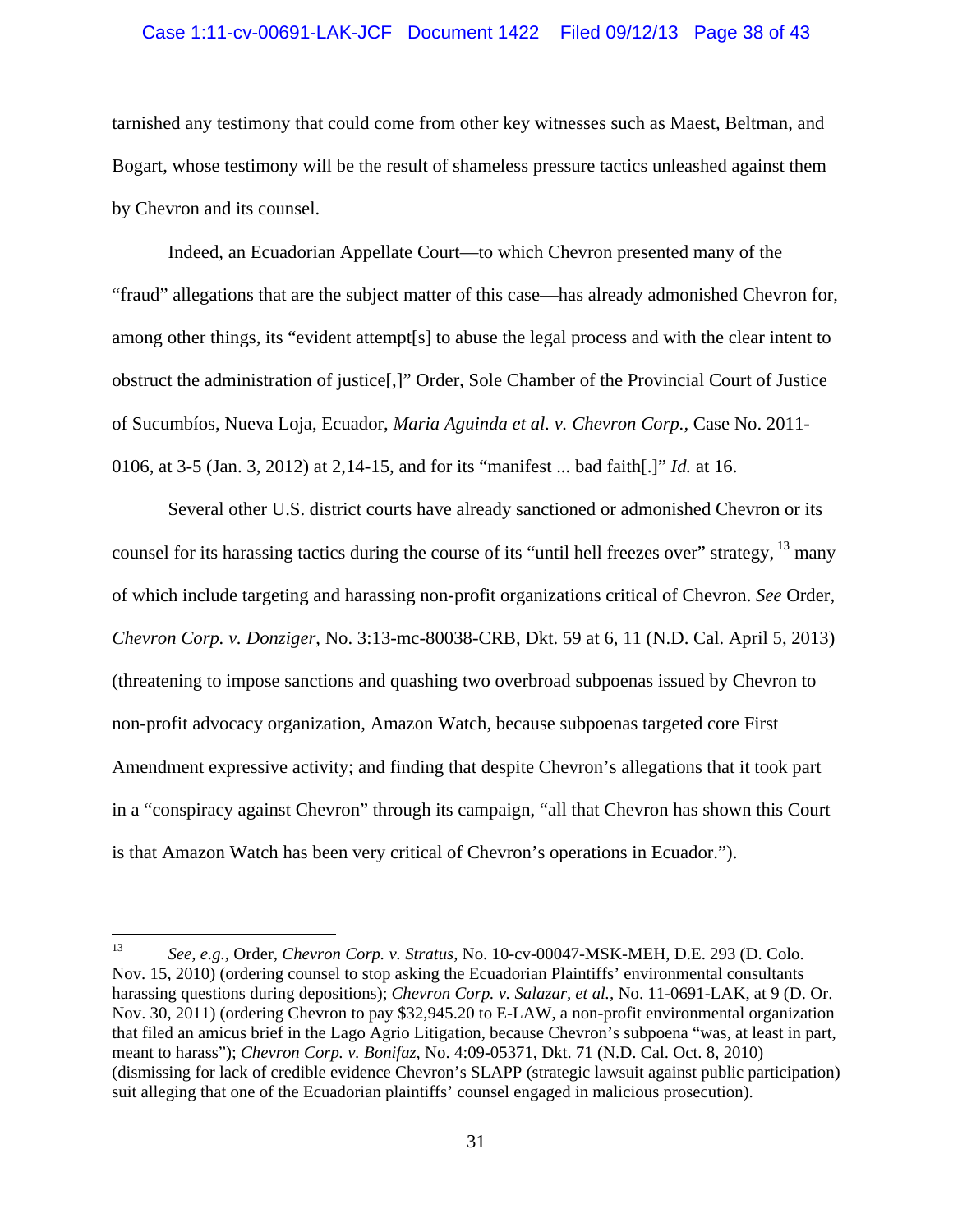#### Case 1:11-cv-00691-LAK-JCF Document 1422 Filed 09/12/13 Page 38 of 43

tarnished any testimony that could come from other key witnesses such as Maest, Beltman, and Bogart, whose testimony will be the result of shameless pressure tactics unleashed against them by Chevron and its counsel.

Indeed, an Ecuadorian Appellate Court—to which Chevron presented many of the "fraud" allegations that are the subject matter of this case—has already admonished Chevron for, among other things, its "evident attempt[s] to abuse the legal process and with the clear intent to obstruct the administration of justice[,]" Order, Sole Chamber of the Provincial Court of Justice of Sucumbíos, Nueva Loja, Ecuador, *Maria Aguinda et al. v. Chevron Corp.,* Case No. 2011- 0106, at 3-5 (Jan. 3, 2012) at 2,14-15, and for its "manifest ... bad faith[.]" *Id.* at 16.

Several other U.S. district courts have already sanctioned or admonished Chevron or its counsel for its harassing tactics during the course of its "until hell freezes over" strategy,  $13$  many of which include targeting and harassing non-profit organizations critical of Chevron. *See* Order*, Chevron Corp. v. Donziger*, No. 3:13-mc-80038-CRB, Dkt. 59 at 6, 11 (N.D. Cal. April 5, 2013) (threatening to impose sanctions and quashing two overbroad subpoenas issued by Chevron to non-profit advocacy organization, Amazon Watch, because subpoenas targeted core First Amendment expressive activity; and finding that despite Chevron's allegations that it took part in a "conspiracy against Chevron" through its campaign, "all that Chevron has shown this Court is that Amazon Watch has been very critical of Chevron's operations in Ecuador.").

<sup>13</sup> *See, e.g.,* Order, *Chevron Corp. v. Stratus,* No. 10-cv-00047-MSK-MEH, D.E. 293 (D. Colo. Nov. 15, 2010) (ordering counsel to stop asking the Ecuadorian Plaintiffs' environmental consultants harassing questions during depositions); *Chevron Corp. v. Salazar, et al.,* No. 11-0691-LAK, at 9 (D. Or. Nov. 30, 2011) (ordering Chevron to pay \$32,945.20 to E-LAW, a non-profit environmental organization that filed an amicus brief in the Lago Agrio Litigation, because Chevron's subpoena "was, at least in part, meant to harass"); *Chevron Corp. v. Bonifaz*, No. 4:09-05371, Dkt. 71 (N.D. Cal. Oct. 8, 2010) (dismissing for lack of credible evidence Chevron's SLAPP (strategic lawsuit against public participation) suit alleging that one of the Ecuadorian plaintiffs' counsel engaged in malicious prosecution).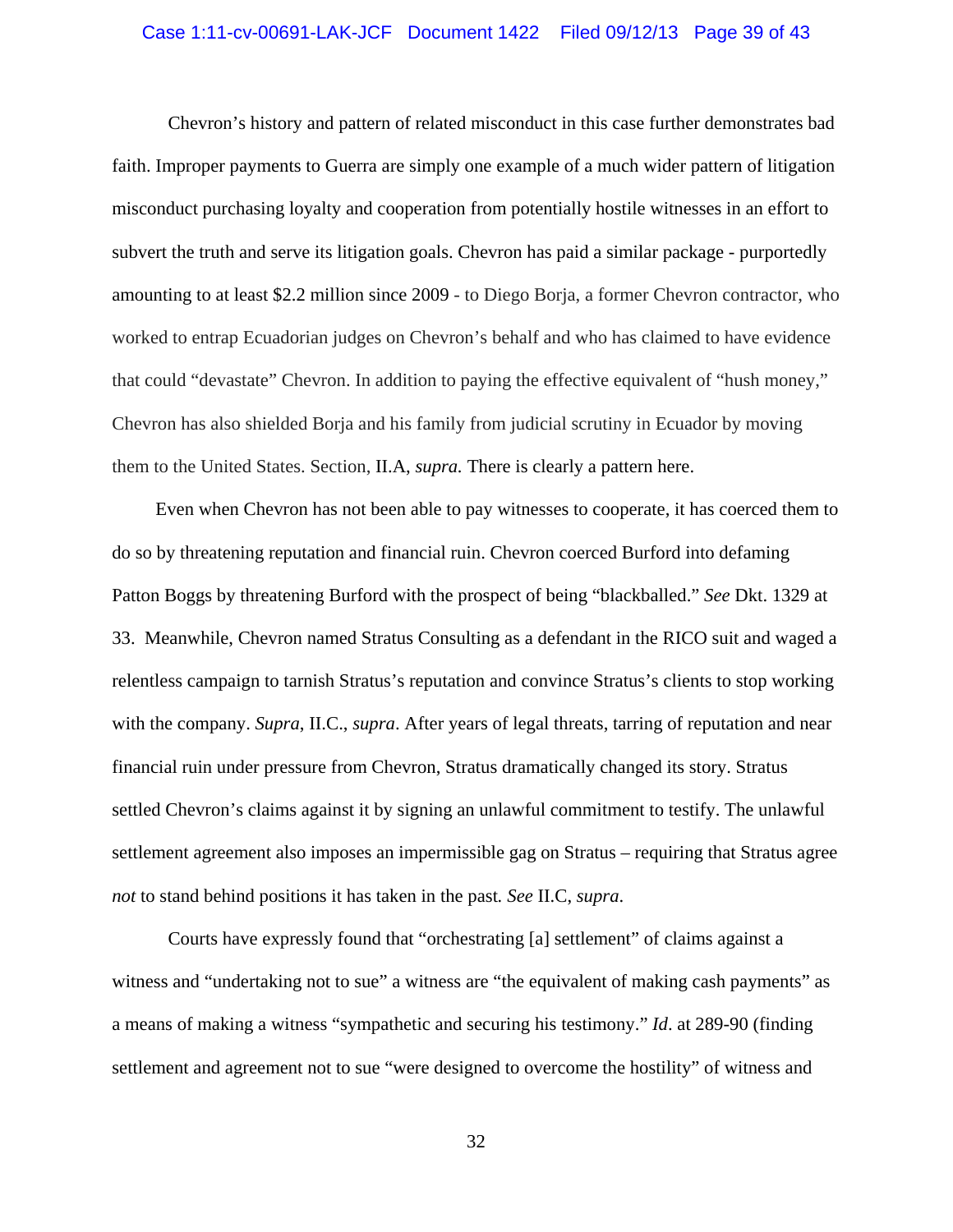#### Case 1:11-cv-00691-LAK-JCF Document 1422 Filed 09/12/13 Page 39 of 43

Chevron's history and pattern of related misconduct in this case further demonstrates bad faith. Improper payments to Guerra are simply one example of a much wider pattern of litigation misconduct purchasing loyalty and cooperation from potentially hostile witnesses in an effort to subvert the truth and serve its litigation goals. Chevron has paid a similar package - purportedly amounting to at least \$2.2 million since 2009 - to Diego Borja, a former Chevron contractor, who worked to entrap Ecuadorian judges on Chevron's behalf and who has claimed to have evidence that could "devastate" Chevron. In addition to paying the effective equivalent of "hush money," Chevron has also shielded Borja and his family from judicial scrutiny in Ecuador by moving them to the United States. Section, II.A, *supra.* There is clearly a pattern here.

 Even when Chevron has not been able to pay witnesses to cooperate, it has coerced them to do so by threatening reputation and financial ruin. Chevron coerced Burford into defaming Patton Boggs by threatening Burford with the prospect of being "blackballed." *See* Dkt. 1329 at 33. Meanwhile, Chevron named Stratus Consulting as a defendant in the RICO suit and waged a relentless campaign to tarnish Stratus's reputation and convince Stratus's clients to stop working with the company. *Supra*, II.C., *supra*. After years of legal threats, tarring of reputation and near financial ruin under pressure from Chevron, Stratus dramatically changed its story. Stratus settled Chevron's claims against it by signing an unlawful commitment to testify. The unlawful settlement agreement also imposes an impermissible gag on Stratus – requiring that Stratus agree *not* to stand behind positions it has taken in the past*. See* II.C, *supra*.

Courts have expressly found that "orchestrating [a] settlement" of claims against a witness and "undertaking not to sue" a witness are "the equivalent of making cash payments" as a means of making a witness "sympathetic and securing his testimony." *Id*. at 289-90 (finding settlement and agreement not to sue "were designed to overcome the hostility" of witness and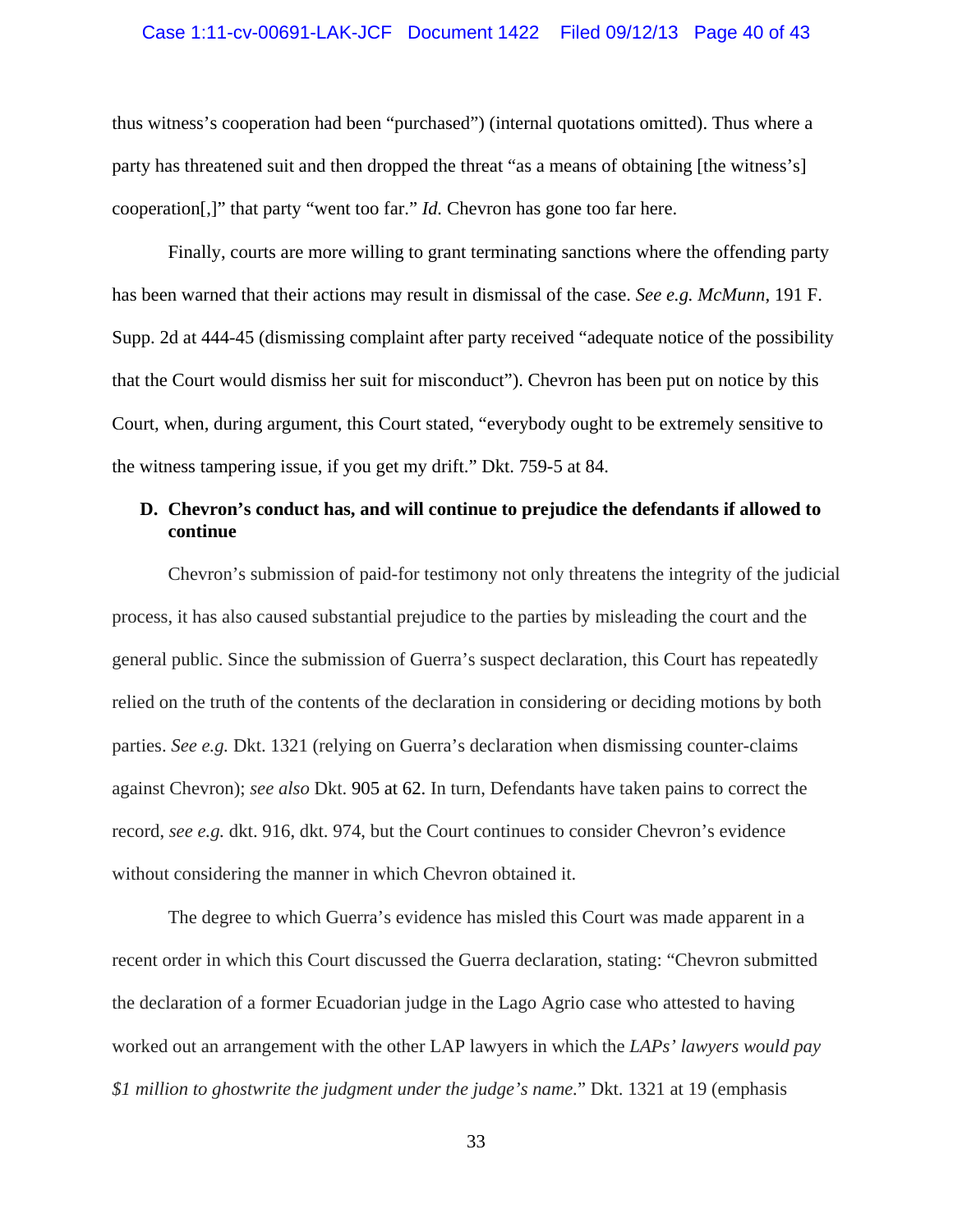#### Case 1:11-cv-00691-LAK-JCF Document 1422 Filed 09/12/13 Page 40 of 43

thus witness's cooperation had been "purchased") (internal quotations omitted). Thus where a party has threatened suit and then dropped the threat "as a means of obtaining [the witness's] cooperation[,]" that party "went too far." *Id.* Chevron has gone too far here.

Finally, courts are more willing to grant terminating sanctions where the offending party has been warned that their actions may result in dismissal of the case. *See e.g. McMunn*, 191 F. Supp. 2d at 444-45 (dismissing complaint after party received "adequate notice of the possibility that the Court would dismiss her suit for misconduct"). Chevron has been put on notice by this Court, when, during argument, this Court stated, "everybody ought to be extremely sensitive to the witness tampering issue, if you get my drift." Dkt. 759-5 at 84.

### **D. Chevron's conduct has, and will continue to prejudice the defendants if allowed to continue**

Chevron's submission of paid-for testimony not only threatens the integrity of the judicial process, it has also caused substantial prejudice to the parties by misleading the court and the general public. Since the submission of Guerra's suspect declaration, this Court has repeatedly relied on the truth of the contents of the declaration in considering or deciding motions by both parties. *See e.g.* Dkt. 1321 (relying on Guerra's declaration when dismissing counter-claims against Chevron); *see also* Dkt. 905 at 62. In turn, Defendants have taken pains to correct the record, *see e.g.* dkt. 916, dkt. 974, but the Court continues to consider Chevron's evidence without considering the manner in which Chevron obtained it.

The degree to which Guerra's evidence has misled this Court was made apparent in a recent order in which this Court discussed the Guerra declaration, stating: "Chevron submitted the declaration of a former Ecuadorian judge in the Lago Agrio case who attested to having worked out an arrangement with the other LAP lawyers in which the *LAPs' lawyers would pay \$1 million to ghostwrite the judgment under the judge's name.*" Dkt. 1321 at 19 (emphasis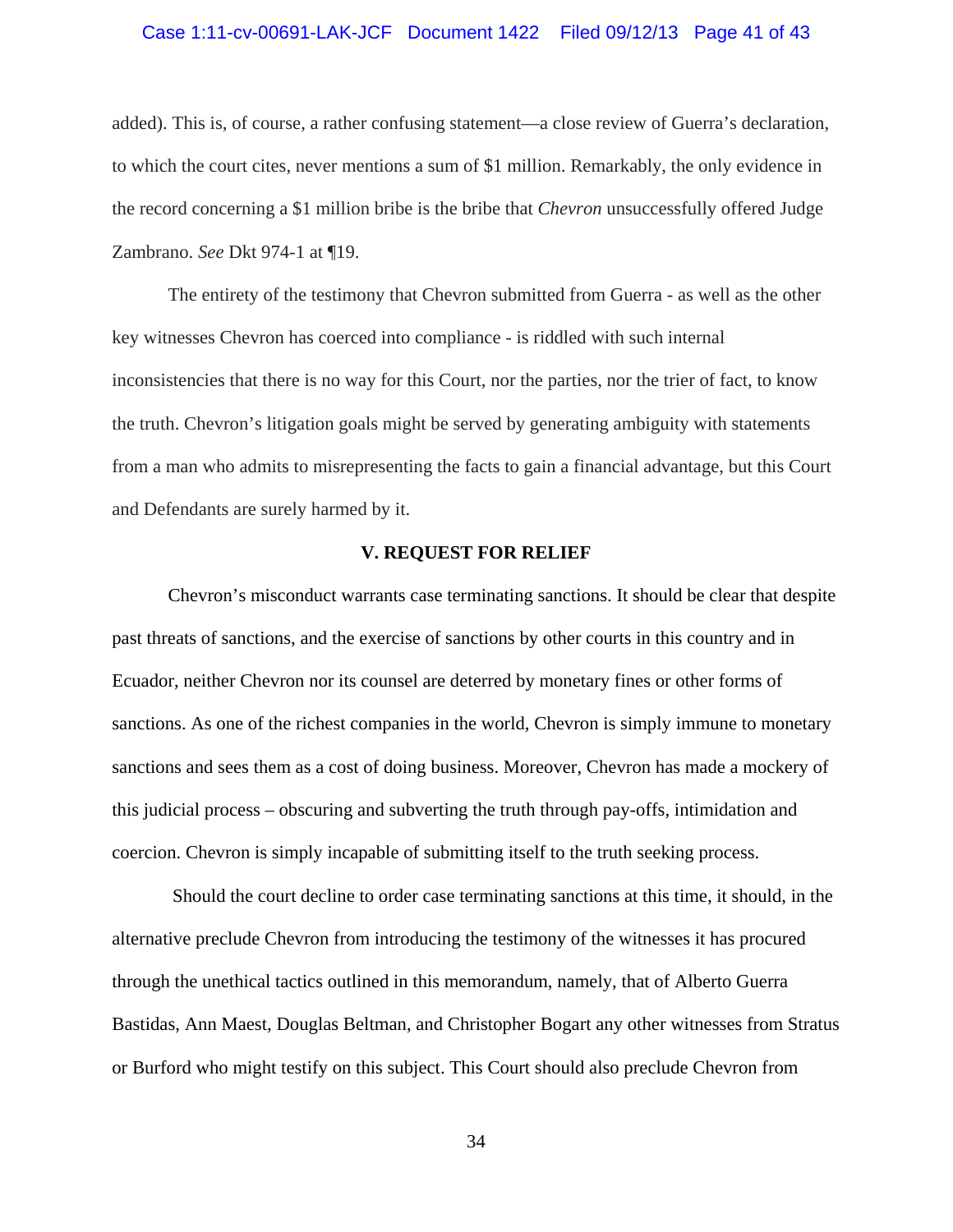### Case 1:11-cv-00691-LAK-JCF Document 1422 Filed 09/12/13 Page 41 of 43

added). This is, of course, a rather confusing statement—a close review of Guerra's declaration, to which the court cites, never mentions a sum of \$1 million. Remarkably, the only evidence in the record concerning a \$1 million bribe is the bribe that *Chevron* unsuccessfully offered Judge Zambrano. *See* Dkt 974-1 at ¶19.

The entirety of the testimony that Chevron submitted from Guerra - as well as the other key witnesses Chevron has coerced into compliance - is riddled with such internal inconsistencies that there is no way for this Court, nor the parties, nor the trier of fact, to know the truth. Chevron's litigation goals might be served by generating ambiguity with statements from a man who admits to misrepresenting the facts to gain a financial advantage, but this Court and Defendants are surely harmed by it.

#### **V. REQUEST FOR RELIEF**

Chevron's misconduct warrants case terminating sanctions. It should be clear that despite past threats of sanctions, and the exercise of sanctions by other courts in this country and in Ecuador, neither Chevron nor its counsel are deterred by monetary fines or other forms of sanctions. As one of the richest companies in the world, Chevron is simply immune to monetary sanctions and sees them as a cost of doing business. Moreover, Chevron has made a mockery of this judicial process – obscuring and subverting the truth through pay-offs, intimidation and coercion. Chevron is simply incapable of submitting itself to the truth seeking process.

 Should the court decline to order case terminating sanctions at this time, it should, in the alternative preclude Chevron from introducing the testimony of the witnesses it has procured through the unethical tactics outlined in this memorandum, namely, that of Alberto Guerra Bastidas, Ann Maest, Douglas Beltman, and Christopher Bogart any other witnesses from Stratus or Burford who might testify on this subject. This Court should also preclude Chevron from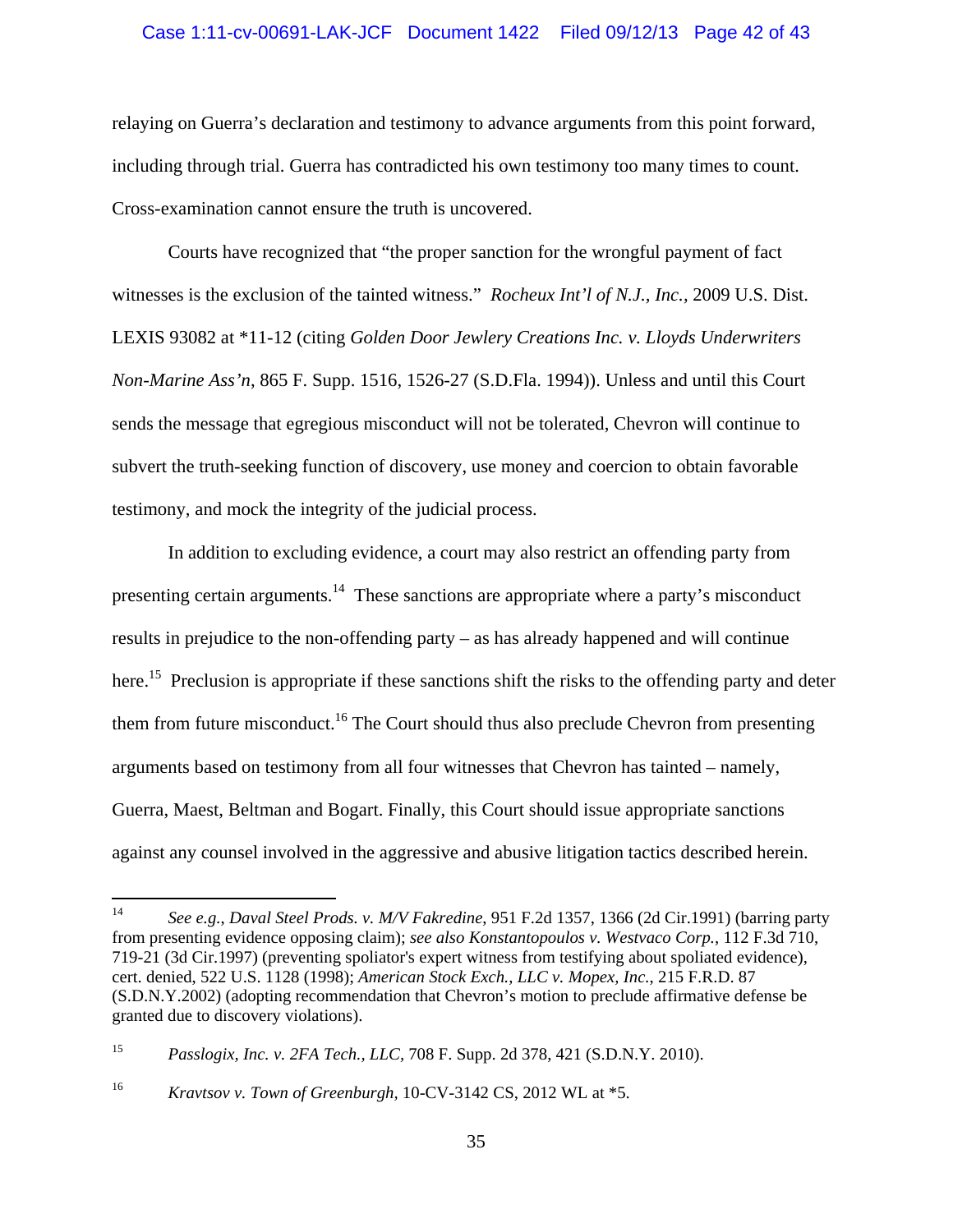#### Case 1:11-cv-00691-LAK-JCF Document 1422 Filed 09/12/13 Page 42 of 43

relaying on Guerra's declaration and testimony to advance arguments from this point forward, including through trial. Guerra has contradicted his own testimony too many times to count. Cross-examination cannot ensure the truth is uncovered.

 Courts have recognized that "the proper sanction for the wrongful payment of fact witnesses is the exclusion of the tainted witness." *Rocheux Int'l of N.J., Inc.,* 2009 U.S. Dist. LEXIS 93082 at \*11-12 (citing *Golden Door Jewlery Creations Inc. v. Lloyds Underwriters Non-Marine Ass'n*, 865 F. Supp. 1516, 1526-27 (S.D.Fla. 1994)). Unless and until this Court sends the message that egregious misconduct will not be tolerated, Chevron will continue to subvert the truth-seeking function of discovery, use money and coercion to obtain favorable testimony, and mock the integrity of the judicial process.

In addition to excluding evidence, a court may also restrict an offending party from presenting certain arguments.<sup>14</sup> These sanctions are appropriate where a party's misconduct results in prejudice to the non-offending party – as has already happened and will continue here.<sup>15</sup> Preclusion is appropriate if these sanctions shift the risks to the offending party and deter them from future misconduct.<sup>16</sup> The Court should thus also preclude Chevron from presenting arguments based on testimony from all four witnesses that Chevron has tainted – namely, Guerra, Maest, Beltman and Bogart. Finally, this Court should issue appropriate sanctions against any counsel involved in the aggressive and abusive litigation tactics described herein.

<sup>14</sup> *See e.g.*, *Daval Steel Prods. v. M/V Fakredine*, 951 F.2d 1357, 1366 (2d Cir.1991) (barring party from presenting evidence opposing claim); *see also Konstantopoulos v. Westvaco Corp.*, 112 F.3d 710, 719-21 (3d Cir.1997) (preventing spoliator's expert witness from testifying about spoliated evidence), cert. denied, 522 U.S. 1128 (1998); *American Stock Exch., LLC v. Mopex, Inc.*, 215 F.R.D. 87 (S.D.N.Y.2002) (adopting recommendation that Chevron's motion to preclude affirmative defense be granted due to discovery violations).

<sup>15</sup> *Passlogix, Inc. v. 2FA Tech., LLC,* 708 F. Supp. 2d 378, 421 (S.D.N.Y. 2010).

<sup>16</sup> *Kravtsov v. Town of Greenburgh,* 10-CV-3142 CS, 2012 WL at \*5.